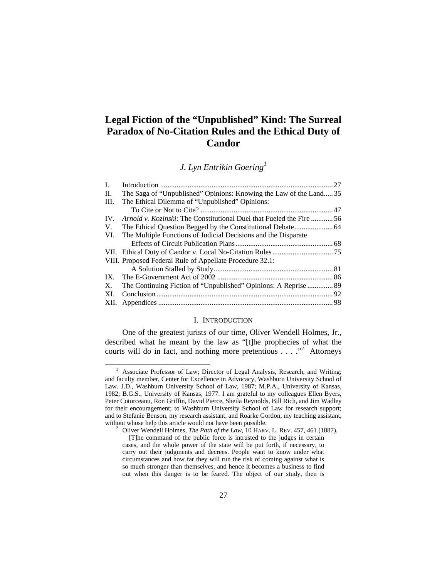# **Legal Fiction of the "Unpublished" Kind: The Surreal Paradox of No-Citation Rules and the Ethical Duty of Candor**

*J. Lyn Entrikin Goering1*

| L.   |                                                                      |  |
|------|----------------------------------------------------------------------|--|
| H.   | The Saga of "Unpublished" Opinions: Knowing the Law of the Land35    |  |
| III. | The Ethical Dilemma of "Unpublished" Opinions:                       |  |
|      |                                                                      |  |
| IV.  | Arnold v. Kozinski: The Constitutional Duel that Fueled the Fire  56 |  |
| V.   |                                                                      |  |
| VI.  | The Multiple Functions of Judicial Decisions and the Disparate       |  |
|      |                                                                      |  |
|      |                                                                      |  |
|      | VIII. Proposed Federal Rule of Appellate Procedure 32.1:             |  |
|      |                                                                      |  |
|      |                                                                      |  |
| X.   |                                                                      |  |
| XI.  |                                                                      |  |
|      |                                                                      |  |

#### I. INTRODUCTION

One of the greatest jurists of our time, Oliver Wendell Holmes, Jr., described what he meant by the law as "[t]he prophecies of what the courts will do in fact, and nothing more pretentious  $\dots$   $\cdot$ <sup>2</sup> Attorneys

<sup>&</sup>lt;sup>1</sup> Associate Professor of Law; Director of Legal Analysis, Research, and Writing; and faculty member, Center for Excellence in Advocacy, Washburn University School of Law. J.D., Washburn University School of Law, 1987; M.P.A., University of Kansas, 1982; B.G.S., University of Kansas, 1977. I am grateful to my colleagues Ellen Byers, Peter Cotorceanu, Ron Griffin, David Pierce, Sheila Reynolds, Bill Rich, and Jim Wadley for their encouragement; to Washburn University School of Law for research support; and to Stefanie Benson, my research assistant, and Roarke Gordon, my teaching assistant, without whose help this article would not have been possible.

Oliver Wendell Holmes, *The Path of the Law*, 10 HARV. L. REV. 457, 461 (1887).

 <sup>[</sup>T]he command of the public force is intrusted to the judges in certain cases, and the whole power of the state will be put forth, if necessary, to carry out their judgments and decrees. People want to know under what circumstances and how far they will run the risk of coming against what is so much stronger than themselves, and hence it becomes a business to find out when this danger is to be feared. The object of our study, then is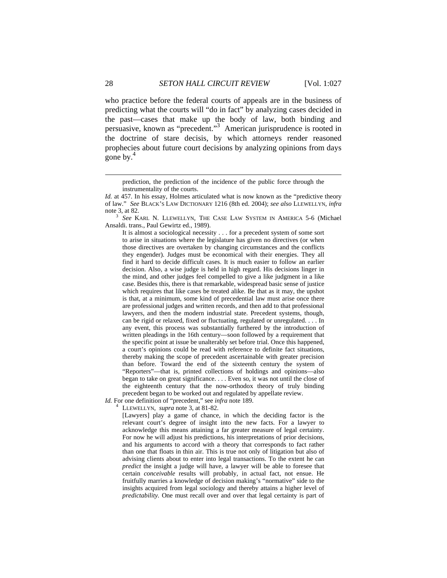who practice before the federal courts of appeals are in the business of predicting what the courts will "do in fact" by analyzing cases decided in the past—cases that make up the body of law, both binding and persuasive, known as "precedent."<sup>3</sup> American jurisprudence is rooted in the doctrine of stare decisis, by which attorneys render reasoned prophecies about future court decisions by analyzing opinions from days gone by.<sup>4</sup>

It is almost a sociological necessity . . . for a precedent system of some sort to arise in situations where the legislature has given no directives (or when those directives are overtaken by changing circumstances and the conflicts they engender). Judges must be economical with their energies. They all find it hard to decide difficult cases. It is much easier to follow an earlier decision. Also, a wise judge is held in high regard. His decisions linger in the mind, and other judges feel compelled to give a like judgment in a like case. Besides this, there is that remarkable, widespread basic sense of justice which requires that like cases be treated alike. Be that as it may, the upshot is that, at a minimum, some kind of precedential law must arise once there are professional judges and written records, and then add to that professional lawyers, and then the modern industrial state. Precedent systems, though, can be rigid or relaxed, fixed or fluctuating, regulated or unregulated. . . . In any event, this process was substantially furthered by the introduction of written pleadings in the 16th century—soon followed by a requirement that the specific point at issue be unalterably set before trial. Once this happened, a court's opinions could be read with reference to definite fact situations, thereby making the scope of precedent ascertainable with greater precision than before. Toward the end of the sixteenth century the system of "Reporters"—that is, printed collections of holdings and opinions—also began to take on great significance. . . . Even so, it was not until the close of the eighteenth century that the now-orthodox theory of truly binding precedent began to be worked out and regulated by appellate review.

*Id.* For one definition of "precedent," see *infra* note 189.

LLEWELLYN, *supra* note 3, at 81-82.

[Lawyers] play a game of chance, in which the deciding factor is the relevant court's degree of insight into the new facts. For a lawyer to acknowledge this means attaining a far greater measure of legal certainty. For now he will adjust his predictions, his interpretations of prior decisions, and his arguments to accord with a theory that corresponds to fact rather than one that floats in thin air. This is true not only of litigation but also of advising clients about to enter into legal transactions. To the extent he can *predict* the insight a judge will have, a lawyer will be able to foresee that certain *conceivable* results will probably, in actual fact, not ensue. He fruitfully marries a knowledge of decision making's "normative" side to the insights acquired from legal sociology and thereby attains a higher level of *predictability.* One must recall over and over that legal certainty is part of

prediction, the prediction of the incidence of the public force through the instrumentality of the courts.

*Id.* at 457. In his essay, Holmes articulated what is now known as the "predictive theory of law." *See* BLACK'S LAW DICTIONARY 1216 (8th ed. 2004); *see also* LLEWELLYN*, infra*  note 3, at 82.

<sup>&</sup>lt;sup>3</sup> See KARL N. LLEWELLYN, THE CASE LAW SYSTEM IN AMERICA 5-6 (Michael Ansaldi. trans., Paul Gewirtz ed., 1989).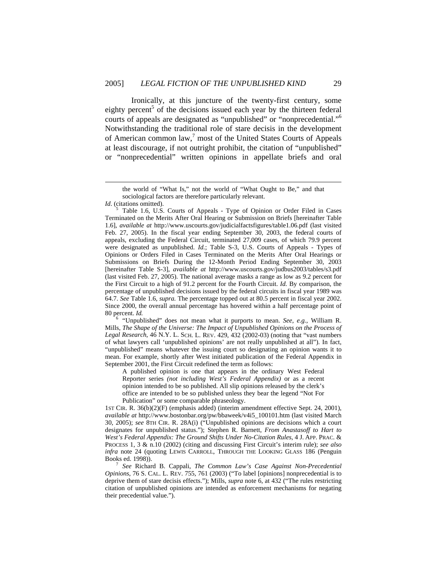Ironically, at this juncture of the twenty-first century, some eighty percent<sup>5</sup> of the decisions issued each year by the thirteen federal courts of appeals are designated as "unpublished" or "nonprecedential."6 Notwithstanding the traditional role of stare decisis in the development of American common  $law$ ,<sup>7</sup> most of the United States Courts of Appeals at least discourage, if not outright prohibit, the citation of "unpublished" or "nonprecedential" written opinions in appellate briefs and oral

*Id.* (citations omitted).

 $\overline{a}$ 

Mills, *The Shape of the Universe: The Impact of Unpublished Opinions on the Process of Legal Research*, 46 N.Y. L. SCH. L. REV. 429, 432 (2002-03) (noting that "vast numbers of what lawyers call 'unpublished opinions' are not really unpublished at all"). In fact, "unpublished" means whatever the issuing court so designating an opinion wants it to mean. For example, shortly after West initiated publication of the Federal Appendix in September 2001, the First Circuit redefined the term as follows:

A published opinion is one that appears in the ordinary West Federal Reporter series *(not including West's Federal Appendix)* or as a recent opinion intended to be so published. All slip opinions released by the clerk's office are intended to be so published unless they bear the legend "Not For Publication" or some comparable phraseology.

1ST CIR. R. 36(b)(2)(F) (emphasis added) (interim amendment effective Sept. 24, 2001), *available at* http://www.bostonbar.org/pw/bbaweek/v4i5\_100101.htm (last visited March 30, 2005); *see* 8TH CIR. R. 28A(i) ("Unpublished opinions are decisions which a court designates for unpublished status."); Stephen R. Barnett, *From Anastasoff to Hart to West's Federal Appendix: The Ground Shifts Under No-Citation Rules*, 4 J. APP. PRAC. & PROCESS 1, 3 & n.10 (2002) (citing and discussing First Circuit's interim rule); *see also infra* note 24 (quoting LEWIS CARROLL, THROUGH THE LOOKING GLASS 186 (Penguin Books ed. 1998)). 7

 *See* Richard B. Cappali, *The Common Law's Case Against Non-Precedential Opinions*, 76 S. CAL. L. REV. 755, 761 (2003) ("To label [opinions] nonprecedential is to deprive them of stare decisis effects."); Mills, *supra* note 6, at 432 ("The rules restricting citation of unpublished opinions are intended as enforcement mechanisms for negating their precedential value.").

the world of "What Is," not the world of "What Ought to Be," and that sociological factors are therefore particularly relevant.

Table 1.6, U.S. Courts of Appeals - Type of Opinion or Order Filed in Cases Terminated on the Merits After Oral Hearing or Submission on Briefs [hereinafter Table 1.6], *available at* http://www.uscourts.gov/judicialfactsfigures/table1.06.pdf (last visited Feb. 27, 2005). In the fiscal year ending September 30, 2003, the federal courts of appeals, excluding the Federal Circuit, terminated 27,009 cases, of which 79.9 percent were designated as unpublished. *Id.*; Table S-3, U.S. Courts of Appeals - Types of Opinions or Orders Filed in Cases Terminated on the Merits After Oral Hearings or Submissions on Briefs During the 12-Month Period Ending September 30, 2003 [hereinafter Table S-3], *available at* http://www.uscourts.gov/judbus2003/tables/s3.pdf (last visited Feb. 27, 2005). The national average masks a range as low as 9.2 percent for the First Circuit to a high of 91.2 percent for the Fourth Circuit. *Id.* By comparison, the percentage of unpublished decisions issued by the federal circuits in fiscal year 1989 was 64.7. *See* Table 1.6, *supra.* The percentage topped out at 80.5 percent in fiscal year 2002. Since 2000, the overall annual percentage has hovered within a half percentage point of 80 percent. *Id.* <sup>6</sup> "Unpublished" does not mean what it purports to mean. *See, e.g.*, William R.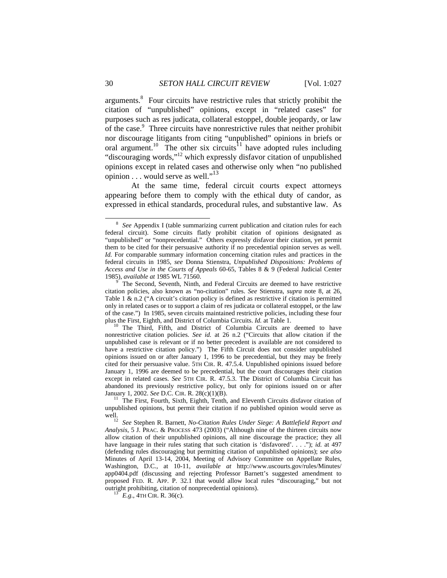arguments.<sup>8</sup> Four circuits have restrictive rules that strictly prohibit the citation of "unpublished" opinions, except in "related cases" for purposes such as res judicata, collateral estoppel, double jeopardy, or law of the case.<sup>9</sup> Three circuits have nonrestrictive rules that neither prohibit nor discourage litigants from citing "unpublished" opinions in briefs or oral argument.<sup>10</sup> The other six circuits<sup>11</sup> have adopted rules including "discouraging words,"12 which expressly disfavor citation of unpublished opinions except in related cases and otherwise only when "no published opinion  $\dots$  would serve as well."<sup>13</sup>

 At the same time, federal circuit courts expect attorneys appearing before them to comply with the ethical duty of candor, as expressed in ethical standards, procedural rules, and substantive law. As

 <sup>8</sup>  *See* Appendix I (table summarizing current publication and citation rules for each federal circuit). Some circuits flatly prohibit citation of opinions designated as "unpublished" or "nonprecedential." Others expressly disfavor their citation, yet permit them to be cited for their persuasive authority if no precedential opinion serves as well. *Id.* For comparable summary information concerning citation rules and practices in the federal circuits in 1985, *see* Donna Stienstra, *Unpublished Dispositions: Problems of Access and Use in the Courts of Appeals* 60-65, Tables 8 & 9 (Federal Judicial Center 1985), *available at* 1985 WL 71560. <sup>9</sup>

The Second, Seventh, Ninth, and Federal Circuits are deemed to have restrictive citation policies, also known as "no-citation" rules. *See* Stienstra, *supra* note 8, at 26, Table 1  $\&$  n.2 ("A circuit's citation policy is defined as restrictive if citation is permitted only in related cases or to support a claim of res judicata or collateral estoppel, or the law of the case.") In 1985, seven circuits maintained restrictive policies, including these four plus the First, Eighth, and District of Columbia Circuits.  $Id$ . at Table 1.

The Third, Fifth, and District of Columbia Circuits are deemed to have nonrestrictive citation policies. *See id.* at 26 n.2 ("Circuits that allow citation if the unpublished case is relevant or if no better precedent is available are not considered to have a restrictive citation policy.") The Fifth Circuit does not consider unpublished opinions issued on or after January 1, 1996 to be precedential, but they may be freely cited for their persuasive value. 5TH CIR. R. 47.5.4. Unpublished opinions issued before January 1, 1996 are deemed to be precedential, but the court discourages their citation except in related cases. *See* 5TH CIR. R. 47.5.3. The District of Columbia Circuit has abandoned its previously restrictive policy, but only for opinions issued on or after January 1, 2002. *See* D.C. CIR. R. 28(c)(1)(B).<br><sup>11</sup> The First, Fourth, Sixth, Eighth, Tenth, and Eleventh Circuits disfavor citation of

unpublished opinions, but permit their citation if no published opinion would serve as well.<br><sup>12</sup> See Stephen R. Barnett, *No-Citation Rules Under Siege: A Battlefield Report and* 

*Analysis*, 5 J. PRAC. & PROCESS 473 (2003) ("Although nine of the thirteen circuits now allow citation of their unpublished opinions, all nine discourage the practice; they all have language in their rules stating that such citation is 'disfavored'. . . ."); *id.* at 497 (defending rules discouraging but permitting citation of unpublished opinions); *see also* Minutes of April 13-14, 2004, Meeting of Advisory Committee on Appellate Rules, Washington, D.C., at 10-11, *available at* http://www.uscourts.gov/rules/Minutes/ app0404.pdf (discussing and rejecting Professor Barnett's suggested amendment to proposed FED. R. APP. P. 32.1 that would allow local rules "discouraging," but not outright prohibiting, citation of nonprecedential opinions). 13 *E.g.*, 4TH CIR. R. 36(c).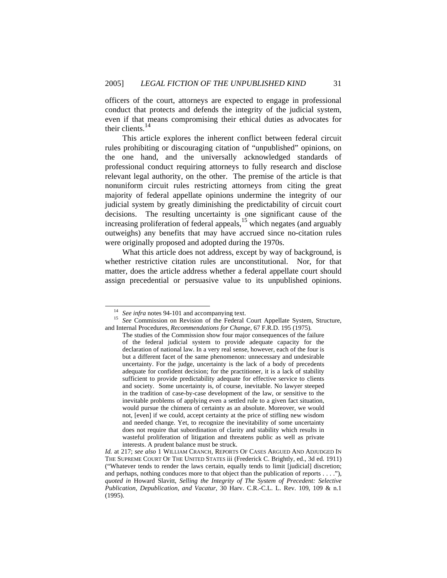officers of the court, attorneys are expected to engage in professional conduct that protects and defends the integrity of the judicial system, even if that means compromising their ethical duties as advocates for their clients.<sup>14</sup>

This article explores the inherent conflict between federal circuit rules prohibiting or discouraging citation of "unpublished" opinions, on the one hand, and the universally acknowledged standards of professional conduct requiring attorneys to fully research and disclose relevant legal authority, on the other. The premise of the article is that nonuniform circuit rules restricting attorneys from citing the great majority of federal appellate opinions undermine the integrity of our judicial system by greatly diminishing the predictability of circuit court decisions. The resulting uncertainty is one significant cause of the increasing proliferation of federal appeals, $15$  which negates (and arguably outweighs) any benefits that may have accrued since no-citation rules were originally proposed and adopted during the 1970s.

What this article does not address, except by way of background, is whether restrictive citation rules are unconstitutional. Nor, for that matter, does the article address whether a federal appellate court should assign precedential or persuasive value to its unpublished opinions.

<sup>&</sup>lt;sup>14</sup> See infra notes 94-101 and accompanying text.<br><sup>15</sup> See Commission on Revision of the Federal Court Appellate System, Structure, and Internal Procedures*, Recommendations for Change*, 67 F.R.D. 195 (1975).

The studies of the Commission show four major consequences of the failure of the federal judicial system to provide adequate capacity for the declaration of national law. In a very real sense, however, each of the four is but a different facet of the same phenomenon: unnecessary and undesirable uncertainty. For the judge, uncertainty is the lack of a body of precedents adequate for confident decision; for the practitioner, it is a lack of stability sufficient to provide predictability adequate for effective service to clients and society. Some uncertainty is, of course, inevitable. No lawyer steeped in the tradition of case-by-case development of the law, or sensitive to the inevitable problems of applying even a settled rule to a given fact situation, would pursue the chimera of certainty as an absolute. Moreover, we would not, [even] if we could, accept certainty at the price of stifling new wisdom and needed change. Yet, to recognize the inevitability of some uncertainty does not require that subordination of clarity and stability which results in wasteful proliferation of litigation and threatens public as well as private interests. A prudent balance must be struck.

*Id.* at 217; *see also* 1 WILLIAM CRANCH, REPORTS OF CASES ARGUED AND ADJUDGED IN THE SUPREME COURT OF THE UNITED STATES iii (Frederick C. Brightly, ed., 3d ed. 1911) ("Whatever tends to render the laws certain, equally tends to limit [judicial] discretion; and perhaps, nothing conduces more to that object than the publication of reports . . . ."), *quoted in* Howard Slavitt, *Selling the Integrity of The System of Precedent: Selective Publication, Depublication, and Vacatur,* 30 Harv. C.R.-C.L. L. Rev. 109, 109 & n.1 (1995).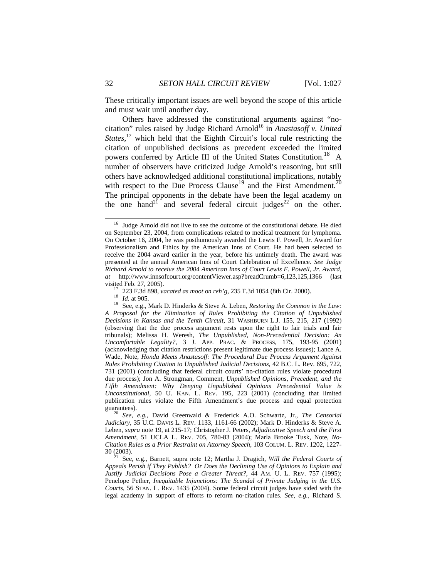These critically important issues are well beyond the scope of this article and must wait until another day.

Others have addressed the constitutional arguments against "nocitation" rules raised by Judge Richard Arnold<sup>16</sup> in *Anastasoff v. United States*,<sup>17</sup> which held that the Eighth Circuit's local rule restricting the citation of unpublished decisions as precedent exceeded the limited powers conferred by Article III of the United States Constitution.<sup>18</sup> A number of observers have criticized Judge Arnold's reasoning, but still others have acknowledged additional constitutional implications, notably with respect to the Due Process Clause<sup>19</sup> and the First Amendment.<sup>2</sup> The principal opponents in the debate have been the legal academy on the one hand<sup>21</sup> and several federal circuit judges<sup>22</sup> on the other.

<sup>&</sup>lt;sup>16</sup> Judge Arnold did not live to see the outcome of the constitutional debate. He died on September 23, 2004, from complications related to medical treatment for lymphoma. On October 16, 2004, he was posthumously awarded the Lewis F. Powell, Jr. Award for Professionalism and Ethics by the American Inns of Court. He had been selected to receive the 2004 award earlier in the year, before his untimely death. The award was presented at the annual American Inns of Court Celebration of Excellence. *See Judge Richard Arnold to receive the 2004 American Inns of Court Lewis F. Powell, Jr. Award*, *at* http://www.innsofcourt.org/contentViewer.asp?breadCrumb=6,123,125,1366 (last

visited Feb. 27, 2005).<br><sup>17</sup> 223 F.3d 898, *vacated as moot on reh'g*, 235 F.3d 1054 (8th Cir. 2000).<br><sup>18</sup> *Id.* at 905.<br><sup>19</sup> See, e.g., Mark D. Hinderks & Steve A. Leben, *Restoring the Common in the Law: A Proposal for the Elimination of Rules Prohibiting the Citation of Unpublished Decisions in Kansas and the Tenth Circuit*, 31 WASHBURN L.J. 155, 215, 217 (1992) (observing that the due process argument rests upon the right to fair trials and fair tribunals); Melissa H. Weresh, *The Unpublished, Non-Precedential Decision: An Uncomfortable Legality?*, 3 J. APP. PRAC. & PROCESS, 175, 193-95 (2001) (acknowledging that citation restrictions present legitimate due process issues); Lance A. Wade, Note, *Honda Meets Anastasoff: The Procedural Due Process Argument Against Rules Prohibiting Citation to Unpublished Judicial Decisions*, 42 B.C. L. Rev. 695, 722, 731 (2001) (concluding that federal circuit courts' no-citation rules violate procedural due process); Jon A. Strongman, Comment, *Unpublished Opinions, Precedent, and the Fifth Amendment: Why Denying Unpublished Opinions Precedential Value is Unconstitutional,* 50 U. KAN. L. REV. 195, 223 (2001) (concluding that limited publication rules violate the Fifth Amendment's due process and equal protection guarantees). <sup>20</sup> *See, e.g.*, David Greenwald & Frederick A.O. Schwartz, Jr., *The Censorial* 

*Judiciary,* 35 U.C. DAVIS L. REV. 1133, 1161-66 (2002); Mark D. Hinderks & Steve A. Leben, *supra* note 19, at 215-17; Christopher J. Peters, *Adjudicative Speech and the First Amendment*, 51 UCLA L. REV. 705, 780-83 (2004); Marla Brooke Tusk, Note, *No-Citation Rules as a Prior Restraint on Attorney Speech*, 103 COLUM. L. REV. 1202, 1227-<br>30 (2003).

See, e.g., Barnett, supra note 12; Martha J. Dragich, *Will the Federal Courts of Appeals Perish if They Publish? Or Does the Declining Use of Opinions to Explain and Justify Judicial Decisions Pose a Greater Threat?*, 44 AM. U. L. REV. 757 (1995); Penelope Pether, *Inequitable Injunctions: The Scandal of Private Judging in the U.S. Courts*, 56 STAN. L. REV. 1435 (2004). Some federal circuit judges have sided with the legal academy in support of efforts to reform no-citation rules. *See, e.g.*, Richard S.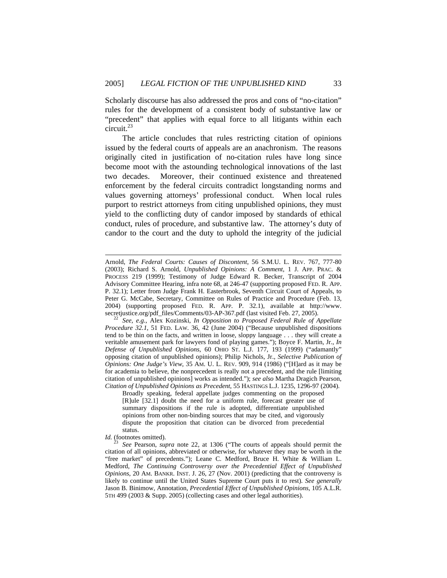Scholarly discourse has also addressed the pros and cons of "no-citation" rules for the development of a consistent body of substantive law or "precedent" that applies with equal force to all litigants within each circuit.<sup>23</sup>

The article concludes that rules restricting citation of opinions issued by the federal courts of appeals are an anachronism. The reasons originally cited in justification of no-citation rules have long since become moot with the astounding technological innovations of the last two decades. Moreover, their continued existence and threatened enforcement by the federal circuits contradict longstanding norms and values governing attorneys' professional conduct. When local rules purport to restrict attorneys from citing unpublished opinions, they must yield to the conflicting duty of candor imposed by standards of ethical conduct, rules of procedure, and substantive law. The attorney's duty of candor to the court and the duty to uphold the integrity of the judicial

l

Arnold, *The Federal Courts: Causes of Discontent*, 56 S.M.U. L. REV. 767, 777-80 (2003); Richard S. Arnold, *Unpublished Opinions: A Comment*, 1 J. APP. PRAC. & PROCESS 219 (1999); Testimony of Judge Edward R. Becker, Transcript of 2004 Advisory Committee Hearing, infra note 68, at 246-47 (supporting proposed FED. R. APP. P. 32.1); Letter from Judge Frank H. Easterbrook, Seventh Circuit Court of Appeals, to Peter G. McCabe, Secretary, Committee on Rules of Practice and Procedure (Feb. 13, 2004) (supporting proposed FED. R. APP. P. 32.1), available at http://www. secretjustice.org/pdf\_files/Comments/03-AP-367.pdf (last visited Feb. 27, 2005). 22 *See, e.g.*, Alex Kozinski, *In Opposition to Proposed Federal Rule of Appellate* 

*Procedure 32.1*, 51 FED. LAW. 36, 42 (June 2004) ("Because unpublished dispositions tend to be thin on the facts, and written in loose, sloppy language . . . they will create a veritable amusement park for lawyers fond of playing games."); Boyce F. Martin, Jr., *In Defense of Unpublished Opinions*, 60 OHIO ST. L.J. 177*,* 193 (1999) ("adamantly" opposing citation of unpublished opinions); Philip Nichols, Jr., *Selective Publication of Opinions: One Judge's View*, 35 AM. U. L. REV. 909, 914 (1986) ("[H]ard as it may be for academia to believe, the nonprecedent is really not a precedent, and the rule [limiting citation of unpublished opinions] works as intended."); *see also* Martha Dragich Pearson, *Citation of Unpublished Opinions as Precedent*, 55 HASTINGS L.J. 1235, 1296-97 (2004).

Broadly speaking, federal appellate judges commenting on the proposed [R]ule [32.1] doubt the need for a uniform rule, forecast greater use of summary dispositions if the rule is adopted, differentiate unpublished opinions from other non-binding sources that may be cited, and vigorously dispute the proposition that citation can be divorced from precedential status.

*Id.* (footnotes omitted).

<sup>23</sup> *See* Pearson, *supra* note 22, at 1306 ("The courts of appeals should permit the citation of all opinions, abbreviated or otherwise, for whatever they may be worth in the "free market" of precedents."); Leane C. Medford, Bruce H. White & William L. Medford, *The Continuing Controversy over the Precedential Effect of Unpublished Opinions*, 20 AM. BANKR. INST. J. 26, 27 (Nov. 2001) (predicting that the controversy is likely to continue until the United States Supreme Court puts it to rest). *See generally*  Jason B. Binimow, Annotation, *Precedential Effect of Unpublished Opinions*, 105 A.L.R. 5TH 499 (2003 & Supp. 2005) (collecting cases and other legal authorities).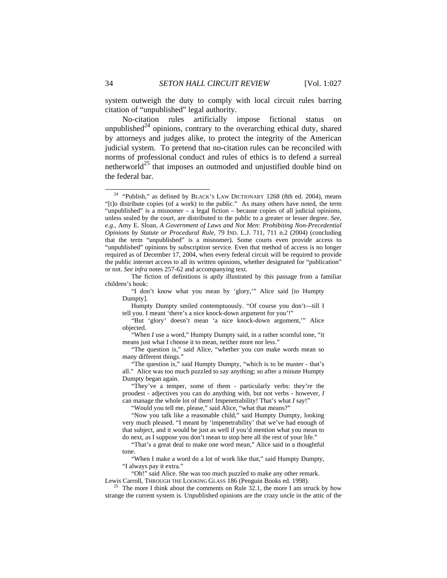system outweigh the duty to comply with local circuit rules barring citation of "unpublished" legal authority.

No-citation rules artificially impose fictional status on unpublished<sup>24</sup> opinions, contrary to the overarching ethical duty, shared by attorneys and judges alike, to protect the integrity of the American judicial system. To pretend that no-citation rules can be reconciled with norms of professional conduct and rules of ethics is to defend a surreal netherworld<sup>25</sup> that imposes an outmoded and unjustified double bind on the federal bar.

 The fiction of definitions is aptly illustrated by this passage from a familiar children's book:

 "I don't know what you mean by 'glory,'" Alice said [to Humpty Dumpty].

 Humpty Dumpty smiled contemptuously. "Of course you don't—till I tell you. I meant 'there's a nice knock-down argument for you'!"

 "But 'glory' doesn't mean 'a nice knock-down argument,'" Alice objected.

 "When *I* use a word," Humpty Dumpty said, in a rather scornful tone, "it means just what I choose it to mean, neither more nor less."

 "The question is," said Alice, "whether you *can* make words mean so many different things."

 "The question is," said Humpty Dumpty, "which is to be master - that's all." Alice was too much puzzled to say anything; so after a minute Humpty Dumpty began again.

"They've a temper, some of them - particularly verbs: they're the proudest - adjectives you can do anything with, but not verbs - however, *I* can manage the whole lot of them! Impenetrability! That's what *I* say!"

"Would you tell me, please," said Alice, "what that means?"

 "Now you talk like a reasonable child," said Humpty Dumpty, looking very much pleased. "I meant by 'impenetrability' that we've had enough of that subject, and it would be just as well if you'd mention what you mean to do next, as I suppose you don't mean to stop here all the rest of your life."

 "That's a great deal to make one word mean," Alice said in a thoughtful tone.

 "When I make a word do a lot of work like that," said Humpty Dumpty, "I always pay it extra."

"Oh!" said Alice. She was too much puzzled to make any other remark.

Lewis Carroll, THROUGH THE LOOKING GLASS 186 (Penguin Books ed. 1998).<br><sup>25</sup> The more I think about the comments on Rule 32.1, the more I am struck by how strange the current system is. Unpublished opinions are the crazy uncle in the attic of the

 <sup>24 &</sup>quot;Publish," as defined by BLACK'S LAW DICTIONARY 1268 (8th ed. 2004), means "[t]o distribute copies (of a work) to the public." As many others have noted, the term "unpublished" is a misnomer – a legal fiction – because copies of all judicial opinions, unless sealed by the court, are distributed to the public to a greater or lesser degree. *See, e.g.*, Amy E. Sloan, *A Government of Laws and Not Men: Prohibiting Non-Precedential Opinions by Statute or Procedural Rule,* 79 IND. L.J. 711, 711 n.2 (2004) (concluding that the term "unpublished" is a misnomer). Some courts even provide access to "unpublished" opinions by subscription service. Even that method of access is no longer required as of December 17, 2004, when every federal circuit will be required to provide the public internet access to all its written opinions, whether designated for "publication" or not. *See infra* notes 257-62 and accompanying text.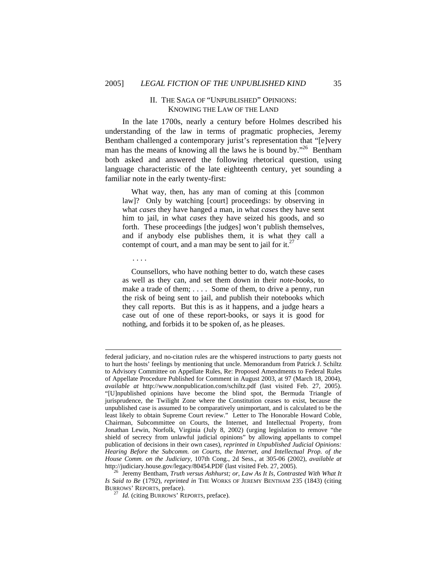## II. THE SAGA OF "UNPUBLISHED" OPINIONS: KNOWING THE LAW OF THE LAND

In the late 1700s, nearly a century before Holmes described his understanding of the law in terms of pragmatic prophecies, Jeremy Bentham challenged a contemporary jurist's representation that "[e]very man has the means of knowing all the laws he is bound by."<sup>26</sup> Bentham both asked and answered the following rhetorical question, using language characteristic of the late eighteenth century, yet sounding a familiar note in the early twenty-first:

What way, then, has any man of coming at this [common law]? Only by watching [court] proceedings: by observing in what *cases* they have hanged a man, in what *cases* they have sent him to jail, in what *cases* they have seized his goods, and so forth. These proceedings [the judges] won't publish themselves, and if anybody else publishes them, it is what they call a contempt of court, and a man may be sent to jail for it.<sup>27</sup>

Counsellors, who have nothing better to do, watch these cases

. . . .

 $\overline{a}$ 

as well as they can, and set them down in their *note-books*, to make a trade of them; . . . . Some of them, to drive a penny, run the risk of being sent to jail, and publish their notebooks which they call reports. But this is as it happens, and a judge hears a case out of one of these report-books, or says it is good for nothing, and forbids it to be spoken of, as he pleases.

federal judiciary, and no-citation rules are the whispered instructions to party guests not to hurt the hosts' feelings by mentioning that uncle. Memorandum from Patrick J. Schiltz to Advisory Committee on Appellate Rules, Re: Proposed Amendments to Federal Rules of Appellate Procedure Published for Comment in August 2003, at 97 (March 18, 2004), *available at* http://www.nonpublication.com/schiltz.pdf (last visited Feb. 27, 2005). "[U]npublished opinions have become the blind spot, the Bermuda Triangle of jurisprudence, the Twilight Zone where the Constitution ceases to exist, because the unpublished case is assumed to be comparatively unimportant, and is calculated to be the least likely to obtain Supreme Court review." Letter to The Honorable Howard Coble, Chairman, Subcommittee on Courts, the Internet, and Intellectual Property, from Jonathan Lewin, Norfolk, Virginia (July 8, 2002) (urging legislation to remove "the shield of secrecy from unlawful judicial opinions" by allowing appellants to compel publication of decisions in their own cases), *reprinted in Unpublished Judicial Opinions: Hearing Before the Subcomm. on Courts, the Internet, and Intellectual Prop. of the House Comm. on the Judiciary*, 107th Cong., 2d Sess., at 305-06 (2002), *available at*  http://judiciary.house.gov/legacy/80454.PDF (last visited Feb. 27, 2005). 26 Jeremy Bentham, *Truth versus Ashhurst; or, Law As It Is, Contrasted With What It* 

*Is Said to Be* (1792), *reprinted in* THE WORKS OF JEREMY BENTHAM 235 (1843) (citing BURROWS' REPORTS, preface). 27 *Id.* (citing BURROWS' REPORTS, preface).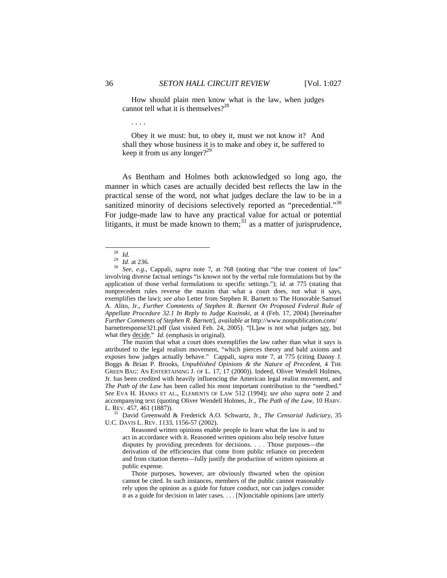How should plain men know what is the law, when judges cannot tell what it is themselves? $2^{28}$ 

. . . .

 Obey it we must: but, to obey it, must we not know it? And shall they whose business it is to make and obey it, be suffered to keep it from us any longer?<sup>29</sup>

As Bentham and Holmes both acknowledged so long ago, the manner in which cases are actually decided best reflects the law in the practical sense of the word, not what judges declare the law to be in a sanitized minority of decisions selectively reported as "precedential."<sup>30</sup> For judge-made law to have any practical value for actual or potential litigants, it must be made known to them; $31$  as a matter of jurisprudence,

 The maxim that what a court does exemplifies the law rather than what it says is attributed to the legal realism movement, "which pierces theory and bald axioms and exposes how judges actually behave." Cappali, *supra* note 7*,* at 775 (citing Danny J. Boggs & Brian P. Brooks, *Unpublished Opinions & the Nature of Precedent*, 4 THE GREEN BAG: AN ENTERTAINING J. OF L. 17, 17 (2000)). Indeed, Oliver Wendell Holmes, Jr. has been credited with heavily influencing the American legal realist movement, and *The Path of the Law* has been called his most important contribution to the "seedbed." *See* EVA H. HANKS ET AL., ELEMENTS OF LAW 512 (1994); *see also supra* note 2 and accompanying text (quoting Oliver Wendell Holmes, Jr., *The Path of the Law,* 10 HARV.

<sup>31</sup> David Greenwald & Frederick A.O. Schwartz, Jr., *The Censorial Judiciary*, 35 U.C. DAVIS L. REV. 1133, 1156-57 (2002).

 Reasoned written opinions enable people to learn what the law is and to act in accordance with it. Reasoned written opinions also help resolve future disputes by providing precedents for decisions. . . . Those purposes—the derivation of the efficiencies that come from public reliance on precedent and from citation thereto—fully justify the production of written opinions at public expense.

 Those purposes, however, are obviously thwarted when the opinion cannot be cited. In such instances, members of the public cannot reasonably rely upon the opinion as a guide for future conduct, nor can judges consider it as a guide for decision in later cases. . . . [N]oncitable opinions [are utterly

<sup>28</sup> *Id.* <sup>29</sup> *Id.* at 236. 30 *See, e.g*., Cappali, *supra* note 7, at 768 (noting that "the true content of law" involving diverse factual settings "is known not by the verbal rule formulations but by the application of those verbal formulations to specific settings."); *id.* at 775 (stating that nonprecedent rules reverse the maxim that what a court does, not what it says, exemplifies the law); *see also* Letter from Stephen R. Barnett to The Honorable Samuel A. Alito, Jr., *Further Comments of Stephen R. Barnett On Proposed Federal Rule of Appellate Procedure 32.1 In Reply to Judge Kozinski,* at 4 (Feb. 17, 2004) [hereinafter *Further Comments of Stephen R. Barnett*], *available at* http://www.nonpublication.com/ barnettresponse321.pdf (last visited Feb. 24, 2005). "[L]aw is not what judges say, but what they decide." *Id.* (emphasis in original).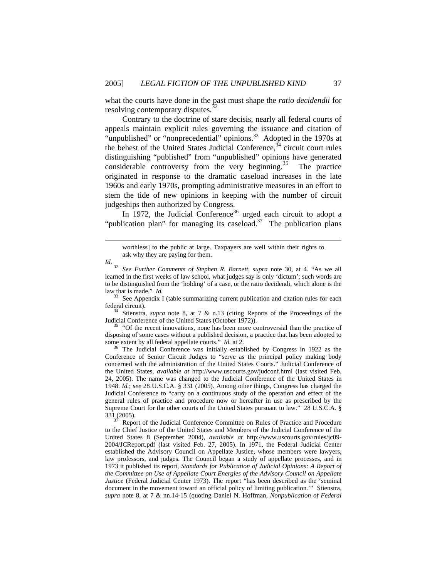what the courts have done in the past must shape the *ratio decidendii* for resolving contemporary disputes.<sup>32</sup>

Contrary to the doctrine of stare decisis, nearly all federal courts of appeals maintain explicit rules governing the issuance and citation of "unpublished" or "nonprecedential" opinions.<sup>33</sup> Adopted in the 1970s at the behest of the United States Judicial Conference,  $34$  circuit court rules distinguishing "published" from "unpublished" opinions have generated considerable controversy from the very beginning.<sup>35</sup> The practice originated in response to the dramatic caseload increases in the late 1960s and early 1970s, prompting administrative measures in an effort to stem the tide of new opinions in keeping with the number of circuit judgeships then authorized by Congress.

In 1972, the Judicial Conference<sup>36</sup> urged each circuit to adopt a "publication plan" for managing its caseload.<sup>37</sup> The publication plans

*Id*.

 $\overline{a}$ 

federal circuit). 34 Stienstra, *supra* note 8, at 7 & n.13 (citing Reports of the Proceedings of the Judicial Conference of the United States (October 1972)).<br><sup>35</sup> "Of the recent innovations, none has been more controversial than the practice of

disposing of some cases without a published decision, a practice that has been adopted to some extent by all federal appellate courts."  $Id$  at 2.

<sup>36</sup> The Judicial Conference was initially established by Congress in 1922 as the Conference of Senior Circuit Judges to "serve as the principal policy making body concerned with the administration of the United States Courts." Judicial Conference of the United States, *available at* http://www.uscourts.gov/judconf.html (last visited Feb. 24, 2005). The name was changed to the Judicial Conference of the United States in 1948. *Id.*; *see* 28 U.S.C.A. § 331 (2005). Among other things, Congress has charged the Judicial Conference to "carry on a continuous study of the operation and effect of the general rules of practice and procedure now or hereafter in use as prescribed by the Supreme Court for the other courts of the United States pursuant to law." 28 U.S.C.A. §  $331(2005)$ .<br> $37$  Report of the Judicial Conference Committee on Rules of Practice and Procedure

to the Chief Justice of the United States and Members of the Judicial Conference of the United States 8 (September 2004), *available at* http://www.uscourts.gov/rules/jc09- 2004/JCReport.pdf (last visited Feb. 27, 2005). In 1971, the Federal Judicial Center established the Advisory Council on Appellate Justice, whose members were lawyers, law professors, and judges. The Council began a study of appellate processes, and in 1973 it published its report, *Standards for Publication of Judicial Opinions: A Report of the Committee on Use of Appellate Court Energies of the Advisory Council on Appellate Justice* (Federal Judicial Center 1973). The report "has been described as the 'seminal document in the movement toward an official policy of limiting publication.'" Stienstra, *supra* note 8, at 7 & nn.14-15 (quoting Daniel N. Hoffman, *Nonpublication of Federal* 

worthless] to the public at large. Taxpayers are well within their rights to ask why they are paying for them.

<sup>32</sup> *See Further Comments of Stephen R. Barnett, supra* note 30, at 4. "As we all learned in the first weeks of law school, what judges say is only 'dictum'; such words are to be distinguished from the 'holding' of a case, or the ratio decidendi, which alone is the law that is made." *Id.*  $I$ <br><sup>33</sup> See Appendix I (table summarizing current publication and citation rules for each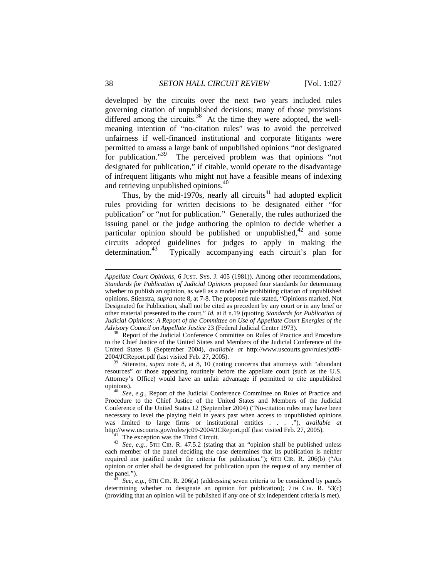developed by the circuits over the next two years included rules governing citation of unpublished decisions; many of those provisions differed among the circuits.<sup>38</sup> At the time they were adopted, the wellmeaning intention of "no-citation rules" was to avoid the perceived unfairness if well-financed institutional and corporate litigants were permitted to amass a large bank of unpublished opinions "not designated for publication."<sup>39</sup> The perceived problem was that opinions "not designated for publication," if citable, would operate to the disadvantage of infrequent litigants who might not have a feasible means of indexing and retrieving unpublished opinions.<sup>40</sup>

Thus, by the mid-1970s, nearly all circuits $41$  had adopted explicit rules providing for written decisions to be designated either "for publication" or "not for publication." Generally, the rules authorized the issuing panel or the judge authoring the opinion to decide whether a particular opinion should be published or unpublished, $42$  and some circuits adopted guidelines for judges to apply in making the determination.<sup>43</sup> Typically accompanying each circuit's plan for Typically accompanying each circuit's plan for

*Appellate Court Opinions*, 6 JUST. SYS. J. 405 (1981)). Among other recommendations, *Standards for Publication of Judicial Opinions* proposed four standards for determining whether to publish an opinion, as well as a model rule prohibiting citation of unpublished opinions. Stienstra, *supra* note 8, at 7-8. The proposed rule stated, "Opinions marked, Not Designated for Publication, shall not be cited as precedent by any court or in any brief or other material presented to the court." *Id.* at 8 n.19 (quoting *Standards for Publication of Judicial Opinions: A Report of the Committee on Use of Appellate Court Energies of the Advisory Council on Appellate Justice* 23 (Federal Judicial Center 1973).<br><sup>38</sup> Report of the Judicial Conference Committee on Rules of Practice and Procedure

to the Chief Justice of the United States and Members of the Judicial Conference of the United States 8 (September 2004), *available at* http://www.uscourts.gov/rules/jc09- 2004/JCReport.pdf (last visited Feb. 27, 2005). 39 Stienstra, *supra* note 8, at 8, 10 (noting concerns that attorneys with "abundant

resources" or those appearing routinely before the appellate court (such as the U.S. Attorney's Office) would have an unfair advantage if permitted to cite unpublished

opinions). 40 *See, e.g.*, Report of the Judicial Conference Committee on Rules of Practice and Procedure to the Chief Justice of the United States and Members of the Judicial Conference of the United States 12 (September 2004) ("No-citation rules may have been necessary to level the playing field in years past when access to unpublished opinions was limited to large firms or institutional entities . . . ."), *available at* http://www.uscourts.gov/rules/jc09-2004/JCReport.pdf (last visited Feb. 27, 2005).<br><sup>41</sup> The exception was the Third Circuit.<br><sup>42</sup> See, e.g., 5TH CIR. R. 47.5.2 (stating that an "opinion shall be published unless

each member of the panel deciding the case determines that its publication is neither required nor justified under the criteria for publication."); 6TH CIR. R. 206(b) ("An opinion or order shall be designated for publication upon the request of any member of the panel.").<br>  $\frac{43}{43}$  S

See, e.g., 6TH CIR. R. 206(a) (addressing seven criteria to be considered by panels determining whether to designate an opinion for publication); 7TH CIR. R. 53(c) (providing that an opinion will be published if any one of six independent criteria is met).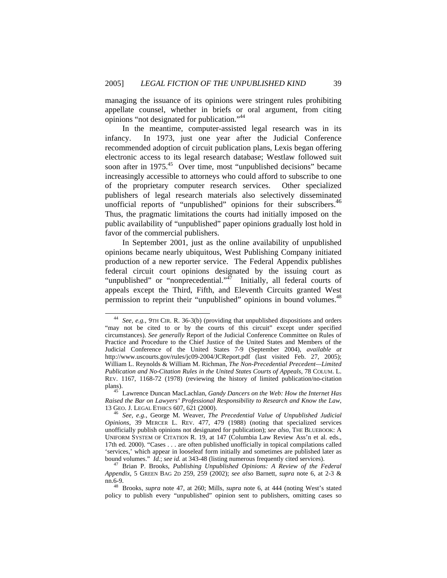managing the issuance of its opinions were stringent rules prohibiting appellate counsel, whether in briefs or oral argument, from citing opinions "not designated for publication."44

In the meantime, computer-assisted legal research was in its infancy. In 1973, just one year after the Judicial Conference recommended adoption of circuit publication plans, Lexis began offering electronic access to its legal research database; Westlaw followed suit soon after in 1975.<sup>45</sup> Over time, most "unpublished decisions" became increasingly accessible to attorneys who could afford to subscribe to one of the proprietary computer research services. Other specialized publishers of legal research materials also selectively disseminated unofficial reports of "unpublished" opinions for their subscribers.<sup>46</sup> Thus, the pragmatic limitations the courts had initially imposed on the public availability of "unpublished" paper opinions gradually lost hold in favor of the commercial publishers.

In September 2001, just as the online availability of unpublished opinions became nearly ubiquitous, West Publishing Company initiated production of a new reporter service. The Federal Appendix publishes federal circuit court opinions designated by the issuing court as "unpublished" or "nonprecedential."<sup>47</sup> Initially, all federal courts of appeals except the Third, Fifth, and Eleventh Circuits granted West permission to reprint their "unpublished" opinions in bound volumes.<sup>48</sup>

 <sup>44</sup> *See, e.g.*, 9TH CIR. R. 36-3(b) (providing that unpublished dispositions and orders "may not be cited to or by the courts of this circuit" except under specified circumstances). *See generally* Report of the Judicial Conference Committee on Rules of Practice and Procedure to the Chief Justice of the United States and Members of the Judicial Conference of the United States 7-9 (September 2004), *available at* http://www.uscourts.gov/rules/jc09-2004/JCReport.pdf (last visited Feb. 27, 2005); William L. Reynolds & William M. Richman, *The Non-Precedential Precedent—Limited Publication and No-Citation Rules in the United States Courts of Appeals*, 78 COLUM. L. REV. 1167, 1168-72 (1978) (reviewing the history of limited publication/no-citation plans). 45 Lawrence Duncan MacLachlan, *Gandy Dancers on the Web: How the Internet Has* 

*Raised the Bar on Lawyers' Professional Responsibility to Research and Know the Law*, 13 GEO. J. LEGAL ETHICS 607, 621 (2000). 46 *See, e.g.*, George M. Weaver, *The Precedential Value of Unpublished Judicial* 

*Opinions,* 39 MERCER L. REV. 477, 479 (1988) (noting that specialized services unofficially publish opinions not designated for publication); *see also,* THE BLUEBOOK: A UNIFORM SYSTEM OF CITATION R. 19, at 147 (Columbia Law Review Ass'n et al. eds., 17th ed. 2000). "Cases . . . are often published unofficially in topical compilations called 'services,' which appear in looseleaf form initially and sometimes are published later as bound volumes." *Id.*; *see id.* at 343-48 (listing numerous frequently cited services). 47 Brian P. Brooks, *Publishing Unpublished Opinions: A Review of the Federal* 

*Appendix*, 5 GREEN BAG 2D 259, 259 (2002); *see also* Barnett, *supra* note 6, at 2-3 &

nn.6-9. 48 Brooks, *supra* note 47, at 260; Mills, *supra* note 6, at 444 (noting West's stated policy to publish every "unpublished" opinion sent to publishers, omitting cases so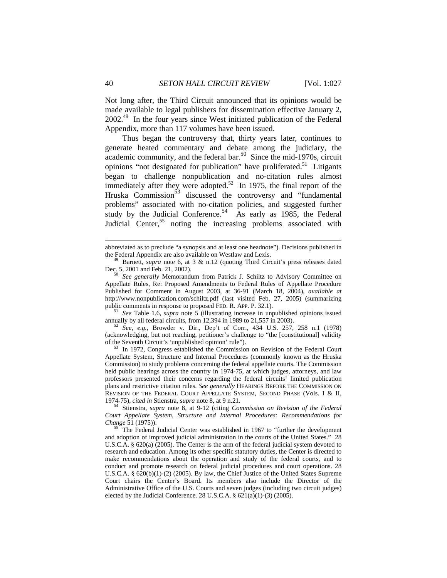Not long after, the Third Circuit announced that its opinions would be made available to legal publishers for dissemination effective January 2, 2002.49 In the four years since West initiated publication of the Federal Appendix, more than 117 volumes have been issued.

Thus began the controversy that, thirty years later, continues to generate heated commentary and debate among the judiciary, the academic community, and the federal bar. $50\,$  Since the mid-1970s, circuit opinions "not designated for publication" have proliferated.<sup>51</sup> Litigants began to challenge nonpublication and no-citation rules almost immediately after they were adopted.<sup>52</sup> In 1975, the final report of the Hruska Commission<sup>53</sup> discussed the controversy and "fundamental problems" associated with no-citation policies, and suggested further study by the Judicial Conference.<sup>54</sup> As early as 1985, the Federal Judicial Center,<sup>55</sup> noting the increasing problems associated with

annually by all federal circuits, from 12,394 in 1989 to 21,557 in 2003). 52 *See, e.g.*, Browder v. Dir., Dep't of Corr., 434 U.S. 257, 258 n.1 (1978) (acknowledging, but not reaching, petitioner's challenge to "the [constitutional] validity

of the Seventh Circuit's 'unpublished opinion' rule"). 53 In 1972, Congress established the Commission on Revision of the Federal Court Appellate System, Structure and Internal Procedures (commonly known as the Hruska Commission) to study problems concerning the federal appellate courts. The Commission held public hearings across the country in 1974-75, at which judges, attorneys, and law professors presented their concerns regarding the federal circuits' limited publication plans and restrictive citation rules. *See generally* HEARINGS BEFORE THE COMMISSION ON REVISION OF THE FEDERAL COURT APPELLATE SYSTEM, SECOND PHASE (Vols. I & II,

1974-75), *cited in* Stienstra, *supra* note 8, at 9 n.21. 54 Stienstra, *supra* note 8, at 9-12 (citing *Commission on Revision of the Federal Court Appellate System, Structure and Internal Procedures: Recommendations for* 

*Change* 51 (1975)). 55 The Federal Judicial Center was established in 1967 to "further the development and adoption of improved judicial administration in the courts of the United States." 28 U.S.C.A. § 620(a) (2005). The Center is the arm of the federal judicial system devoted to research and education. Among its other specific statutory duties, the Center is directed to make recommendations about the operation and study of the federal courts, and to conduct and promote research on federal judicial procedures and court operations. 28 U.S.C.A. § 620(b)(1)-(2) (2005). By law, the Chief Justice of the United States Supreme Court chairs the Center's Board. Its members also include the Director of the Administrative Office of the U.S. Courts and seven judges (including two circuit judges) elected by the Judicial Conference. 28 U.S.C.A. § 621(a)(1)-(3) (2005).

abbreviated as to preclude "a synopsis and at least one headnote"). Decisions published in the Federal Appendix are also available on Westlaw and Lexis. 49 Barnett, *supra* note 6, at 3 & n.12 (quoting Third Circuit's press releases dated

Dec. 5, 2001 and Feb. 21, 2002). 50 *See generally* Memorandum from Patrick J. Schiltz to Advisory Committee on

Appellate Rules, Re: Proposed Amendments to Federal Rules of Appellate Procedure Published for Comment in August 2003, at 36-91 (March 18, 2004), *available at* http://www.nonpublication.com/schiltz.pdf (last visited Feb. 27, 2005) (summarizing public comments in response to proposed FED. R. APP. P. 32.1). 51 *See* Table 1.6, *supra* note 5 (illustrating increase in unpublished opinions issued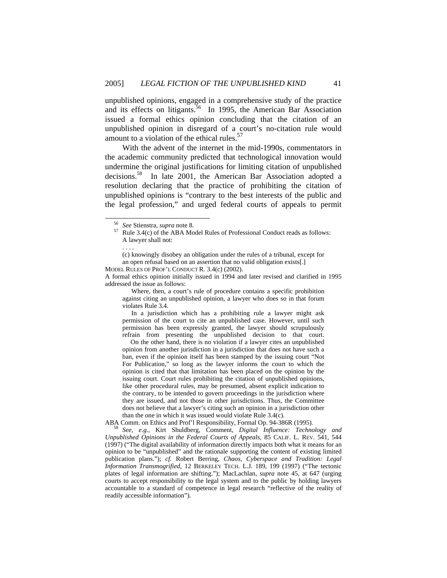unpublished opinions, engaged in a comprehensive study of the practice and its effects on litigants.<sup>56</sup> In 1995, the American Bar Association issued a formal ethics opinion concluding that the citation of an unpublished opinion in disregard of a court's no-citation rule would amount to a violation of the ethical rules.<sup>57</sup>

With the advent of the internet in the mid-1990s, commentators in the academic community predicted that technological innovation would undermine the original justifications for limiting citation of unpublished decisions.58 In late 2001, the American Bar Association adopted a resolution declaring that the practice of prohibiting the citation of unpublished opinions is "contrary to the best interests of the public and the legal profession," and urged federal courts of appeals to permit

. . . .

MODEL RULES OF PROF'L CONDUCT R. 3.4(c) (2002). A formal ethics opinion initially issued in 1994 and later revised and clarified in 1995 addressed the issue as follows:

 Where, then, a court's rule of procedure contains a specific prohibition against citing an unpublished opinion, a lawyer who does so in that forum violates Rule 3.4.

 In a jurisdiction which has a prohibiting rule a lawyer might ask permission of the court to cite an unpublished case. However, until such permission has been expressly granted, the lawyer should scrupulously refrain from presenting the unpublished decision to that court.

 On the other hand, there is no violation if a lawyer cites an unpublished opinion from another jurisdiction in a jurisdiction that does not have such a ban, even if the opinion itself has been stamped by the issuing court "Not For Publication," so long as the lawyer informs the court to which the opinion is cited that that limitation has been placed on the opinion by the issuing court. Court rules prohibiting the citation of unpublished opinions, like other procedural rules, may be presumed, absent explicit indication to the contrary, to be intended to govern proceedings in the jurisdiction where they are issued, and not those in other jurisdictions. Thus, the Committee does not believe that a lawyer's citing such an opinion in a jurisdiction other than the one in which it was issued would violate Rule 3.4(c).

ABA Comm. on Ethics and Prof'l Responsibility, Formal Op. 94-386R (1995). 58 *See, e.g.*, Kirt Shuldberg, Comment, *Digital Influence: Technology and* 

*Unpublished Opinions in the Federal Courts of Appeals*, 85 CALIF. L. REV. 541, 544 (1997) ("The digital availability of information directly impacts both what it means for an opinion to be "unpublished" and the rationale supporting the content of existing limited publication plans."); *cf.* Robert Berring, *Chaos, Cyberspace and Tradition: Legal Information Transmogrified*, 12 BERKELEY TECH. L.J. 189, 199 (1997) ("The tectonic plates of legal information are shifting."); MacLachlan, *supra* note 45, at 647 (urging courts to accept responsibility to the legal system and to the public by holding lawyers accountable to a standard of competence in legal research "reflective of the reality of readily accessible information").

<sup>56</sup> *See* Stienstra, *supra* note 8. 57 Rule 3.4(c) of the ABA Model Rules of Professional Conduct reads as follows: A lawyer shall not:

<sup>(</sup>c) knowingly disobey an obligation under the rules of a tribunal, except for an open refusal based on an assertion that no valid obligation exists[.]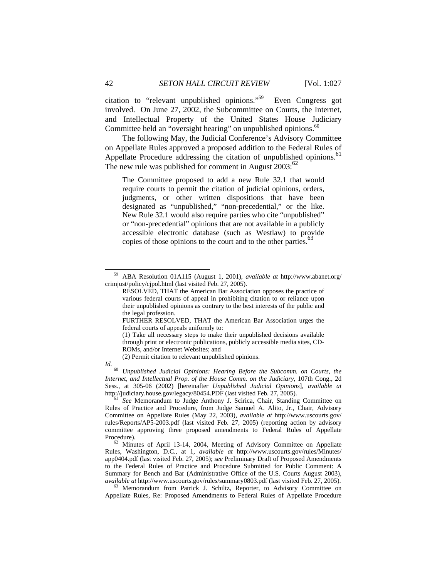citation to "relevant unpublished opinions."59 Even Congress got involved. On June 27, 2002, the Subcommittee on Courts, the Internet, and Intellectual Property of the United States House Judiciary Committee held an "oversight hearing" on unpublished opinions. $60$ 

The following May, the Judicial Conference's Advisory Committee on Appellate Rules approved a proposed addition to the Federal Rules of Appellate Procedure addressing the citation of unpublished opinions.<sup>61</sup> The new rule was published for comment in August  $2003$ :<sup>62</sup>

The Committee proposed to add a new Rule 32.1 that would require courts to permit the citation of judicial opinions, orders, judgments, or other written dispositions that have been designated as "unpublished," "non-precedential," or the like. New Rule 32.1 would also require parties who cite "unpublished" or "non-precedential" opinions that are not available in a publicly accessible electronic database (such as Westlaw) to provide copies of those opinions to the court and to the other parties.<sup>6</sup>

 <sup>59</sup> ABA Resolution 01A115 (August 1, 2001), *available at* http://www.abanet.org/ crimjust/policy/cjpol.html (last visited Feb. 27, 2005).

RESOLVED, THAT the American Bar Association opposes the practice of various federal courts of appeal in prohibiting citation to or reliance upon their unpublished opinions as contrary to the best interests of the public and the legal profession.

FURTHER RESOLVED, THAT the American Bar Association urges the federal courts of appeals uniformly to:

<sup>(1)</sup> Take all necessary steps to make their unpublished decisions available through print or electronic publications, publicly accessible media sites, CD-ROMs, and/or Internet Websites; and

<sup>(2)</sup> Permit citation to relevant unpublished opinions.

*Id.* <sup>(2)</sup> **Controllering Communist Controllering Controllering Before the Subcomm. on Courts, the <br><sup>60</sup> Unpublished Judicial Opinions: Hearing Before the Subcomm. on Courts, the** *Internet, and Intellectual Prop. of the House Comm. on the Judiciary*, 107th Cong., 2d Sess., at 305-06 (2002) [hereinafter *Unpublished Judicial Opinions*], *available at* 

See Memorandum to Judge Anthony J. Scirica, Chair, Standing Committee on Rules of Practice and Procedure, from Judge Samuel A. Alito, Jr., Chair, Advisory Committee on Appellate Rules (May 22, 2003), *available at* http://www.uscourts.gov/ rules/Reports/AP5-2003.pdf (last visited Feb. 27, 2005) (reporting action by advisory committee approving three proposed amendments to Federal Rules of Appellate Procedure). 62 Minutes of April 13-14, 2004, Meeting of Advisory Committee on Appellate

Rules, Washington, D.C., at 1, *available at* http://www.uscourts.gov/rules/Minutes/ app0404.pdf (last visited Feb. 27, 2005); *see* Preliminary Draft of Proposed Amendments to the Federal Rules of Practice and Procedure Submitted for Public Comment: A Summary for Bench and Bar (Administrative Office of the U.S. Courts August 2003), *available at* http://www.uscourts.gov/rules/summary0803.pdf (last visited Feb. 27, 2005). 63 Memorandum from Patrick J. Schiltz, Reporter, to Advisory Committee on

Appellate Rules, Re: Proposed Amendments to Federal Rules of Appellate Procedure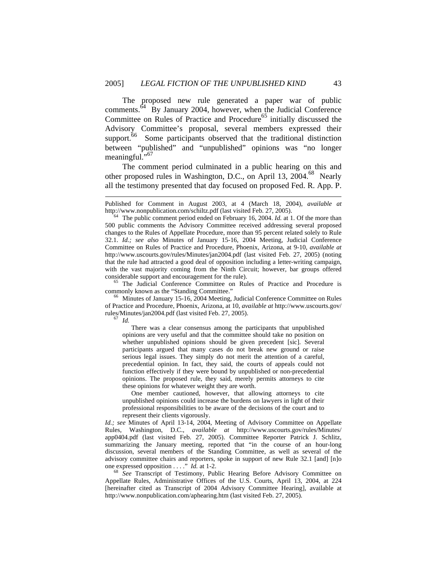The proposed new rule generated a paper war of public comments.64 By January 2004, however, when the Judicial Conference Committee on Rules of Practice and Procedure<sup>65</sup> initially discussed the Advisory Committee's proposal, several members expressed their support.<sup>66</sup> Some participants observed that the traditional distinction between "published" and "unpublished" opinions was "no longer meaningful."<sup>67</sup>

The comment period culminated in a public hearing on this and other proposed rules in Washington, D.C., on April 13, 2004.68 Nearly all the testimony presented that day focused on proposed Fed. R. App. P.

commonly known as the "Standing Committee." 66 Minutes of January 15-16, 2004 Meeting, Judicial Conference Committee on Rules

of Practice and Procedure, Phoenix, Arizona, at 10, *available at* http://www.uscourts.gov/ rules/Minutes/jan2004.pdf (last visited Feb. 27, 2005). 67 *Id.* 

 $\overline{a}$ 

 There was a clear consensus among the participants that unpublished opinions are very useful and that the committee should take no position on whether unpublished opinions should be given precedent [sic]. Several participants argued that many cases do not break new ground or raise serious legal issues. They simply do not merit the attention of a careful, precedential opinion. In fact, they said, the courts of appeals could not function effectively if they were bound by unpublished or non-precedential opinions. The proposed rule, they said, merely permits attorneys to cite these opinions for whatever weight they are worth.

 One member cautioned, however, that allowing attorneys to cite unpublished opinions could increase the burdens on lawyers in light of their professional responsibilities to be aware of the decisions of the court and to represent their clients vigorously.

*Id.; see* Minutes of April 13-14, 2004, Meeting of Advisory Committee on Appellate Rules, Washington, D.C., *available at* http://www.uscourts.gov/rules/Minutes/ app0404.pdf (last visited Feb. 27, 2005). Committee Reporter Patrick J. Schlitz, summarizing the January meeting, reported that "in the course of an hour-long discussion, several members of the Standing Committee, as well as several of the advisory committee chairs and reporters, spoke in support of new Rule 32.1 [and] [n]o one expressed opposition . . . ." *Id.* at 1-2. 68 *See* Transcript of Testimony, Public Hearing Before Advisory Committee on

Appellate Rules, Administrative Offices of the U.S. Courts, April 13, 2004, at 224 [hereinafter cited as Transcript of 2004 Advisory Committee Hearing], available at http://www.nonpublication.com/aphearing.htm (last visited Feb. 27, 2005).

Published for Comment in August 2003, at 4 (March 18, 2004), *available at* http://www.nonpublication.com/schiltz.pdf (last visited Feb. 27, 2005). 64 The public comment period ended on February 16, 2004. *Id.* at 1. Of the more than

<sup>500</sup> public comments the Advisory Committee received addressing several proposed changes to the Rules of Appellate Procedure, more than 95 percent related solely to Rule 32.1. *Id.; see also* Minutes of January 15-16, 2004 Meeting, Judicial Conference Committee on Rules of Practice and Procedure, Phoenix, Arizona, at 9-10, *available at*  http://www.uscourts.gov/rules/Minutes/jan2004.pdf (last visited Feb. 27, 2005) (noting that the rule had attracted a good deal of opposition including a letter-writing campaign, with the vast majority coming from the Ninth Circuit; however, bar groups offered considerable support and encouragement for the rule). 65 The Judicial Conference Committee on Rules of Practice and Procedure is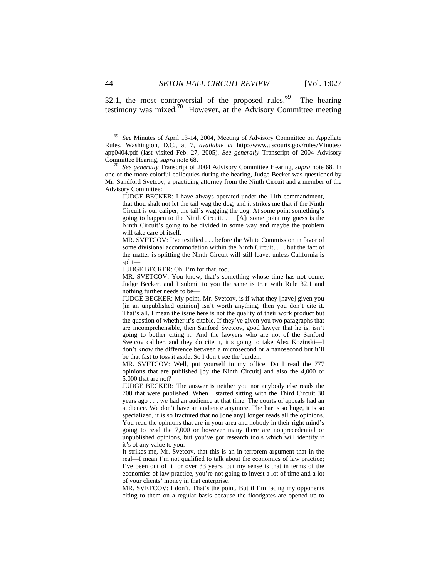32.1, the most controversial of the proposed rules.<sup>69</sup> The hearing testimony was mixed.70 However, at the Advisory Committee meeting

JUDGE BECKER: I have always operated under the 11th commandment, that thou shalt not let the tail wag the dog, and it strikes me that if the Ninth Circuit is our caliper, the tail's wagging the dog. At some point something's going to happen to the Ninth Circuit. . . . [A]t some point my guess is the Ninth Circuit's going to be divided in some way and maybe the problem will take care of itself.

MR. SVETCOV: I've testified . . . before the White Commission in favor of some divisional accommodation within the Ninth Circuit, . . . but the fact of the matter is splitting the Ninth Circuit will still leave, unless California is split—

JUDGE BECKER: Oh, I'm for that, too.

MR. SVETCOV: You know, that's something whose time has not come, Judge Becker, and I submit to you the same is true with Rule 32.1 and nothing further needs to be—

JUDGE BECKER: My point, Mr. Svetcov, is if what they [have] given you [in an unpublished opinion] isn't worth anything, then you don't cite it. That's all. I mean the issue here is not the quality of their work product but the question of whether it's citable. If they've given you two paragraphs that are incomprehensible, then Sanford Svetcov, good lawyer that he is, isn't going to bother citing it. And the lawyers who are not of the Sanford Svetcov caliber, and they do cite it, it's going to take Alex Kozinski—I don't know the difference between a microsecond or a nanosecond but it'll be that fast to toss it aside. So I don't see the burden.

MR. SVETCOV: Well, put yourself in my office. Do I read the 777 opinions that are published [by the Ninth Circuit] and also the 4,000 or 5,000 that are not?

JUDGE BECKER: The answer is neither you nor anybody else reads the 700 that were published. When I started sitting with the Third Circuit 30 years ago . . . we had an audience at that time. The courts of appeals had an audience. We don't have an audience anymore. The bar is so huge, it is so specialized, it is so fractured that no [one any] longer reads all the opinions. You read the opinions that are in your area and nobody in their right mind's going to read the 7,000 or however many there are nonprecedential or unpublished opinions, but you've got research tools which will identify if it's of any value to you.

It strikes me, Mr. Svetcov, that this is an in terrorem argument that in the real—I mean I'm not qualified to talk about the economics of law practice; I've been out of it for over 33 years, but my sense is that in terms of the economics of law practice, you're not going to invest a lot of time and a lot of your clients' money in that enterprise.

MR. SVETCOV: I don't. That's the point. But if I'm facing my opponents citing to them on a regular basis because the floodgates are opened up to

 <sup>69</sup> *See* Minutes of April 13-14, 2004, Meeting of Advisory Committee on Appellate Rules, Washington, D.C., at 7, *available at* http://www.uscourts.gov/rules/Minutes/ app0404.pdf (last visited Feb. 27, 2005). *See generally* Transcript of 2004 Advisory Committee Hearing, *supra* note 68. 70 *See generally* Transcript of 2004 Advisory Committee Hearing, *supra* note 68. In

one of the more colorful colloquies during the hearing, Judge Becker was questioned by Mr. Sandford Svetcov, a practicing attorney from the Ninth Circuit and a member of the Advisory Committee: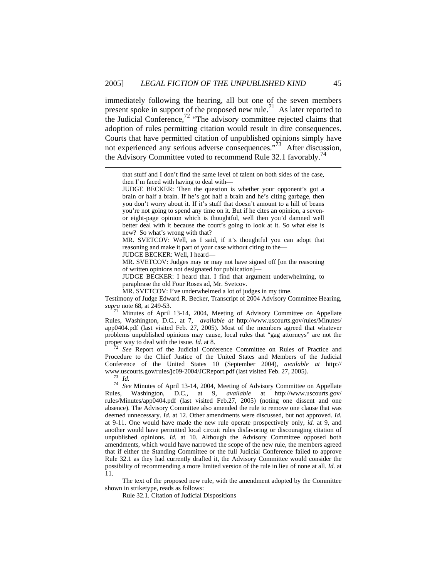immediately following the hearing, all but one of the seven members present spoke in support of the proposed new rule.<sup>71</sup> As later reported to the Judicial Conference, $72$  "The advisory committee rejected claims that adoption of rules permitting citation would result in dire consequences. Courts that have permitted citation of unpublished opinions simply have not experienced any serious adverse consequences."<sup>73</sup> After discussion, the Advisory Committee voted to recommend Rule 32.1 favorably.<sup>74</sup>

MR. SVETCOV: Well, as I said, if it's thoughtful you can adopt that reasoning and make it part of your case without citing to the—

JUDGE BECKER: Well, I heard—

MR. SVETCOV: Judges may or may not have signed off [on the reasoning of written opinions not designated for publication]—

JUDGE BECKER: I heard that. I find that argument underwhelming, to paraphrase the old Four Roses ad, Mr. Svetcov.

MR. SVETCOV: I've underwhelmed a lot of judges in my time.

Testimony of Judge Edward R. Becker, Transcript of 2004 Advisory Committee Hearing, *supra* note 68, at 249-53.

*Minutes of April 13-14, 2004, Meeting of Advisory Committee on Appellate* Rules, Washington, D.C., at 7, *available at* http://www.uscourts.gov/rules/Minutes/ app0404.pdf (last visited Feb. 27, 2005). Most of the members agreed that whatever problems unpublished opinions may cause, local rules that "gag attorneys" are not the proper way to deal with the issue. *Id.* at 8.

<sup>72</sup> See Report of the Judicial Conference Committee on Rules of Practice and Procedure to the Chief Justice of the United States and Members of the Judicial Conference of the United States 10 (September 2004), *available at* http://

l

www.uscourts.gov/rules/jc09-2004/JCReport.pdf (last visited Feb. 27, 2005). 73 *Id.* <sup>74</sup> *See* Minutes of April 13-14, 2004, Meeting of Advisory Committee on Appellate Rules, Washington, D.C., at 9, *available* at http://www.uscourts.gov/ rules/Minutes/app0404.pdf (last visited Feb.27, 2005) (noting one dissent and one absence). The Advisory Committee also amended the rule to remove one clause that was deemed unnecessary. *Id.* at 12. Other amendments were discussed, but not approved. *Id.* at 9-11. One would have made the new rule operate prospectively only, *id.* at 9, and another would have permitted local circuit rules disfavoring or discouraging citation of unpublished opinions. *Id.* at 10. Although the Advisory Committee opposed both amendments, which would have narrowed the scope of the new rule, the members agreed that if either the Standing Committee or the full Judicial Conference failed to approve Rule 32.1 as they had currently drafted it, the Advisory Committee would consider the possibility of recommending a more limited version of the rule in lieu of none at all. *Id.* at 11.

The text of the proposed new rule, with the amendment adopted by the Committee shown in striketype, reads as follows:

Rule 32.1. Citation of Judicial Dispositions

that stuff and I don't find the same level of talent on both sides of the case, then I'm faced with having to deal with—

JUDGE BECKER: Then the question is whether your opponent's got a brain or half a brain. If he's got half a brain and he's citing garbage, then you don't worry about it. If it's stuff that doesn't amount to a hill of beans you're not going to spend any time on it. But if he cites an opinion, a sevenor eight-page opinion which is thoughtful, well then you'd damned well better deal with it because the court's going to look at it. So what else is new? So what's wrong with that?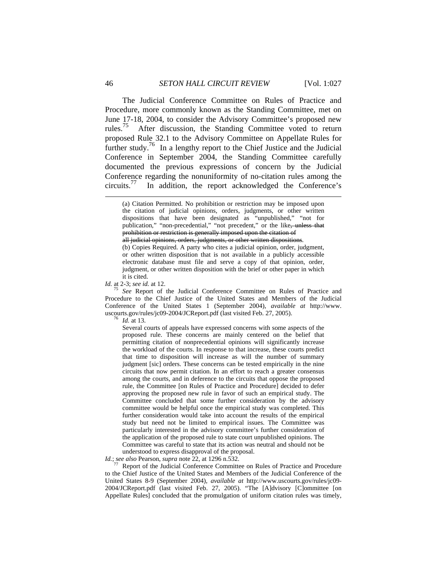The Judicial Conference Committee on Rules of Practice and Procedure, more commonly known as the Standing Committee, met on June 17-18, 2004, to consider the Advisory Committee's proposed new rules.<sup>75</sup> After discussion, the Standing Committee voted to return proposed Rule 32.1 to the Advisory Committee on Appellate Rules for further study.<sup>76</sup> In a lengthy report to the Chief Justice and the Judicial Conference in September 2004, the Standing Committee carefully documented the previous expressions of concern by the Judicial Conference regarding the nonuniformity of no-citation rules among the circuits.<sup>77</sup> In addition, the report acknowledged the Conference's In addition, the report acknowledged the Conference's

all judicial opinions, orders, judgments, or other written dispositions. (b) Copies Required. A party who cites a judicial opinion, order, judgment, or other written disposition that is not available in a publicly accessible electronic database must file and serve a copy of that opinion, order, judgment, or other written disposition with the brief or other paper in which

it is cited.<br>Id. at 2-3; see id. at 12.

*See* Report of the Judicial Conference Committee on Rules of Practice and Procedure to the Chief Justice of the United States and Members of the Judicial Conference of the United States 1 (September 2004), *available at* http://www. uscourts.gov/rules/jc09-2004/JCReport.pdf (last visited Feb. 27, 2005). 76 *Id.* at 13.

Several courts of appeals have expressed concerns with some aspects of the proposed rule. These concerns are mainly centered on the belief that permitting citation of nonprecedential opinions will significantly increase the workload of the courts. In response to that increase, these courts predict that time to disposition will increase as will the number of summary judgment [sic] orders. These concerns can be tested empirically in the nine circuits that now permit citation. In an effort to reach a greater consensus among the courts, and in deference to the circuits that oppose the proposed rule, the Committee [on Rules of Practice and Procedure] decided to defer approving the proposed new rule in favor of such an empirical study. The Committee concluded that some further consideration by the advisory committee would be helpful once the empirical study was completed. This further consideration would take into account the results of the empirical study but need not be limited to empirical issues. The Committee was particularly interested in the advisory committee's further consideration of the application of the proposed rule to state court unpublished opinions. The Committee was careful to state that its action was neutral and should not be understood to express disapproval of the proposal.

*Id.*; *see also* Pearson, *supra* note 22, at 1296 n.532.<br><sup>77</sup> Report of the Judicial Conference Committee on Rules of Practice and Procedure to the Chief Justice of the United States and Members of the Judicial Conference of the United States 8-9 (September 2004), *available at* http://www.uscourts.gov/rules/jc09- 2004/JCReport.pdf (last visited Feb. 27, 2005). "The [A]dvisory [C]ommittee [on Appellate Rules] concluded that the promulgation of uniform citation rules was timely,

<sup>(</sup>a) Citation Permitted. No prohibition or restriction may be imposed upon the citation of judicial opinions, orders, judgments, or other written dispositions that have been designated as "unpublished," "not for publication," "non-precedential," "not precedent," or the like, unless that prohibition or restriction is generally imposed upon the citation of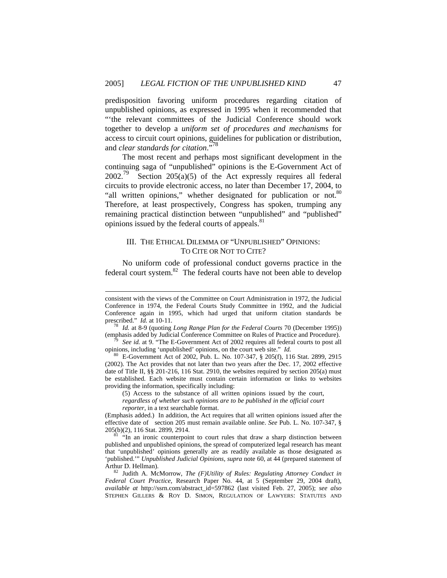predisposition favoring uniform procedures regarding citation of unpublished opinions, as expressed in 1995 when it recommended that "'the relevant committees of the Judicial Conference should work together to develop a *uniform set of procedures and mechanisms* for access to circuit court opinions, guidelines for publication or distribution, and *clear standards for citation*."78

The most recent and perhaps most significant development in the continuing saga of "unpublished" opinions is the E-Government Act of  $2002.<sup>79</sup>$  Section  $205(a)(5)$  of the Act expressly requires all federal circuits to provide electronic access, no later than December 17, 2004, to "all written opinions," whether designated for publication or not.<sup>80</sup> Therefore, at least prospectively, Congress has spoken, trumping any remaining practical distinction between "unpublished" and "published" opinions issued by the federal courts of appeals.<sup>81</sup>

#### III. THE ETHICAL DILEMMA OF "UNPUBLISHED" OPINIONS: TO CITE OR NOT TO CITE?

No uniform code of professional conduct governs practice in the federal court system.82 The federal courts have not been able to develop

 $\overline{a}$ 

*Id.* at 8-9 (quoting *Long Range Plan for the Federal Courts* 70 (December 1995))

(emphasis added by Judicial Conference Committee on Rules of Practice and Procedure).<br><sup>79</sup> See id. at 9. "The E-Government Act of 2002 requires all federal courts to post all opinions, including 'unpublished' opinions, on

<sup>80</sup> E-Government Act of 2002, Pub. L. No. 107-347, § 205(f), 116 Stat. 2899, 2915 (2002). The Act provides that not later than two years after the Dec. 17, 2002 effective date of Title II, §§ 201-216, 116 Stat. 2910, the websites required by section 205(a) must be established. Each website must contain certain information or links to websites providing the information, specifically including:

(5) Access to the substance of all written opinions issued by the court, *regardless of whether such opinions are to be published in the official court reporter*, in a text searchable format.

(Emphasis added.) In addition, the Act requires that all written opinions issued after the effective date of section 205 must remain available online. *See* Pub. L. No. 107-347, § 205(b)(2), 116 Stat. 2899, 2914.

 $81$  "In an ironic counterpoint to court rules that draw a sharp distinction between published and unpublished opinions, the spread of computerized legal research has meant that 'unpublished' opinions generally are as readily available as those designated as 'published.'" *Unpublished Judicial Opinions, supra* note 60, at 44 (prepared statement of Arthur D. Hellman). 82 Judith A. McMorrow, *The (F)Utility of Rules: Regulating Attorney Conduct in* 

*Federal Court Practice*, Research Paper No. 44, at 5 (September 29, 2004 draft), *available at* http://ssrn.com/abstract\_id=597862 (last visited Feb. 27, 2005); *see also*  STEPHEN GILLERS & ROY D. SIMON, REGULATION OF LAWYERS: STATUTES AND

consistent with the views of the Committee on Court Administration in 1972, the Judicial Conference in 1974, the Federal Courts Study Committee in 1992, and the Judicial Conference again in 1995, which had urged that uniform citation standards be prescribed."  $Id$  at 10-11.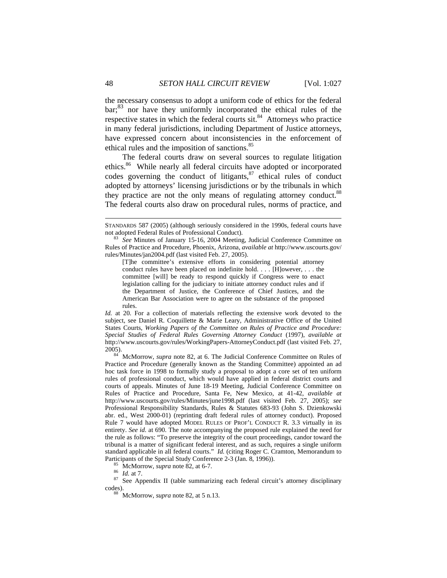the necessary consensus to adopt a uniform code of ethics for the federal bar;<sup>83</sup> nor have they uniformly incorporated the ethical rules of the respective states in which the federal courts sit.<sup>84</sup> Attorneys who practice in many federal jurisdictions, including Department of Justice attorneys, have expressed concern about inconsistencies in the enforcement of ethical rules and the imposition of sanctions.<sup>85</sup>

The federal courts draw on several sources to regulate litigation ethics.<sup>86</sup> While nearly all federal circuits have adopted or incorporated codes governing the conduct of litigants, $87$  ethical rules of conduct adopted by attorneys' licensing jurisdictions or by the tribunals in which they practice are not the only means of regulating attorney conduct.<sup>88</sup> The federal courts also draw on procedural rules, norms of practice, and

*Id.* at 20. For a collection of materials reflecting the extensive work devoted to the subject, see Daniel R. Coquillette & Marie Leary, Administrative Office of the United States Courts, *Working Papers of the Committee on Rules of Practice and Procedure: Special Studies of Federal Rules Governing Attorney Conduct* (1997), *available at* http://www.uscourts.gov/rules/WorkingPapers-AttorneyConduct.pdf (last visited Feb. 27, 2005). 84 McMorrow, *supra* note 82, at 6. The Judicial Conference Committee on Rules of

Practice and Procedure (generally known as the Standing Committee) appointed an ad hoc task force in 1998 to formally study a proposal to adopt a core set of ten uniform rules of professional conduct, which would have applied in federal district courts and courts of appeals. Minutes of June 18-19 Meeting, Judicial Conference Committee on Rules of Practice and Procedure, Santa Fe, New Mexico, at 41-42, *available at*  http://www.uscourts.gov/rules/Minutes/june1998.pdf (last visited Feb. 27, 2005); *see* Professional Responsibility Standards, Rules & Statutes 683-93 (John S. Dzienkowski abr. ed., West 2000-01) (reprinting draft federal rules of attorney conduct). Proposed Rule 7 would have adopted MODEL RULES OF PROF'L CONDUCT R. 3.3 virtually in its entirety. *See id.* at 690. The note accompanying the proposed rule explained the need for the rule as follows: "To preserve the integrity of the court proceedings, candor toward the tribunal is a matter of significant federal interest, and as such, requires a single uniform standard applicable in all federal courts." *Id.* (citing Roger C. Cramton, Memorandum to

STANDARDS 587 (2005) (although seriously considered in the 1990s, federal courts have not adopted Federal Rules of Professional Conduct). 83 *See* Minutes of January 15-16, 2004 Meeting, Judicial Conference Committee on

Rules of Practice and Procedure, Phoenix, Arizona, *available at* http://www.uscourts.gov/ rules/Minutes/jan2004.pdf (last visited Feb. 27, 2005).

<sup>[</sup>T]he committee's extensive efforts in considering potential attorney conduct rules have been placed on indefinite hold. . . . [H]owever, . . . the committee [will] be ready to respond quickly if Congress were to enact legislation calling for the judiciary to initiate attorney conduct rules and if the Department of Justice, the Conference of Chief Justices, and the American Bar Association were to agree on the substance of the proposed rules.

Participants of the Special Study Conference 2-3 (Jan. 8, 1996)).<br><sup>85</sup> McMorrow, *supra* note 82, at 6-7.<br><sup>87</sup> See Appendix II (table summarizing each federal circuit's attorney disciplinary<br><sup>87</sup> See Appendix II (table sum codes). 88 McMorrow, *supra* note 82, at 5 n.13.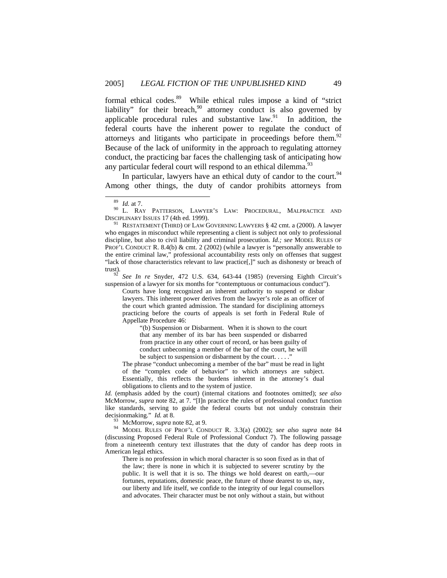formal ethical codes.89 While ethical rules impose a kind of "strict liability" for their breach, $90$  attorney conduct is also governed by applicable procedural rules and substantive  $law<sup>91</sup>$  In addition, the federal courts have the inherent power to regulate the conduct of attorneys and litigants who participate in proceedings before them.<sup>92</sup> Because of the lack of uniformity in the approach to regulating attorney conduct, the practicing bar faces the challenging task of anticipating how any particular federal court will respond to an ethical dilemma.<sup>93</sup>

In particular, lawyers have an ethical duty of candor to the court.<sup>94</sup> Among other things, the duty of candor prohibits attorneys from

suspension of a lawyer for six months for "contemptuous or contumacious conduct").

Courts have long recognized an inherent authority to suspend or disbar lawyers. This inherent power derives from the lawyer's role as an officer of the court which granted admission. The standard for disciplining attorneys practicing before the courts of appeals is set forth in Federal Rule of Appellate Procedure 46:

"(b) Suspension or Disbarment. When it is shown to the court that any member of its bar has been suspended or disbarred from practice in any other court of record, or has been guilty of conduct unbecoming a member of the bar of the court, he will be subject to suspension or disbarment by the court.  $\dots$ ."

The phrase "conduct unbecoming a member of the bar" must be read in light of the "complex code of behavior" to which attorneys are subject. Essentially, this reflects the burdens inherent in the attorney's dual obligations to clients and to the system of justice.

*Id.* (emphasis added by the court) (internal citations and footnotes omitted); *see also*  McMorrow, *supra* note 82, at 7. "[I]n practice the rules of professional conduct function like standards, serving to guide the federal courts but not unduly constrain their decision making."  $Id.$  at 8.

<sup>93</sup> McMorrow, *supra* note 82, at 9. <sup>94</sup> MODEL RULES OF PROF'L CONDUCT R. 3.3(a) (2002); *see also supra* note 84 (discussing Proposed Federal Rule of Professional Conduct 7). The following passage from a nineteenth century text illustrates that the duty of candor has deep roots in American legal ethics.

There is no profession in which moral character is so soon fixed as in that of the law; there is none in which it is subjected to severer scrutiny by the public. It is well that it is so. The things we hold dearest on earth,—our fortunes, reputations, domestic peace, the future of those dearest to us, nay, our liberty and life itself, we confide to the integrity of our legal counsellors and advocates. Their character must be not only without a stain, but without

<sup>&</sup>lt;sup>89</sup> Id. at 7.<br><sup>90</sup> L. RAY PATTERSON, LAWYER'S LAW: PROCEDURAL, MALPRACTICE AND DISCIPLINARY ISSUES 17 (4th ed. 1999).

<sup>&</sup>lt;sup>91</sup> RESTATEMENT (THIRD) OF LAW GOVERNING LAWYERS  $\S$  42 cmt. a (2000). A lawyer who engages in misconduct while representing a client is subject not only to professional discipline, but also to civil liability and criminal prosecution. *Id.; see* MODEL RULES OF PROF'L CONDUCT R. 8.4(b) & cmt. 2 (2002) (while a lawyer is "personally answerable to the entire criminal law," professional accountability rests only on offenses that suggest "lack of those characteristics relevant to law practice[,]" such as dishonesty or breach of trust)*.* <sup>92</sup> *See In re* Snyder, 472 U.S. 634, 643-44 (1985) (reversing Eighth Circuit's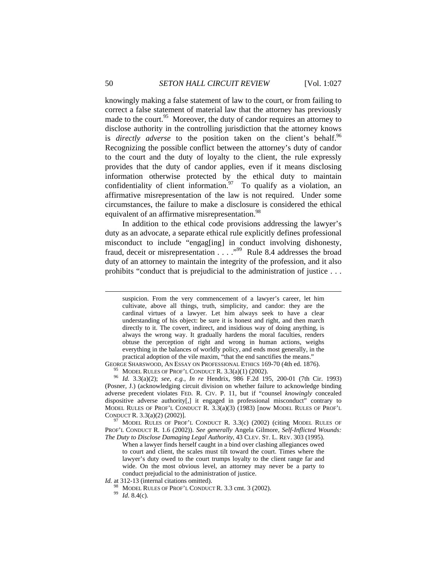knowingly making a false statement of law to the court, or from failing to correct a false statement of material law that the attorney has previously made to the court. $95$  Moreover, the duty of candor requires an attorney to disclose authority in the controlling jurisdiction that the attorney knows is *directly adverse* to the position taken on the client's behalf.<sup>96</sup> Recognizing the possible conflict between the attorney's duty of candor to the court and the duty of loyalty to the client, the rule expressly provides that the duty of candor applies, even if it means disclosing information otherwise protected by the ethical duty to maintain confidentiality of client information.<sup>97</sup> To qualify as a violation, an affirmative misrepresentation of the law is not required. Under some circumstances, the failure to make a disclosure is considered the ethical equivalent of an affirmative misrepresentation.<sup>98</sup>

In addition to the ethical code provisions addressing the lawyer's duty as an advocate, a separate ethical rule explicitly defines professional misconduct to include "engag[ing] in conduct involving dishonesty, fraud, deceit or misrepresentation . . . .<sup>,99</sup> Rule 8.4 addresses the broad duty of an attorney to maintain the integrity of the profession, and it also prohibits "conduct that is prejudicial to the administration of justice . . .

GEORGE SHARSWOOD, AN ESSAY ON PROFESSIONAL ETHICS 169-70 (4th ed. 1876).<br><sup>95</sup> MODEL RULES OF PROF'L CONDUCT R. 3.3(a)(1) (2002).<br><sup>96</sup> Id. 3.3(a)(2); *see, e.g., In re* Hendrix, 986 F.2d 195, 200-01 (7th Cir. 1993) (Posner, J.) (acknowledging circuit division on whether failure to acknowledge binding adverse precedent violates FED. R. CIV. P. 11, but if "counsel *knowingly* concealed dispositive adverse authority[,] it engaged in professional misconduct" contrary to MODEL RULES OF PROF'L CONDUCT R. 3.3(a)(3) (1983) [now MODEL RULES OF PROF'L CONDUCT R. 3.3(a)(2) (2002)]. 97 MODEL RULES OF PROF'L CONDUCT R*.* 3.3(c) (2002) (citing MODEL RULES OF

PROF'L CONDUCT R. 1.6 (2002)). *See generally* Angela Gilmore, *Self-Inflicted Wounds: The Duty to Disclose Damaging Legal Authority*, 43 CLEV. ST. L. REV. 303 (1995).

When a lawyer finds herself caught in a bind over clashing allegiances owed to court and client, the scales must tilt toward the court. Times where the lawyer's duty owed to the court trumps loyalty to the client range far and wide. On the most obvious level, an attorney may never be a party to conduct prejudicial to the administration of justice.

*Id.* at 312-13 (internal citations omitted).

98 MODEL RULES OF PROF'L CONDUCT R. 3.3 cmt. 3 (2002). 99 *Id*. 8.4(c).

suspicion. From the very commencement of a lawyer's career, let him cultivate, above all things, truth, simplicity, and candor: they are the cardinal virtues of a lawyer. Let him always seek to have a clear understanding of his object: be sure it is honest and right, and then march directly to it. The covert, indirect, and insidious way of doing anything, is always the wrong way. It gradually hardens the moral faculties, renders obtuse the perception of right and wrong in human actions, weighs everything in the balances of worldly policy, and ends most generally, in the practical adoption of the vile maxim, "that the end sanctifies the means."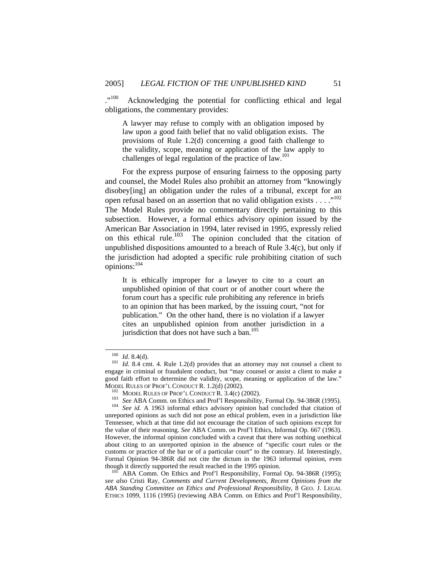."<sup>100</sup> Acknowledging the potential for conflicting ethical and legal obligations, the commentary provides:

A lawyer may refuse to comply with an obligation imposed by law upon a good faith belief that no valid obligation exists. The provisions of Rule 1.2(d) concerning a good faith challenge to the validity, scope, meaning or application of the law apply to challenges of legal regulation of the practice of law.<sup>101</sup>

For the express purpose of ensuring fairness to the opposing party and counsel, the Model Rules also prohibit an attorney from "knowingly disobey[ing] an obligation under the rules of a tribunal, except for an open refusal based on an assertion that no valid obligation exists  $\dots$ ."<sup>102</sup> The Model Rules provide no commentary directly pertaining to this subsection. However, a formal ethics advisory opinion issued by the American Bar Association in 1994, later revised in 1995, expressly relied on this ethical rule.<sup>103</sup> The opinion concluded that the citation of unpublished dispositions amounted to a breach of Rule 3.4(c), but only if the jurisdiction had adopted a specific rule prohibiting citation of such opinions:104

It is ethically improper for a lawyer to cite to a court an unpublished opinion of that court or of another court where the forum court has a specific rule prohibiting any reference in briefs to an opinion that has been marked, by the issuing court, "not for publication." On the other hand, there is no violation if a lawyer cites an unpublished opinion from another jurisdiction in a jurisdiction that does not have such a ban. $105$ 

<sup>&</sup>lt;sup>100</sup> *Id.* 8.4(d). <sup>101</sup> *Id.* 8.4 cmt. 4. Rule 1.2(d) provides that an attorney may not counsel a client to engage in criminal or fraudulent conduct, but "may counsel or assist a client to make a good faith effort to determine the validity, scope, meaning or application of the law."<br>MODEL RULES OF PROF'L CONDUCT R. 1.2(d) (2002).

<sup>&</sup>lt;sup>102</sup> MODEL RULES OF PROF'L CONDUCT R.  $3.4(c)$  (2002).<br><sup>103</sup> *See* ABA Comm. on Ethics and Prof'l Responsibility, Formal Op. 94-386R (1995).<br><sup>104</sup> *See id.* A 1963 informal ethics advisory opinion had concluded that citat unreported opinions as such did not pose an ethical problem, even in a jurisdiction like Tennessee, which at that time did not encourage the citation of such opinions except for the value of their reasoning. *See* ABA Comm. on Prof'l Ethics, Informal Op. 667 (1963). However, the informal opinion concluded with a caveat that there was nothing unethical about citing to an unreported opinion in the absence of "specific court rules or the customs or practice of the bar or of a particular court" to the contrary. *Id.* Interestingly, Formal Opinion 94-386R did not cite the dictum in the 1963 informal opinion, even though it directly supported the result reached in the 1995 opinion.<br><sup>105</sup> ABA Comm. On Ethics and Prof'l Responsibility, Formal Op. 94-386R (1995);

*see also* Cristi Ray, *Comments and Current Developments, Recent Opinions from the ABA Standing Committee on Ethics and Professional Responsibility*, 8 GEO. J. LEGAL ETHICS 1099, 1116 (1995) (reviewing ABA Comm. on Ethics and Prof'l Responsibility,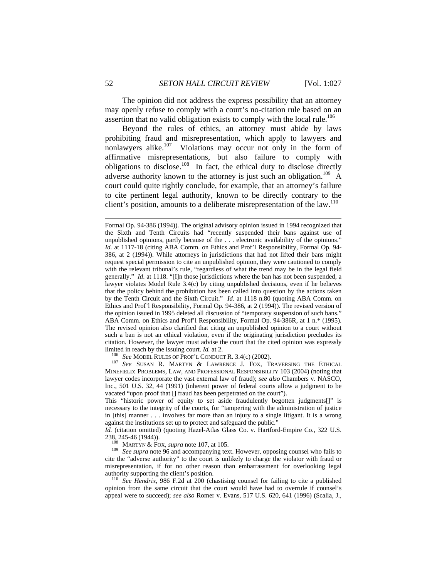The opinion did not address the express possibility that an attorney may openly refuse to comply with a court's no-citation rule based on an assertion that no valid obligation exists to comply with the local rule.<sup>106</sup>

Beyond the rules of ethics, an attorney must abide by laws prohibiting fraud and misrepresentation, which apply to lawyers and nonlawyers alike. $107$  Violations may occur not only in the form of affirmative misrepresentations, but also failure to comply with obligations to disclose.<sup>108</sup> In fact, the ethical duty to disclose directly adverse authority known to the attorney is just such an obligation.<sup>109</sup> A court could quite rightly conclude, for example, that an attorney's failure to cite pertinent legal authority, known to be directly contrary to the client's position, amounts to a deliberate misrepresentation of the law.<sup>110</sup>

MINEFIELD: PROBLEMS, LAW, AND PROFESSIONAL RESPONSIBILITY 103 (2004) (noting that lawyer codes incorporate the vast external law of fraud); *see also* Chambers v. NASCO, Inc., 501 U.S. 32, 44 (1991) (inherent power of federal courts allow a judgment to be vacated "upon proof that [] fraud has been perpetrated on the court").

This "historic power of equity to set aside fraudulently begotten judgments[]" is necessary to the integrity of the courts, for "tampering with the administration of justice in [this] manner . . . involves far more than an injury to a single litigant. It is a wrong against the institutions set up to protect and safeguard the public."

*Id.* (citation omitted) (quoting Hazel-Atlas Glass Co. v. Hartford-Empire Co., 322 U.S. 238, 245-46 (1944)).<br><sup>108</sup> MARTYN & FOX, *supra* note 107, at 105.<br><sup>109</sup> See supra note 96 and accompanying text. However, opposing counsel who fails to

cite the "adverse authority" to the court is unlikely to charge the violator with fraud or misrepresentation, if for no other reason than embarrassment for overlooking legal

authority supporting the client's position. 110 *See Hendrix,* 986 F.2d at 200 (chastising counsel for failing to cite a published opinion from the same circuit that the court would have had to overrule if counsel's appeal were to succeed); *see also* Romer v. Evans, 517 U.S. 620, 641 (1996) (Scalia, J.,

Formal Op. 94-386 (1994)). The original advisory opinion issued in 1994 recognized that the Sixth and Tenth Circuits had "recently suspended their bans against use of unpublished opinions, partly because of the . . . electronic availability of the opinions." *Id.* at 1117-18 (citing ABA Comm. on Ethics and Prof'l Responsibility, Formal Op. 94- 386, at 2 (1994)). While attorneys in jurisdictions that had not lifted their bans might request special permission to cite an unpublished opinion, they were cautioned to comply with the relevant tribunal's rule, "regardless of what the trend may be in the legal field generally." *Id*. at 1118. "[I]n those jurisdictions where the ban has not been suspended, a lawyer violates Model Rule 3.4(c) by citing unpublished decisions, even if he believes that the policy behind the prohibition has been called into question by the actions taken by the Tenth Circuit and the Sixth Circuit." *Id.* at 1118 n.80 (quoting ABA Comm. on Ethics and Prof'l Responsibility, Formal Op. 94-386, at 2 (1994)). The revised version of the opinion issued in 1995 deleted all discussion of "temporary suspension of such bans." ABA Comm. on Ethics and Prof'l Responsibility, Formal Op. 94-386R, at 1 n.\* (1995). The revised opinion also clarified that citing an unpublished opinion to a court without such a ban is not an ethical violation, even if the originating jurisdiction precludes its citation. However, the lawyer must advise the court that the cited opinion was expressly limited in reach by the issuing court. *Id.* at 2.<br><sup>106</sup> See MODEL RULES OF PROF'L CONDUCT R. 3.4(c) (2002).<br><sup>107</sup> See SUSAN R. MARTYN & LAWRENCE J. FOX, TRAVERSING THE ETHICAL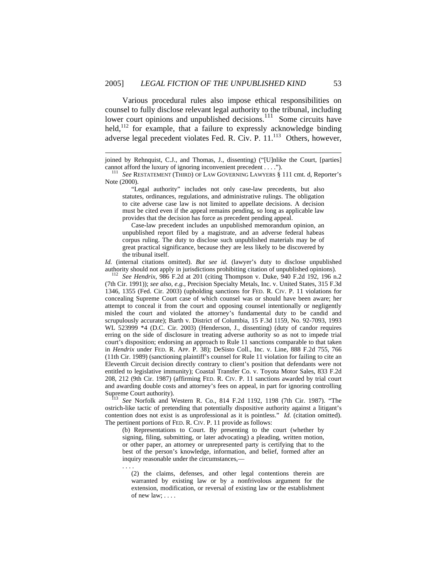$\overline{a}$ 

. . . .

Various procedural rules also impose ethical responsibilities on counsel to fully disclose relevant legal authority to the tribunal, including lower court opinions and unpublished decisions.<sup>111</sup> Some circuits have held, $112$  for example, that a failure to expressly acknowledge binding adverse legal precedent violates Fed. R. Civ. P. 11.<sup>113</sup> Others, however,

 "Legal authority" includes not only case-law precedents, but also statutes, ordinances, regulations, and administrative rulings. The obligation to cite adverse case law is not limited to appellate decisions. A decision must be cited even if the appeal remains pending, so long as applicable law provides that the decision has force as precedent pending appeal.

 Case-law precedent includes an unpublished memorandum opinion, an unpublished report filed by a magistrate, and an adverse federal habeas corpus ruling. The duty to disclose such unpublished materials may be of great practical significance, because they are less likely to be discovered by the tribunal itself.

*Id.* (internal citations omitted). *But see id.* (lawyer's duty to disclose unpublished authority should not apply in jurisdictions prohibiting citation of unpublished opinions). 112 *See Hendrix*, 986 F.2d at 201 (citing Thompson v. Duke, 940 F.2d 192, 196 n.2

(7th Cir. 1991)); *see also, e.g.*, Precision Specialty Metals, Inc. v. United States, 315 F.3d 1346, 1355 (Fed. Cir. 2003) (upholding sanctions for FED. R. CIV. P. 11 violations for concealing Supreme Court case of which counsel was or should have been aware; her attempt to conceal it from the court and opposing counsel intentionally or negligently misled the court and violated the attorney's fundamental duty to be candid and scrupulously accurate); Barth v. District of Columbia, 15 F.3d 1159, No. 92-7093, 1993 WL 523999 \*4 (D.C. Cir. 2003) (Henderson, J., dissenting) (duty of candor requires erring on the side of disclosure in treating adverse authority so as not to impede trial court's disposition; endorsing an approach to Rule 11 sanctions comparable to that taken in *Hendrix* under FED. R. APP. P. 38); DeSisto Coll., Inc. v. Line, 888 F.2d 755, 766 (11th Cir. 1989) (sanctioning plaintiff's counsel for Rule 11 violation for failing to cite an Eleventh Circuit decision directly contrary to client's position that defendants were not entitled to legislative immunity); Coastal Transfer Co. v. Toyota Motor Sales, 833 F.2d 208, 212 (9th Cir. 1987) (affirming FED. R. CIV. P. 11 sanctions awarded by trial court and awarding double costs and attorney's fees on appeal, in part for ignoring controlling

See Norfolk and Western R. Co., 814 F.2d 1192, 1198 (7th Cir. 1987). "The ostrich-like tactic of pretending that potentially dispositive authority against a litigant's contention does not exist is as unprofessional as it is pointless." *Id.* (citation omitted). The pertinent portions of FED. R. CIV. P. 11 provide as follows:

(b) Representations to Court. By presenting to the court (whether by signing, filing, submitting, or later advocating) a pleading, written motion, or other paper, an attorney or unrepresented party is certifying that to the best of the person's knowledge, information, and belief, formed after an inquiry reasonable under the circumstances,—

(2) the claims, defenses, and other legal contentions therein are warranted by existing law or by a nonfrivolous argument for the extension, modification, or reversal of existing law or the establishment of new law; . . . .

joined by Rehnquist, C.J., and Thomas, J., dissenting) ("[U]nlike the Court, [parties] cannot afford the luxury of ignoring inconvenient precedent . . . ."). 111 *See* RESTATEMENT (THIRD) OF LAW GOVERNING LAWYERS § 111 cmt. d, Reporter's

Note (2000).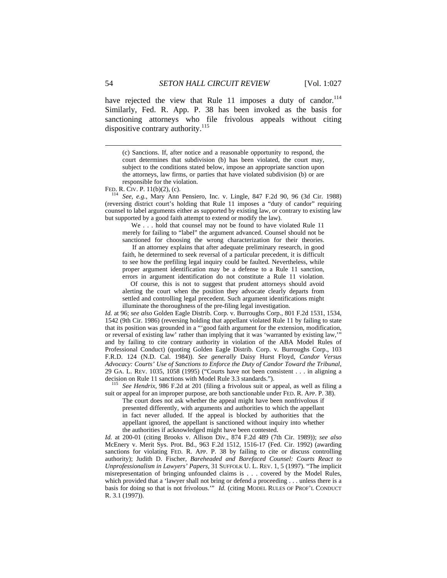have rejected the view that Rule 11 imposes a duty of candor.<sup>114</sup> Similarly, Fed. R. App. P. 38 has been invoked as the basis for sanctioning attorneys who file frivolous appeals without citing dispositive contrary authority.<sup>115</sup>

(c) Sanctions. If, after notice and a reasonable opportunity to respond, the court determines that subdivision (b) has been violated, the court may, subject to the conditions stated below, impose an appropriate sanction upon the attorneys, law firms, or parties that have violated subdivision (b) or are responsible for the violation.<br>FED. R. CIV. P.  $11(b)(2)$ , (c).

<sup>114</sup> See, e.g., Mary Ann Pensiero, Inc. v. Lingle, 847 F.2d 90, 96 (3d Cir. 1988) (reversing district court's holding that Rule 11 imposes a "duty of candor" requiring counsel to label arguments either as supported by existing law, or contrary to existing law but supported by a good faith attempt to extend or modify the law).

 We . . . hold that counsel may not be found to have violated Rule 11 merely for failing to "label" the argument advanced. Counsel should not be sanctioned for choosing the wrong characterization for their theories.

 If an attorney explains that after adequate preliminary research, in good faith, he determined to seek reversal of a particular precedent, it is difficult to see how the prefiling legal inquiry could be faulted. Nevertheless, while proper argument identification may be a defense to a Rule 11 sanction, errors in argument identification do not constitute a Rule 11 violation.

 Of course, this is not to suggest that prudent attorneys should avoid alerting the court when the position they advocate clearly departs from settled and controlling legal precedent. Such argument identifications might illuminate the thoroughness of the pre-filing legal investigation.

*Id.* at 96; *see also* Golden Eagle Distrib. Corp. v. Burroughs Corp., 801 F.2d 1531, 1534, 1542 (9th Cir. 1986) (reversing holding that appellant violated Rule 11 by failing to state that its position was grounded in a "'good faith argument for the extension, modification, or reversal of existing law' rather than implying that it was 'warranted by existing law,'" and by failing to cite contrary authority in violation of the ABA Model Rules of Professional Conduct) (quoting Golden Eagle Distrib. Corp. v. Burroughs Corp., 103 F.R.D. 124 (N.D. Cal. 1984)). *See generally* Daisy Hurst Floyd*, Candor Versus Advocacy: Courts' Use of Sanctions to Enforce the Duty of Candor Toward the Tribunal*, 29 GA. L. REV. 1035, 1058 (1995) ("Courts have not been consistent . . . in aligning a decision on Rule 11 sanctions with Model Rule 3.3 standards."). 115 *See Hendrix,* 986 F.2d at 201 (filing a frivolous suit or appeal, as well as filing a

suit or appeal for an improper purpose, are both sanctionable under FED. R. APP. P. 38).

The court does not ask whether the appeal might have been nonfrivolous if presented differently, with arguments and authorities to which the appellant in fact never alluded. If the appeal is blocked by authorities that the appellant ignored, the appellant is sanctioned without inquiry into whether the authorities if acknowledged might have been contested.

*Id.* at 200-01 (citing Brooks v. Allison Div., 874 F.2d 489 (7th Cir. 1989)); *see also*  McEnery v. Merit Sys. Prot. Bd., 963 F.2d 1512, 1516-17 (Fed. Cir. 1992) (awarding sanctions for violating FED. R. APP. P. 38 by failing to cite or discuss controlling authority); Judith D. Fischer, *Bareheaded and Barefaced Counsel: Courts React to Unprofessionalism in Lawyers' Papers,* 31 SUFFOLK U. L. REV. 1, 5 (1997). "The implicit misrepresentation of bringing unfounded claims is . . . covered by the Model Rules, which provided that a 'lawyer shall not bring or defend a proceeding . . . unless there is a basis for doing so that is not frivolous.'" *Id.* (citing MODEL RULES OF PROF'L CONDUCT R. 3.1 (1997)).

l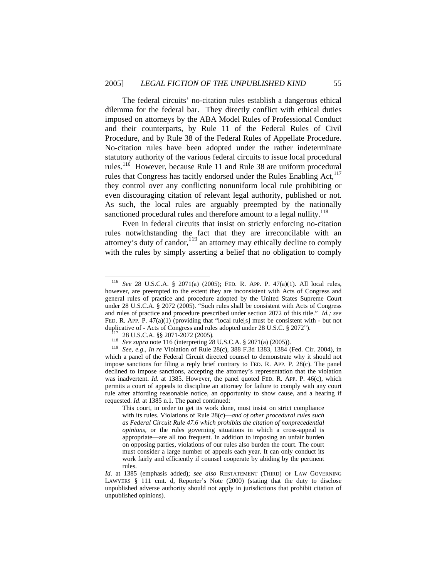The federal circuits' no-citation rules establish a dangerous ethical dilemma for the federal bar. They directly conflict with ethical duties imposed on attorneys by the ABA Model Rules of Professional Conduct and their counterparts, by Rule 11 of the Federal Rules of Civil Procedure, and by Rule 38 of the Federal Rules of Appellate Procedure. No-citation rules have been adopted under the rather indeterminate statutory authority of the various federal circuits to issue local procedural rules.<sup>116</sup> However, because Rule 11 and Rule 38 are uniform procedural rules that Congress has tacitly endorsed under the Rules Enabling Act, $^{117}$ they control over any conflicting nonuniform local rule prohibiting or even discouraging citation of relevant legal authority, published or not. As such, the local rules are arguably preempted by the nationally sanctioned procedural rules and therefore amount to a legal nullity.<sup>118</sup>

Even in federal circuits that insist on strictly enforcing no-citation rules notwithstanding the fact that they are irreconcilable with an attorney's duty of candor, $\frac{119}{2}$  an attorney may ethically decline to comply with the rules by simply asserting a belief that no obligation to comply

 <sup>116</sup> *See* 28 U.S.C.A. § 2071(a) (2005); FED. R. APP. P. 47(a)(1). All local rules, however, are preempted to the extent they are inconsistent with Acts of Congress and general rules of practice and procedure adopted by the United States Supreme Court under 28 U.S.C.A. § 2072 (2005). "Such rules shall be consistent with Acts of Congress and rules of practice and procedure prescribed under section 2072 of this title." *Id.; see* FED. R. APP. P. 47(a)(1) (providing that "local rule[s] must be consistent with - but not

duplicative of - Acts of Congress and rules adopted under 28 U.S.C. § 2072").<br><sup>117</sup> 28 U.S.C.A. §§ 2071-2072 (2005).<br><sup>118</sup> *See supra* note 116 (interpreting 28 U.S.C.A. § 2071(a) (2005)).<br><sup>119</sup> *See, e.g., In re* Violati which a panel of the Federal Circuit directed counsel to demonstrate why it should not impose sanctions for filing a reply brief contrary to FED. R. APP. P. 28(c). The panel declined to impose sanctions, accepting the attorney's representation that the violation was inadvertent. *Id.* at 1385. However, the panel quoted FED. R. APP. P. 46(c), which permits a court of appeals to discipline an attorney for failure to comply with any court rule after affording reasonable notice, an opportunity to show cause, and a hearing if requested. *Id*. at 1385 n.1. The panel continued:

This court, in order to get its work done, must insist on strict compliance with its rules. Violations of Rule 28(c)—*and of other procedural rules such as Federal Circuit Rule 47.6 which prohibits the citation of nonprecedential opinions,* or the rules governing situations in which a cross-appeal is appropriate—are all too frequent. In addition to imposing an unfair burden on opposing parties, violations of our rules also burden the court. The court must consider a large number of appeals each year. It can only conduct its work fairly and efficiently if counsel cooperate by abiding by the pertinent rules.

*Id*. at 1385 (emphasis added); *see also* RESTATEMENT (THIRD) OF LAW GOVERNING LAWYERS § 111 cmt. d, Reporter's Note (2000) (stating that the duty to disclose unpublished adverse authority should not apply in jurisdictions that prohibit citation of unpublished opinions).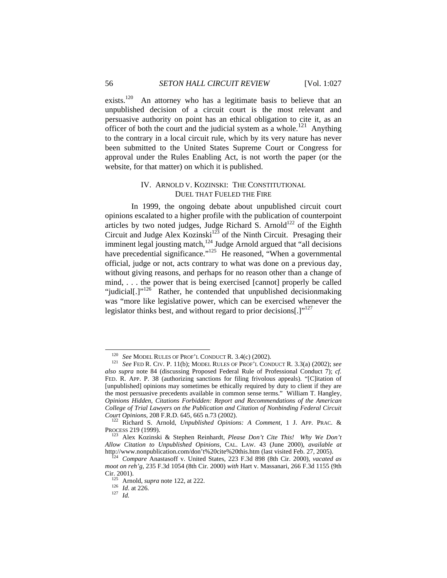exists.<sup>120</sup> An attorney who has a legitimate basis to believe that an unpublished decision of a circuit court is the most relevant and persuasive authority on point has an ethical obligation to cite it, as an officer of both the court and the judicial system as a whole.<sup>121</sup> Anything to the contrary in a local circuit rule, which by its very nature has never been submitted to the United States Supreme Court or Congress for approval under the Rules Enabling Act, is not worth the paper (or the website, for that matter) on which it is published.

## IV. ARNOLD V. KOZINSKI: THE CONSTITUTIONAL DUEL THAT FUELED THE FIRE

In 1999, the ongoing debate about unpublished circuit court opinions escalated to a higher profile with the publication of counterpoint articles by two noted judges, Judge Richard S. Arnold<sup>122</sup> of the Eighth Circuit and Judge Alex Kozinski<sup>123</sup> of the Ninth Circuit. Presaging their imminent legal jousting match, $124$  Judge Arnold argued that "all decisions have precedential significance."<sup>125</sup> He reasoned, "When a governmental official, judge or not, acts contrary to what was done on a previous day, without giving reasons, and perhaps for no reason other than a change of mind, . . . the power that is being exercised [cannot] properly be called "judicial[.]"<sup>126</sup> Rather, he contended that unpublished decision making was "more like legislative power, which can be exercised whenever the legislator thinks best, and without regard to prior decisions[.] $v^{127}$ 

<sup>120</sup> *See* MODEL RULES OF PROF'L CONDUCT R. 3.4(c) (2002). 121 *See* FED R. CIV. P. 11(b); MODEL RULES OF PROF'L CONDUCT R. 3.3(a) (2002); *see also supra* note 84 (discussing Proposed Federal Rule of Professional Conduct 7); *cf.* FED. R. APP. P. 38 (authorizing sanctions for filing frivolous appeals). "[C]itation of [unpublished] opinions may sometimes be ethically required by duty to client if they are the most persuasive precedents available in common sense terms." William T. Hangley, *Opinions Hidden, Citations Forbidden: Report and Recommendations of the American College of Trial Lawyers on the Publication and Citation of Nonbinding Federal Circuit Court Opinions*, 208 F.R.D. 645, 665 n.73 (2002). 122 Richard S. Arnold, *Unpublished Opinions: A Comment*, 1 J. APP. PRAC. &

PROCESS 219 (1999). 123 Alex Kozinski & Stephen Reinhardt, *Please Don't Cite This! Why We Don't* 

*Allow Citation to Unpublished Opinions*, CAL. LAW. 43 (June 2000), *available at* http://www.nonpublication.com/don't%20cite%20this.htm (last visited Feb. 27, 2005). 124 *Compare* Anastasoff v. United States, 223 F.3d 898 (8th Cir. 2000), *vacated as* 

*moot on reh'g*, 235 F.3d 1054 (8th Cir. 2000) *with* Hart v. Massanari, 266 F.3d 1155 (9th Cir. 2001). 125 Arnold, *supra* note 122, at 222. 126 *Id*. at 226. 127 *Id.*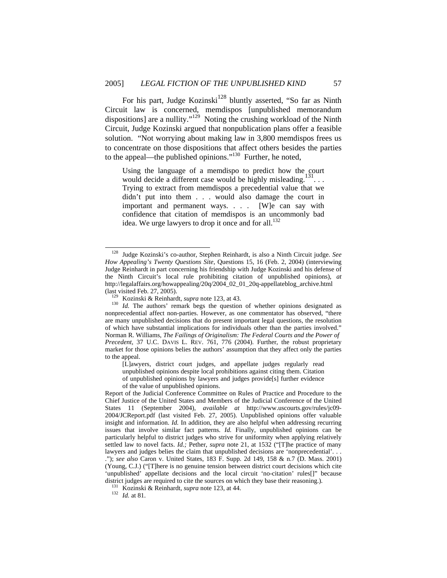For his part, Judge  $Kozinski<sup>128</sup>$  bluntly asserted, "So far as Ninth Circuit law is concerned, memdispos [unpublished memorandum dispositions] are a nullity." $129$  Noting the crushing workload of the Ninth Circuit, Judge Kozinski argued that nonpublication plans offer a feasible solution. "Not worrying about making law in 3,800 memdispos frees us to concentrate on those dispositions that affect others besides the parties to the appeal—the published opinions."130 Further, he noted,

Using the language of a memdispo to predict how the court would decide a different case would be highly misleading.<sup>131</sup>... Trying to extract from memdispos a precedential value that we didn't put into them . . . would also damage the court in important and permanent ways. . . . [W]e can say with confidence that citation of memdispos is an uncommonly bad idea. We urge lawyers to drop it once and for all. $132$ 

[L]awyers, district court judges, and appellate judges regularly read unpublished opinions despite local prohibitions against citing them. Citation of unpublished opinions by lawyers and judges provide[s] further evidence of the value of unpublished opinions.

 <sup>128</sup> Judge Kozinski's co-author, Stephen Reinhardt, is also a Ninth Circuit judge. *See How Appealing's Twenty Questions Site*, Questions 15, 16 (Feb. 2, 2004) (interviewing Judge Reinhardt in part concerning his friendship with Judge Kozinski and his defense of the Ninth Circuit's local rule prohibiting citation of unpublished opinions), *at* http://legalaffairs.org/howappealing/20q/2004\_02\_01\_20q-appellateblog\_archive.html

<sup>(</sup>last visited Feb. 27, 2005). 129 Kozinski & Reinhardt, *supra* note 123, at 43. 130 *Id.* The authors' remark begs the question of whether opinions designated as nonprecedential affect non-parties. However, as one commentator has observed, "there are many unpublished decisions that do present important legal questions, the resolution of which have substantial implications for individuals other than the parties involved." Norman R. Williams, *The Failings of Originalism: The Federal Courts and the Power of Precedent,* 37 U.C. DAVIS L. REV. 761, 776 (2004). Further, the robust proprietary market for those opinions belies the authors' assumption that they affect only the parties to the appeal.

Report of the Judicial Conference Committee on Rules of Practice and Procedure to the Chief Justice of the United States and Members of the Judicial Conference of the United States 11 (September 2004), *available at* http://www.uscourts.gov/rules/jc09- 2004/JCReport.pdf (last visited Feb. 27, 2005). Unpublished opinions offer valuable insight and information. *Id.* In addition, they are also helpful when addressing recurring issues that involve similar fact patterns. *Id.* Finally, unpublished opinions can be particularly helpful to district judges who strive for uniformity when applying relatively settled law to novel facts. *Id.;* Pether, *supra* note 21, at 1532 ("[T]he practice of many lawyers and judges belies the claim that unpublished decisions are 'nonprecedential'... ."); *see also* Caron v. United States, 183 F. Supp. 2d 149, 158 & n.7 (D. Mass. 2001) (Young, C.J.) ("[T]here is no genuine tension between district court decisions which cite 'unpublished' appellate decisions and the local circuit 'no-citation' rules[]" because district judges are required to cite the sources on which they base their reasoning.). <sup>131</sup> Kozinski & Reinhardt, *supra* note 123, at 44. <sup>132</sup> *Id.* at 81.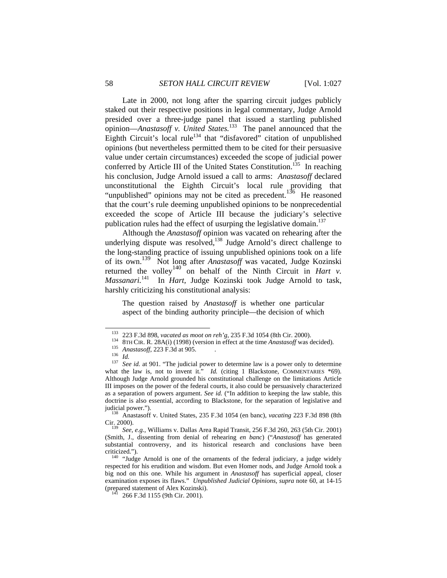Late in 2000, not long after the sparring circuit judges publicly staked out their respective positions in legal commentary, Judge Arnold presided over a three-judge panel that issued a startling published opinion—*Anastasoff v. United States.*<sup>133</sup>The panel announced that the Eighth Circuit's local rule<sup>134</sup> that "disfavored" citation of unpublished opinions (but nevertheless permitted them to be cited for their persuasive value under certain circumstances) exceeded the scope of judicial power conferred by Article III of the United States Constitution.<sup>135</sup> In reaching his conclusion, Judge Arnold issued a call to arms: *Anastasoff* declared unconstitutional the Eighth Circuit's local rule providing that "unpublished" opinions may not be cited as precedent.<sup>136</sup> He reasoned that the court's rule deeming unpublished opinions to be nonprecedential exceeded the scope of Article III because the judiciary's selective publication rules had the effect of usurping the legislative domain.<sup>137</sup>

Although the *Anastasoff* opinion was vacated on rehearing after the underlying dispute was resolved,<sup>138</sup> Judge Arnold's direct challenge to the long-standing practice of issuing unpublished opinions took on a life of its own.139 Not long after *Anastasoff* was vacated, Judge Kozinski returned the volley<sup>140</sup> on behalf of the Ninth Circuit in *Hart v. Massanari.*141 In *Hart,* Judge Kozinski took Judge Arnold to task, harshly criticizing his constitutional analysis:

The question raised by *Anastasoff* is whether one particular aspect of the binding authority principle—the decision of which

<sup>&</sup>lt;sup>133</sup> 223 F.3d 898, vacated as moot on reh'g, 235 F.3d 1054 (8th Cir. 2000).<br><sup>134</sup> 8TH CIR. R. 28A(i) (1998) (version in effect at the time *Anastasoff* was decided).<br><sup>135</sup> *Anastasoff*, 223 F.3d at 905.<br><sup>135</sup> *See id.* a what the law is, not to invent it." *Id.* (citing 1 Blackstone, COMMENTARIES \*69). Although Judge Arnold grounded his constitutional challenge on the limitations Article III imposes on the power of the federal courts, it also could be persuasively characterized as a separation of powers argument. *See id.* ("In addition to keeping the law stable, this doctrine is also essential, according to Blackstone, for the separation of legislative and

judicial power."). 138 Anastasoff v. United States, 235 F.3d 1054 (en banc), *vacating* 223 F.3d 898 (8th

<sup>&</sup>lt;sup>139</sup> See, e.g., Williams v. Dallas Area Rapid Transit, 256 F.3d 260, 263 (5th Cir. 2001) (Smith, J., dissenting from denial of rehearing *en banc*) ("*Anastasoff* has generated substantial controversy, and its historical research and conclusions have been

criticized.").  $140$  "Judge Arnold is one of the ornaments of the federal judiciary, a judge widely respected for his erudition and wisdom. But even Homer nods, and Judge Arnold took a big nod on this one. While his argument in *Anastasoff* has superficial appeal, closer examination exposes its flaws." *Unpublished Judicial Opinions, supra* note 60, at 14-15 (prepared statement of Alex Kozinski). 141 266 F.3d 1155 (9th Cir. 2001).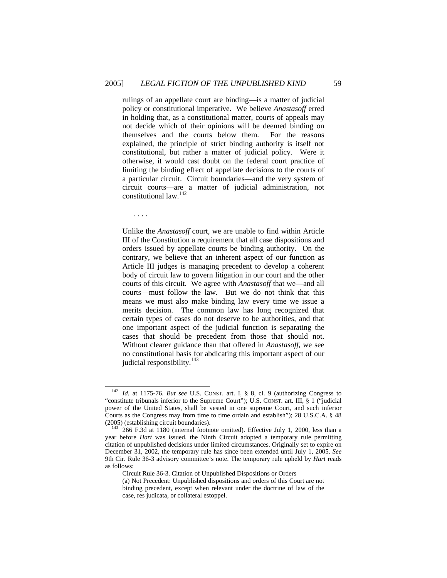rulings of an appellate court are binding—is a matter of judicial policy or constitutional imperative. We believe *Anastasoff* erred in holding that, as a constitutional matter, courts of appeals may not decide which of their opinions will be deemed binding on themselves and the courts below them. For the reasons explained, the principle of strict binding authority is itself not constitutional, but rather a matter of judicial policy. Were it otherwise, it would cast doubt on the federal court practice of limiting the binding effect of appellate decisions to the courts of a particular circuit. Circuit boundaries—and the very system of circuit courts—are a matter of judicial administration, not constitutional law.142

. . . .

Unlike the *Anastasoff* court, we are unable to find within Article III of the Constitution a requirement that all case dispositions and orders issued by appellate courts be binding authority. On the contrary, we believe that an inherent aspect of our function as Article III judges is managing precedent to develop a coherent body of circuit law to govern litigation in our court and the other courts of this circuit. We agree with *Anastasoff* that we—and all courts—must follow the law. But we do not think that this means we must also make binding law every time we issue a merits decision. The common law has long recognized that certain types of cases do not deserve to be authorities, and that one important aspect of the judicial function is separating the cases that should be precedent from those that should not. Without clearer guidance than that offered in *Anastasoff,* we see no constitutional basis for abdicating this important aspect of our judicial responsibility.<sup>143</sup>

 <sup>142</sup> *Id.* at 1175-76. *But see* U.S. CONST. art. I, § 8, cl. 9 (authorizing Congress to "constitute tribunals inferior to the Supreme Court"); U.S. CONST. art. III, § 1 ("judicial power of the United States, shall be vested in one supreme Court, and such inferior Courts as the Congress may from time to time ordain and establish"); 28 U.S.C.A. § 48 (2005) (establishing circuit boundaries).

 $143$  266 F.3d at 1180 (internal footnote omitted). Effective July 1, 2000, less than a year before *Hart* was issued, the Ninth Circuit adopted a temporary rule permitting citation of unpublished decisions under limited circumstances. Originally set to expire on December 31, 2002, the temporary rule has since been extended until July 1, 2005. *See*  9th Cir. Rule 36-3 advisory committee's note. The temporary rule upheld by *Hart* reads as follows:

Circuit Rule 36-3. Citation of Unpublished Dispositions or Orders

<sup>(</sup>a) Not Precedent: Unpublished dispositions and orders of this Court are not binding precedent, except when relevant under the doctrine of law of the case, res judicata, or collateral estoppel.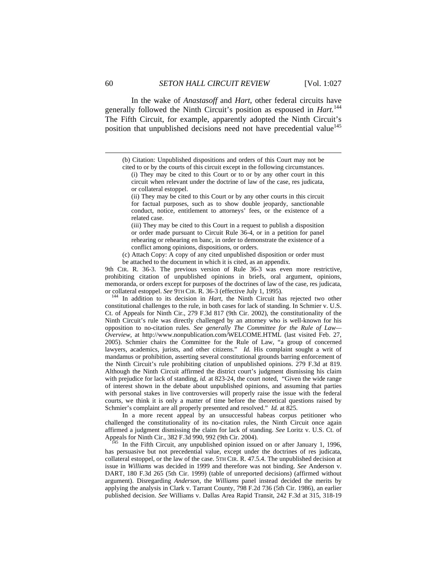In the wake of *Anastasoff* and *Hart*, other federal circuits have generally followed the Ninth Circuit's position as espoused in *Hart.*<sup>144</sup> The Fifth Circuit, for example, apparently adopted the Ninth Circuit's position that unpublished decisions need not have precedential value<sup>145</sup>

9th CIR. R. 36-3. The previous version of Rule 36-3 was even more restrictive, prohibiting citation of unpublished opinions in briefs, oral argument, opinions, memoranda, or orders except for purposes of the doctrines of law of the case, res judicata, or collateral estoppel. *See* 9TH CIR. R. 36-3 (effective July 1, 1995). 144 In addition to its decision in *Hart*, the Ninth Circuit has rejected two other

constitutional challenges to the rule, in both cases for lack of standing. In Schmier v. U.S. Ct. of Appeals for Ninth Cir., 279 F.3d 817 (9th Cir. 2002), the constitutionality of the Ninth Circuit's rule was directly challenged by an attorney who is well-known for his opposition to no-citation rules. *See generally The Committee for the Rule of Law— Overview,* at http://www.nonpublication.com/WELCOME.HTML (last visited Feb. 27, 2005). Schmier chairs the Committee for the Rule of Law, "a group of concerned lawyers, academics, jurists, and other citizens." *Id.* His complaint sought a writ of mandamus or prohibition, asserting several constitutional grounds barring enforcement of the Ninth Circuit's rule prohibiting citation of unpublished opinions. 279 F.3d at 819. Although the Ninth Circuit affirmed the district court's judgment dismissing his claim with prejudice for lack of standing, *id.* at 823-24, the court noted, "Given the wide range of interest shown in the debate about unpublished opinions, and assuming that parties with personal stakes in live controversies will properly raise the issue with the federal courts, we think it is only a matter of time before the theoretical questions raised by Schmier's complaint are all properly presented and resolved." *Id.* at 825.

 In a more recent appeal by an unsuccessful habeas corpus petitioner who challenged the constitutionality of its no-citation rules, the Ninth Circuit once again affirmed a judgment dismissing the claim for lack of standing. *See* Loritz v. U.S. Ct. of

In the Fifth Circuit, any unpublished opinion issued on or after January 1, 1996, has persuasive but not precedential value, except under the doctrines of res judicata, collateral estoppel, or the law of the case. 5TH CIR. R. 47.5.4. The unpublished decision at issue in *Williams* was decided in 1999 and therefore was not binding. *See* Anderson v. DART*,* 180 F.3d 265 (5th Cir. 1999) (table of unreported decisions) (affirmed without argument). Disregarding *Anderson*, the *Williams* panel instead decided the merits by applying the analysis in Clark v. Tarrant County, 798 F.2d 736 (5th Cir. 1986), an earlier published decision. *See* Williams v. Dallas Area Rapid Transit*,* 242 F.3d at 315, 318-19

<sup>(</sup>b) Citation: Unpublished dispositions and orders of this Court may not be cited to or by the courts of this circuit except in the following circumstances.

<sup>(</sup>i) They may be cited to this Court or to or by any other court in this circuit when relevant under the doctrine of law of the case, res judicata, or collateral estoppel.

<sup>(</sup>ii) They may be cited to this Court or by any other courts in this circuit for factual purposes, such as to show double jeopardy, sanctionable conduct, notice, entitlement to attorneys' fees, or the existence of a related case.

<sup>(</sup>iii) They may be cited to this Court in a request to publish a disposition or order made pursuant to Circuit Rule 36-4, or in a petition for panel rehearing or rehearing en banc, in order to demonstrate the existence of a conflict among opinions, dispositions, or orders.

<sup>(</sup>c) Attach Copy: A copy of any cited unpublished disposition or order must be attached to the document in which it is cited, as an appendix.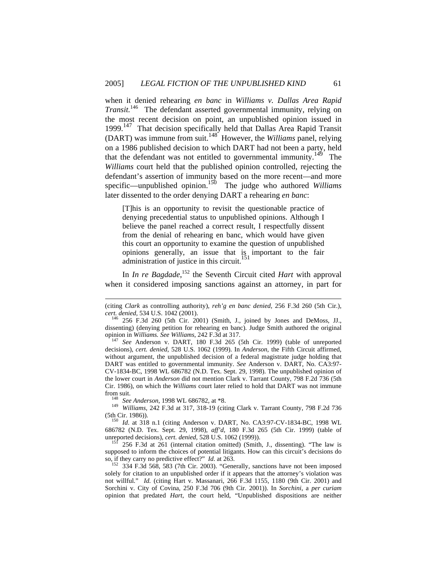when it denied rehearing *en banc* in *Williams v. Dallas Area Rapid Transit.*<sup>146</sup> The defendant asserted governmental immunity, relying on the most recent decision on point, an unpublished opinion issued in 1999.<sup>147</sup> That decision specifically held that Dallas Area Rapid Transit (DART) was immune from suit.148 However, the *Williams* panel, relying on a 1986 published decision to which DART had not been a party, held that the defendant was not entitled to governmental immunity.<sup>149</sup> The *Williams* court held that the published opinion controlled, rejecting the defendant's assertion of immunity based on the more recent—and more specific—unpublished opinion.<sup>150</sup> The judge who authored *Williams* later dissented to the order denying DART a rehearing *en banc*:

[T]his is an opportunity to revisit the questionable practice of denying precedential status to unpublished opinions. Although I believe the panel reached a correct result, I respectfully dissent from the denial of rehearing en banc, which would have given this court an opportunity to examine the question of unpublished opinions generally, an issue that is important to the fair administration of justice in this circuit.

In *In re Bagdade*, 152 the Seventh Circuit cited *Hart* with approval when it considered imposing sanctions against an attorney, in part for

l

from suit. 148 *See Anderson*, 1998 WL 686782, at \*8. 149 *Williams,* 242 F.3d at 317, 318-19 (citing Clark v. Tarrant County, 798 F.2d 736 (5th Cir. 1986)). 150 *Id*. at 318 n.1 (citing Anderson v. DART*,* No. CA3:97-CV-1834-BC, 1998 WL

686782 (N.D. Tex. Sept. 29, 1998), *aff'd*, 180 F.3d 265 (5th Cir. 1999) (table of unreported decisions), *cert. denied*, 528 U.S. 1062 (1999)).<br><sup>151</sup> 256 F.3d at 261 (internal citation omitted) (Smith, J., dissenting). "The law is

supposed to inform the choices of potential litigants. How can this circuit's decisions do so, if they carry no predictive effect?" *Id.* at 263.<br><sup>152</sup> 334 F.3d 568, 583 (7th Cir. 2003). "Generally, sanctions have not been imposed

solely for citation to an unpublished order if it appears that the attorney's violation was not willful." *Id.* (citing Hart v. Massanari*,* 266 F.3d 1155, 1180 (9th Cir. 2001) and Sorchini v. City of Covina*,* 250 F.3d 706 (9th Cir. 2001)). In *Sorchini*, a *per curiam* opinion that predated *Hart*, the court held, "Unpublished dispositions are neither

<sup>(</sup>citing *Clark* as controlling authority), *reh'g en banc denied,* 256 F.3d 260 (5th Cir.), *cert. denied*, 534 U.S. 1042 (2001).<br><sup>146</sup> 256 F.3d 260 (5th Cir. 2001) (Smith, J., joined by Jones and DeMoss, JJ.,

dissenting) (denying petition for rehearing en banc). Judge Smith authored the original opinion in *Williams. See Williams*, 242 F.3d at 317. 147 *See* Anderson v. DART, 180 F.3d 265 (5th Cir. 1999) (table of unreported

decisions), *cert. denied*, 528 U.S. 1062 (1999). In *Anderson*, the Fifth Circuit affirmed, without argument, the unpublished decision of a federal magistrate judge holding that DART was entitled to governmental immunity. *See* Anderson v. DART, No. CA3:97- CV-1834-BC, 1998 WL 686782 (N.D. Tex. Sept. 29, 1998). The unpublished opinion of the lower court in *Anderson* did not mention Clark v. Tarrant County, 798 F.2d 736 (5th Cir. 1986), on which the *Williams* court later relied to hold that DART was not immune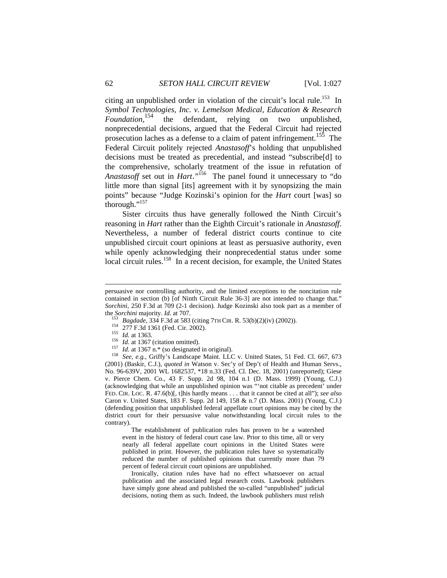citing an unpublished order in violation of the circuit's local rule.<sup>153</sup> In *Symbol Technologies, Inc. v. Lemelson Medical, Education & Research*  the defendant, relying on two unpublished, nonprecedential decisions, argued that the Federal Circuit had rejected prosecution laches as a defense to a claim of patent infringement.<sup>155</sup> The Federal Circuit politely rejected *Anastasoff*'s holding that unpublished decisions must be treated as precedential, and instead "subscribe[d] to the comprehensive, scholarly treatment of the issue in refutation of *Anastasoff* set out in *Hart*." 156 The panel found it unnecessary to "do little more than signal [its] agreement with it by synopsizing the main points" because "Judge Kozinski's opinion for the *Hart* court [was] so thorough."157

Sister circuits thus have generally followed the Ninth Circuit's reasoning in *Hart* rather than the Eighth Circuit's rationale in *Anastasoff*. Nevertheless, a number of federal district courts continue to cite unpublished circuit court opinions at least as persuasive authority, even while openly acknowledging their nonprecedential status under some local circuit rules.<sup>158</sup> In a recent decision, for example, the United States

- 
- 
- 

 $\overline{a}$ 

- 
- 

(2001) (Baskir, C.J.), *quoted in* Watson v. Sec'y of Dep't of Health and Human Servs., No. 96-639V, 2001 WL 1682537, \*18 n.33 (Fed. Cl. Dec. 18, 2001) (unreported); Giese v. Pierce Chem. Co., 43 F. Supp. 2d 98, 104 n.1 (D. Mass. 1999) (Young, C.J.) (acknowledging that while an unpublished opinion was "'not citable as precedent' under FED. CIR. LOC. R. 47.6(b)[, t]his hardly means . . . that it cannot be cited at all"); *see also*  Caron v. United States, 183 F. Supp. 2d 149, 158 & n.7 (D. Mass. 2001) (Young, C.J.) (defending position that unpublished federal appellate court opinions may be cited by the district court for their persuasive value notwithstanding local circuit rules to the contrary).

 The establishment of publication rules has proven to be a watershed event in the history of federal court case law. Prior to this time, all or very nearly all federal appellate court opinions in the United States were published in print. However, the publication rules have so systematically reduced the number of published opinions that currently more than 79 percent of federal circuit court opinions are unpublished.

 Ironically, citation rules have had no effect whatsoever on actual publication and the associated legal research costs. Lawbook publishers have simply gone ahead and published the so-called "unpublished" judicial decisions, noting them as such. Indeed, the lawbook publishers must relish

persuasive nor controlling authority, and the limited exceptions to the noncitation rule contained in section (b) [of Ninth Circuit Rule 36-3] are not intended to change that." *Sorchini,* 250 F.3d at 709 (2-1 decision)*.* Judge Kozinski also took part as a member of the *Sorchini* majority. *Id.* at 707.<br><sup>153</sup> Bagdade, 334 F.3d at 583 (citing 7TH CIR. R. 53(b)(2)(iv) (2002)).<br><sup>154</sup> 277 F.3d 1361 (Fed. Cir. 2002).<br><sup>155</sup> *Id.* at 1363.<br><sup>156</sup> *Id.* at 1367 (citation omitted).<br><sup>157</sup> *Id.*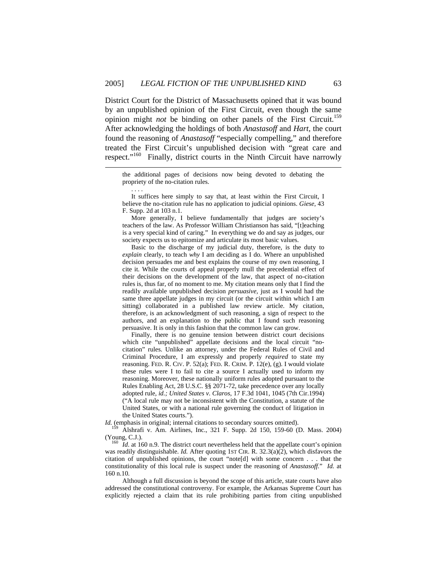l

. . . .

District Court for the District of Massachusetts opined that it was bound by an unpublished opinion of the First Circuit, even though the same opinion might *not* be binding on other panels of the First Circuit.<sup>159</sup> After acknowledging the holdings of both *Anastasoff* and *Hart,* the court found the reasoning of *Anastasoff* "especially compelling," and therefore treated the First Circuit's unpublished decision with "great care and respect."<sup>160</sup> Finally, district courts in the Ninth Circuit have narrowly

the additional pages of decisions now being devoted to debating the propriety of the no-citation rules.

 It suffices here simply to say that, at least within the First Circuit, I believe the no-citation rule has no application to judicial opinions. *Giese,* 43 F. Supp. 2d at 103 n.1.

 More generally, I believe fundamentally that judges are society's teachers of the law. As Professor William Christianson has said, "[t]eaching is a very special kind of caring." In everything we do and say as judges, our society expects us to epitomize and articulate its most basic values.

 Basic to the discharge of my judicial duty, therefore, is the duty to *explain* clearly, to teach *why* I am deciding as I do. Where an unpublished decision persuades me and best explains the course of my own reasoning, I cite it. While the courts of appeal properly mull the precedential effect of their decisions on the development of the law, that aspect of no-citation rules is, thus far, of no moment to me. My citation means only that I find the readily available unpublished decision *persuasive,* just as I would had the same three appellate judges in my circuit (or the circuit within which I am sitting) collaborated in a published law review article. My citation, therefore, is an acknowledgment of such reasoning, a sign of respect to the authors, and an explanation to the public that I found such reasoning persuasive. It is only in this fashion that the common law can grow.

 Finally, there is no genuine tension between district court decisions which cite "unpublished" appellate decisions and the local circuit "nocitation" rules. Unlike an attorney, under the Federal Rules of Civil and Criminal Procedure, I am expressly and properly *required* to state my reasoning. FED. R. CIV. P. 52(a); FED. R. CRIM. P. 12(e), (g). I would violate these rules were I to fail to cite a source I actually used to inform my reasoning. Moreover, these nationally uniform rules adopted pursuant to the Rules Enabling Act, 28 U.S.C. §§ 2071-72, take precedence over any locally adopted rule, *id.; United States v. Claros,* 17 F.3d 1041, 1045 (7th Cir.1994) ("A local rule may not be inconsistent with the Constitution, a statute of the United States, or with a national rule governing the conduct of litigation in the United States courts.").

*Id.* (emphasis in original; internal citations to secondary sources omitted).

159 Alshrafi v. Am. Airlines, Inc., 321 F. Supp. 2d 150, 159-60 (D. Mass. 2004) (Young, C.J.). 160 *Id*. at 160 n.9. The district court nevertheless held that the appellate court's opinion

was readily distinguishable. *Id.* After quoting 1ST CIR. R. 32.3(a)(2), which disfavors the citation of unpublished opinions, the court "note[d] with some concern . . . that the constitutionality of this local rule is suspect under the reasoning of *Anastasoff.*" *Id.* at 160 n.10.

 Although a full discussion is beyond the scope of this article, state courts have also addressed the constitutional controversy. For example, the Arkansas Supreme Court has explicitly rejected a claim that its rule prohibiting parties from citing unpublished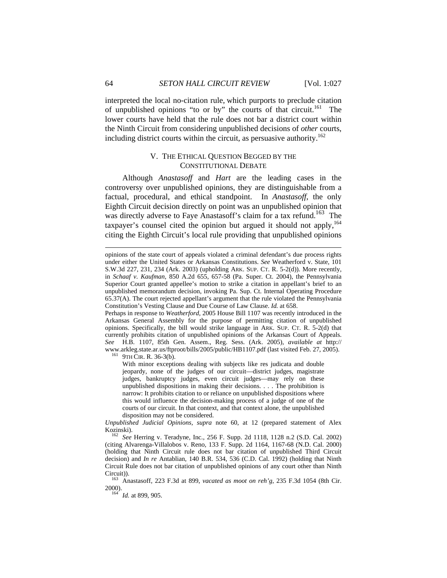interpreted the local no-citation rule, which purports to preclude citation of unpublished opinions "to or by" the courts of that circuit.<sup>161</sup> The lower courts have held that the rule does not bar a district court within the Ninth Circuit from considering unpublished decisions of *other* courts, including district courts within the circuit, as persuasive authority.<sup>162</sup>

## V. THE ETHICAL QUESTION BEGGED BY THE CONSTITUTIONAL DEBATE

Although *Anastasoff* and *Hart* are the leading cases in the controversy over unpublished opinions, they are distinguishable from a factual, procedural, and ethical standpoint. In *Anastasoff*, the only Eighth Circuit decision directly on point was an unpublished opinion that was directly adverse to Faye Anastasoff's claim for a tax refund.<sup>163</sup> The taxpayer's counsel cited the opinion but argued it should not apply,  $164$ citing the Eighth Circuit's local rule providing that unpublished opinions

Perhaps in response to *Weatherford*, 2005 House Bill 1107 was recently introduced in the Arkansas General Assembly for the purpose of permitting citation of unpublished opinions. Specifically, the bill would strike language in ARK. SUP. CT. R. 5-2(d) that currently prohibits citation of unpublished opinions of the Arkansas Court of Appeals. *See* H.B. 1107, 85th Gen. Assem., Reg. Sess. (Ark. 2005), *available at* http:// www.arkleg.state.ar.us/ftproot/bills/2005/public/HB1107.pdf (last visited Feb. 27, 2005).<br><sup>161</sup> 9TH CIR. R. 36-3(b).

With minor exceptions dealing with subjects like res judicata and double jeopardy, none of the judges of our circuit—district judges, magistrate judges, bankruptcy judges, even circuit judges—may rely on these unpublished dispositions in making their decisions. . . . The prohibition is narrow: It prohibits citation to or reliance on unpublished dispositions where this would influence the decision-making process of a judge of one of the courts of our circuit. In that context, and that context alone, the unpublished disposition may not be considered.

*Unpublished Judicial Opinions, supra* note 60, at 12 (prepared statement of Alex Kozinski). 162 *See* Herring v. Teradyne, Inc., 256 F. Supp. 2d 1118, 1128 n.2 (S.D. Cal. 2002)

(citing Alvarenga-Villalobos v. Reno*,* 133 F. Supp. 2d 1164, 1167-68 (N.D. Cal. 2000) (holding that Ninth Circuit rule does not bar citation of unpublished Third Circuit decision) and *In re* Antablian*,* 140 B.R. 534, 536 (C.D. Cal. 1992) (holding that Ninth Circuit Rule does not bar citation of unpublished opinions of any court other than Ninth

Circuit)). 163 Anastasoff*,* 223 F.3d at 899, *vacated as moot on reh'g*, 235 F.3d 1054 (8th Cir. 2000). 164 *Id.* at 899, 905.

 $\overline{a}$ 

opinions of the state court of appeals violated a criminal defendant's due process rights under either the United States or Arkansas Constitutions. *See* Weatherford v. State, 101 S.W.3d 227, 231, 234 (Ark. 2003) (upholding ARK. SUP. CT. R. 5-2(d)). More recently, in *Schaaf v. Kaufman*, 850 A.2d 655, 657-58 (Pa. Super. Ct. 2004), the Pennsylvania Superior Court granted appellee's motion to strike a citation in appellant's brief to an unpublished memorandum decision, invoking Pa. Sup. Ct. Internal Operating Procedure 65.37(A). The court rejected appellant's argument that the rule violated the Pennsylvania Constitution's Vesting Clause and Due Course of Law Clause. *Id.* at 658.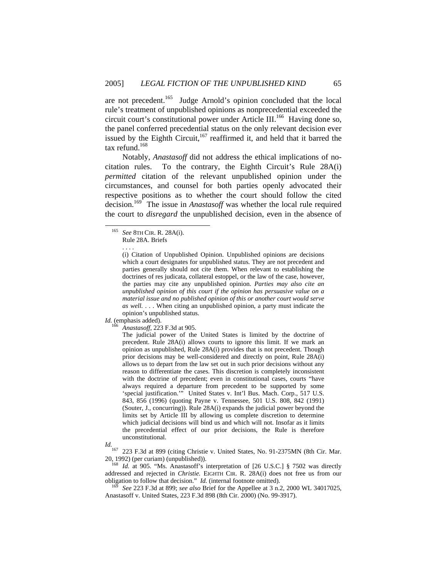are not precedent.<sup>165</sup> Judge Arnold's opinion concluded that the local rule's treatment of unpublished opinions as nonprecedential exceeded the circuit court's constitutional power under Article III.<sup>166</sup> Having done so, the panel conferred precedential status on the only relevant decision ever issued by the Eighth Circuit, $167$  reaffirmed it, and held that it barred the tax refund.<sup>168</sup>

Notably, *Anastasoff* did not address the ethical implications of nocitation rules. To the contrary, the Eighth Circuit's Rule 28A(i) *permitted* citation of the relevant unpublished opinion under the circumstances, and counsel for both parties openly advocated their respective positions as to whether the court should follow the cited decision.<sup>169</sup> The issue in *Anastasoff* was whether the local rule required the court to *disregard* the unpublished decision, even in the absence of

 $Id.$  (emphasis added).

. . . .

<sup>166</sup> *Anastasoff,* 223 F.3d at 905.

The judicial power of the United States is limited by the doctrine of precedent. Rule 28A(i) allows courts to ignore this limit. If we mark an opinion as unpublished, Rule 28A(i) provides that is not precedent. Though prior decisions may be well-considered and directly on point, Rule 28A(i) allows us to depart from the law set out in such prior decisions without any reason to differentiate the cases. This discretion is completely inconsistent with the doctrine of precedent; even in constitutional cases, courts "have always required a departure from precedent to be supported by some 'special justification.'" United States v. Int'l Bus. Mach. Corp., 517 U.S. 843, 856 (1996) (quoting Payne v. Tennessee, 501 U.S. 808, 842 (1991) (Souter, J., concurring)). Rule 28A(i) expands the judicial power beyond the limits set by Article III by allowing us complete discretion to determine which judicial decisions will bind us and which will not. Insofar as it limits the precedential effect of our prior decisions, the Rule is therefore unconstitutional.

*Id.* <sup>167</sup> 223 F.3d at 899 (citing Christie v. United States, No. 91-2375MN (8th Cir. Mar. 20, 1992) (per curiam) (unpublished)). 168 *Id.* at 905. "Ms. Anastasoff's interpretation of [26 U.S.C.] § 7502 was directly

addressed and rejected in *Christie*. EIGHTH CIR. R. 28A(i) does not free us from our obligation to follow that decision." *Id.* (internal footnote omitted).

See 223 F.3d at 899; *see also* Brief for the Appellee at 3 n.2, 2000 WL 34017025, Anastasoff v. United States, 223 F.3d 898 (8th Cir. 2000) (No. 99-3917).

 <sup>165</sup> *See* 8TH CIR. R. 28A(i). Rule 28A. Briefs

<sup>(</sup>i) Citation of Unpublished Opinion. Unpublished opinions are decisions which a court designates for unpublished status. They are not precedent and parties generally should not cite them. When relevant to establishing the doctrines of res judicata, collateral estoppel, or the law of the case, however, the parties may cite any unpublished opinion. *Parties may also cite an unpublished opinion of this court if the opinion has persuasive value on a material issue and no published opinion of this or another court would serve as well.* . . . When citing an unpublished opinion, a party must indicate the opinion's unpublished status.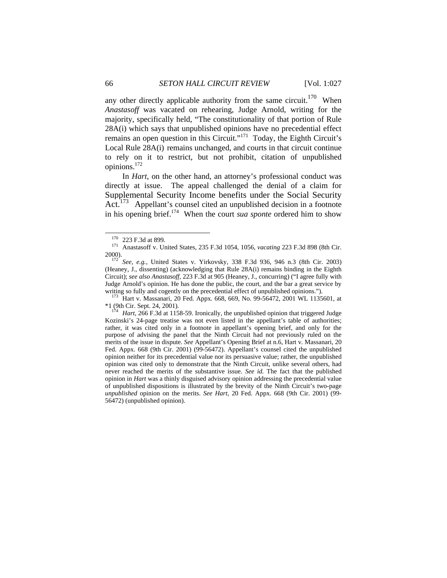any other directly applicable authority from the same circuit.<sup>170</sup> When *Anastasoff* was vacated on rehearing, Judge Arnold, writing for the majority, specifically held, "The constitutionality of that portion of Rule 28A(i) which says that unpublished opinions have no precedential effect remains an open question in this Circuit."<sup>171</sup> Today, the Eighth Circuit's Local Rule 28A(i) remains unchanged, and courts in that circuit continue to rely on it to restrict, but not prohibit, citation of unpublished opinions.172

In *Hart*, on the other hand, an attorney's professional conduct was directly at issue. The appeal challenged the denial of a claim for Supplemental Security Income benefits under the Social Security Act.<sup>173</sup> Appellant's counsel cited an unpublished decision in a footnote in his opening brief.174 When the court *sua sponte* ordered him to show

writing so fully and cogently on the precedential effect of unpublished opinions.").<br><sup>173</sup> Hart v. Massanari, 20 Fed. Appx. 668, 669, No. 99-56472, 2001 WL 1135601, at \*1 (9th Cir. Sept. 24, 2001). 174 *Hart,* 266 F.3d at 1158-59. Ironically, the unpublished opinion that triggered Judge

 <sup>170 223</sup> F.3d at 899*.* 171 Anastasoff v. United States, 235 F.3d 1054, 1056, *vacating* 223 F.3d 898 (8th Cir.

<sup>&</sup>lt;sup>172</sup> See, e.g., United States v. Yirkovsky, 338 F.3d 936, 946 n.3 (8th Cir. 2003) (Heaney, J., dissenting) (acknowledging that Rule 28A(i) remains binding in the Eighth Circuit); *see also Anastasoff,* 223 F.3d at 905 (Heaney, J., concurring) ("I agree fully with Judge Arnold's opinion. He has done the public, the court, and the bar a great service by

Kozinski's 24-page treatise was not even listed in the appellant's table of authorities; rather, it was cited only in a footnote in appellant's opening brief, and only for the purpose of advising the panel that the Ninth Circuit had not previously ruled on the merits of the issue in dispute. *See* Appellant's Opening Brief at n.6, Hart v. Massanari, 20 Fed. Appx. 668 (9th Cir. 2001) (99-56472). Appellant's counsel cited the unpublished opinion neither for its precedential value nor its persuasive value; rather, the unpublished opinion was cited only to demonstrate that the Ninth Circuit, unlike several others, had never reached the merits of the substantive issue. *See id.* The fact that the published opinion in *Hart* was a thinly disguised advisory opinion addressing the precedential value of unpublished dispositions is illustrated by the brevity of the Ninth Circuit's two-page *unpublished* opinion on the merits. *See Hart*, 20 Fed. Appx. 668 (9th Cir. 2001) (99- 56472) (unpublished opinion).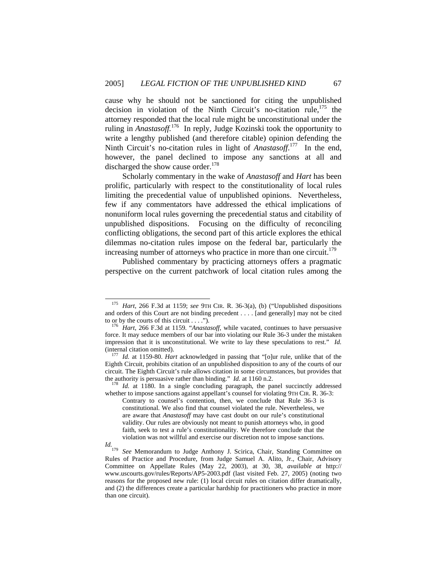cause why he should not be sanctioned for citing the unpublished decision in violation of the Ninth Circuit's no-citation rule,<sup>175</sup> the attorney responded that the local rule might be unconstitutional under the ruling in *Anastasoff.*176 In reply, Judge Kozinski took the opportunity to write a lengthy published (and therefore citable) opinion defending the Ninth Circuit's no-citation rules in light of *Anastasoff*. 177 In the end, however, the panel declined to impose any sanctions at all and discharged the show cause order. $178$ 

Scholarly commentary in the wake of *Anastasoff* and *Hart* has been prolific, particularly with respect to the constitutionality of local rules limiting the precedential value of unpublished opinions. Nevertheless, few if any commentators have addressed the ethical implications of nonuniform local rules governing the precedential status and citability of unpublished dispositions. Focusing on the difficulty of reconciling conflicting obligations, the second part of this article explores the ethical dilemmas no-citation rules impose on the federal bar, particularly the increasing number of attorneys who practice in more than one circuit.<sup>179</sup>

Published commentary by practicing attorneys offers a pragmatic perspective on the current patchwork of local citation rules among the

Hart, 266 F.3d at 1159; see 9TH CIR. R. 36-3(a), (b) ("Unpublished dispositions and orders of this Court are not binding precedent . . . . [and generally] may not be cited to or by the courts of this circuit . . . .").

to the courts of this circuit of this circuit of this circuit is continued, continues to have persuasive force. It may seduce members of our bar into violating our Rule 36-3 under the mistaken impression that it is unconstitutional. We write to lay these speculations to rest." *Id.*  (internal citation omitted). 177 *Id.* at 1159-80. *Hart* acknowledged in passing that "[o]ur rule, unlike that of the

Eighth Circuit, prohibits citation of an unpublished disposition to any of the courts of our circuit. The Eighth Circuit's rule allows citation in some circumstances, but provides that the authority is persuasive rather than binding." *Id.* at 1160 n.2. <sup>178</sup> *Id.* at 1180. In a single concluding paragraph, the panel succinctly addressed

whether to impose sanctions against appellant's counsel for violating 9TH CIR. R. 36-3:

Contrary to counsel's contention, then, we conclude that Rule 36-3 is constitutional. We also find that counsel violated the rule. Nevertheless, we are aware that *Anastasoff* may have cast doubt on our rule's constitutional validity. Our rules are obviously not meant to punish attorneys who, in good faith, seek to test a rule's constitutionality. We therefore conclude that the violation was not willful and exercise our discretion not to impose sanctions.

*Id.*<br><sup>179</sup> See Memorandum to Judge Anthony J. Scirica, Chair, Standing Committee on Rules of Practice and Procedure, from Judge Samuel A. Alito, Jr., Chair, Advisory Committee on Appellate Rules (May 22, 2003), at 30, 38, *available at* http:// www.uscourts.gov/rules/Reports/AP5-2003.pdf (last visited Feb. 27, 2005) (noting two reasons for the proposed new rule: (1) local circuit rules on citation differ dramatically, and (2) the differences create a particular hardship for practitioners who practice in more than one circuit).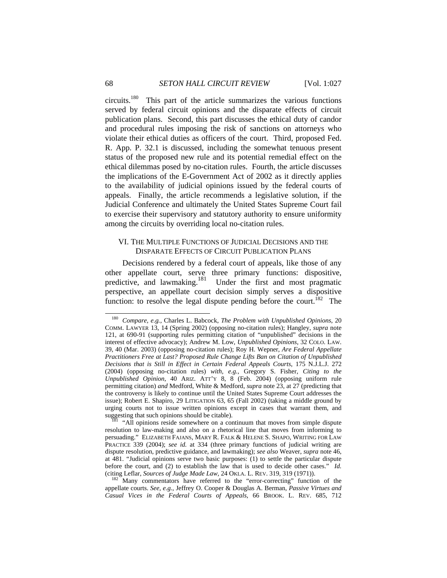circuits.180 This part of the article summarizes the various functions served by federal circuit opinions and the disparate effects of circuit publication plans. Second, this part discusses the ethical duty of candor and procedural rules imposing the risk of sanctions on attorneys who violate their ethical duties as officers of the court. Third, proposed Fed. R. App. P. 32.1 is discussed, including the somewhat tenuous present status of the proposed new rule and its potential remedial effect on the ethical dilemmas posed by no-citation rules. Fourth, the article discusses the implications of the E-Government Act of 2002 as it directly applies to the availability of judicial opinions issued by the federal courts of appeals. Finally, the article recommends a legislative solution, if the Judicial Conference and ultimately the United States Supreme Court fail to exercise their supervisory and statutory authority to ensure uniformity among the circuits by overriding local no-citation rules.

## VI. THE MULTIPLE FUNCTIONS OF JUDICIAL DECISIONS AND THE DISPARATE EFFECTS OF CIRCUIT PUBLICATION PLANS

Decisions rendered by a federal court of appeals, like those of any other appellate court, serve three primary functions: dispositive, predictive, and lawmaking.<sup>181</sup> Under the first and most pragmatic perspective, an appellate court decision simply serves a dispositive function: to resolve the legal dispute pending before the court.<sup>182</sup> The

 <sup>180</sup> *Compare, e.g.*, Charles L. Babcock, *The Problem with Unpublished Opinions*, 20 COMM. LAWYER 13, 14 (Spring 2002) (opposing no-citation rules); Hangley, *supra* note 121, at 690-91 (supporting rules permitting citation of "unpublished" decisions in the interest of effective advocacy); Andrew M. Low, *Unpublished Opinions*, 32 COLO. LAW. 39, 40 (Mar. 2003) (opposing no-citation rules); Roy H. Wepner, *Are Federal Appellate Practitioners Free at Last? Proposed Rule Change Lifts Ban on Citation of Unpublished Decisions that is Still in Effect in Certain Federal Appeals Courts*, 175 N.J.L.J. 272 (2004) (opposing no-citation rules) *with, e.g.*, Gregory S. Fisher, *Citing to the Unpublished Opinion*, 40 ARIZ. ATT'Y 8, 8 (Feb. 2004) (opposing uniform rule permitting citation) *and* Medford, White & Medford, *supra* note 23, at 27 (predicting that the controversy is likely to continue until the United States Supreme Court addresses the issue); Robert E. Shapiro, 29 LITIGATION 63, 65 (Fall 2002) (taking a middle ground by urging courts not to issue written opinions except in cases that warrant them, and suggesting that such opinions should be citable).<br><sup>181</sup> "All opinions reside somewhere on a continuum that moves from simple dispute

resolution to law-making and also on a rhetorical line that moves from informing to persuading." ELIZABETH FAJANS, MARY R. FALK & HELENE S. SHAPO, WRITING FOR LAW PRACTICE 339 (2004); *see id.* at 334 (three primary functions of judicial writing are dispute resolution, predictive guidance, and lawmaking); *see also* Weaver, *supra* note 46, at 481. "Judicial opinions serve two basic purposes: (1) to settle the particular dispute before the court, and (2) to establish the law that is used to decide other cases." *Id.* (citing Leflar, *Sources of Judge Made Law*, 24 OKLA. L. REV. 319, 319 (1971)).

<sup>&</sup>lt;sup>182</sup> Many commentators have referred to the "error-correcting" function of the appellate courts. *See, e.g.*, Jeffrey O. Cooper & Douglas A. Berman, *Passive Virtues and Casual Vices in the Federal Courts of Appeals*, 66 BROOK. L. REV. 685, 712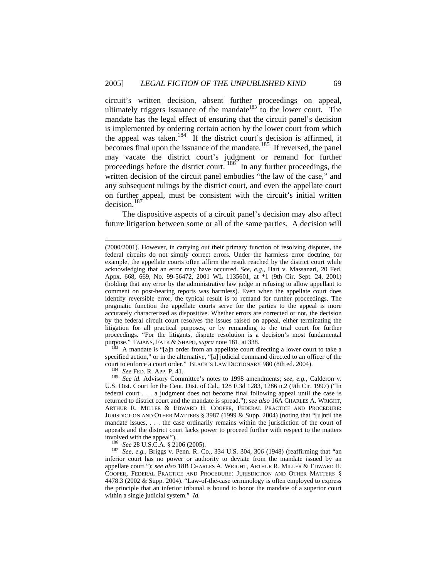circuit's written decision, absent further proceedings on appeal, ultimately triggers issuance of the mandate  $183$  to the lower court. The mandate has the legal effect of ensuring that the circuit panel's decision is implemented by ordering certain action by the lower court from which the appeal was taken.<sup>184</sup> If the district court's decision is affirmed, it becomes final upon the issuance of the mandate.<sup>185</sup> If reversed, the panel may vacate the district court's judgment or remand for further proceedings before the district court.  $186^\circ$  In any further proceedings, the written decision of the circuit panel embodies "the law of the case," and any subsequent rulings by the district court, and even the appellate court on further appeal, must be consistent with the circuit's initial written decision.187

The dispositive aspects of a circuit panel's decision may also affect future litigation between some or all of the same parties. A decision will

A mandate is "[a]n order from an appellate court directing a lower court to take a specified action," or in the alternative, "[a] judicial command directed to an officer of the

 $\overline{a}$ 

court to enforce a court order." BLACK'S LAW DICTIONARY 980 (8th ed. 2004). 184 *See* FED. R. APP. P. 41. 185 *See id.* Advisory Committee's notes to 1998 amendments; *see, e.g.,* Calderon v. U.S. Dist. Court for the Cent. Dist. of Cal., 128 F.3d 1283, 1286 n.2 (9th Cir. 1997) ("In federal court . . . a judgment does not become final following appeal until the case is returned to district court and the mandate is spread."); *see also* 16A CHARLES A. WRIGHT, ARTHUR R. MILLER & EDWARD H. COOPER, FEDERAL PRACTICE AND PROCEDURE: JURISDICTION AND OTHER MATTERS § 3987 (1999 & Supp. 2004) (noting that "[u]ntil the mandate issues, . . . the case ordinarily remains within the jurisdiction of the court of appeals and the district court lacks power to proceed further with respect to the matters

involved with the appeal"). 186 *See* 28 U.S.C.A. § 2106 (2005). 187 *See, e.g.,* Briggs v. Penn. R. Co., 334 U.S. 304, 306 (1948) (reaffirming that "an inferior court has no power or authority to deviate from the mandate issued by an appellate court."); *see also* 18B CHARLES A. WRIGHT, ARTHUR R. MILLER & EDWARD H. COOPER, FEDERAL PRACTICE AND PROCEDURE: JURISDICTION AND OTHER MATTERS § 4478.3 (2002 & Supp. 2004). "Law-of-the-case terminology is often employed to express the principle that an inferior tribunal is bound to honor the mandate of a superior court within a single judicial system." *Id.* 

<sup>(2000/2001).</sup> However, in carrying out their primary function of resolving disputes, the federal circuits do not simply correct errors. Under the harmless error doctrine, for example, the appellate courts often affirm the result reached by the district court while acknowledging that an error may have occurred. *See, e.g.*, Hart v. Massanari, 20 Fed. Appx. 668, 669, No. 99-56472, 2001 WL 1135601, at \*1 (9th Cir. Sept. 24, 2001) (holding that any error by the administrative law judge in refusing to allow appellant to comment on post-hearing reports was harmless). Even when the appellate court does identify reversible error, the typical result is to remand for further proceedings. The pragmatic function the appellate courts serve for the parties to the appeal is more accurately characterized as dispositive. Whether errors are corrected or not, the decision by the federal circuit court resolves the issues raised on appeal, either terminating the litigation for all practical purposes, or by remanding to the trial court for further proceedings. "For the litigants, dispute resolution is a decision's most fundamental purpose." FAJANS, FALK & SHAPO, *supra* note 181, at 338.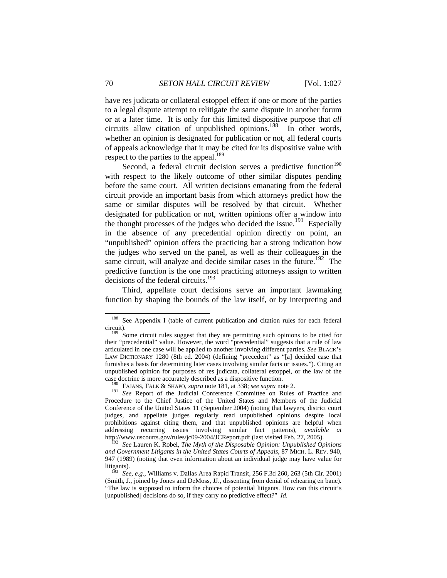have res judicata or collateral estoppel effect if one or more of the parties to a legal dispute attempt to relitigate the same dispute in another forum or at a later time. It is only for this limited dispositive purpose that *all* circuits allow citation of unpublished opinions.<sup>188</sup> In other words, whether an opinion is designated for publication or not, all federal courts of appeals acknowledge that it may be cited for its dispositive value with respect to the parties to the appeal.<sup>189</sup>

Second, a federal circuit decision serves a predictive function<sup>190</sup> with respect to the likely outcome of other similar disputes pending before the same court. All written decisions emanating from the federal circuit provide an important basis from which attorneys predict how the same or similar disputes will be resolved by that circuit. Whether designated for publication or not, written opinions offer a window into the thought processes of the judges who decided the issue.<sup>191</sup> Especially in the absence of any precedential opinion directly on point, an "unpublished" opinion offers the practicing bar a strong indication how the judges who served on the panel, as well as their colleagues in the same circuit, will analyze and decide similar cases in the future.<sup>192</sup> The predictive function is the one most practicing attorneys assign to written decisions of the federal circuits. $193$ 

Third, appellate court decisions serve an important lawmaking function by shaping the bounds of the law itself, or by interpreting and

<sup>&</sup>lt;sup>188</sup> See Appendix I (table of current publication and citation rules for each federal

circuit). 189 Some circuit rules suggest that they are permitting such opinions to be cited for their "precedential" value. However, the word "precedential" suggests that a rule of law articulated in one case will be applied to another involving different parties. *See* BLACK'S LAW DICTIONARY 1280 (8th ed. 2004) (defining "precedent" as "[a] decided case that furnishes a basis for determining later cases involving similar facts or issues."). Citing an unpublished opinion for purposes of res judicata, collateral estoppel, or the law of the case doctrine is more accurately described as a dispositive function.<br><sup>190</sup> FAJANS, FALK & SHAPO, *supra* note 181, at 338; *see supra* note 2.<br><sup>191</sup> *See* Report of the Judicial Conference Committee on Rules of Practice

Procedure to the Chief Justice of the United States and Members of the Judicial Conference of the United States 11 (September 2004) (noting that lawyers, district court judges, and appellate judges regularly read unpublished opinions despite local prohibitions against citing them, and that unpublished opinions are helpful when addressing recurring issues involving similar fact patterns), *available* http://www.uscourts.gov/rules/jc09-2004/JCReport.pdf (last visited Feb. 27, 2005). 192 *See* Lauren K. Robel, *The Myth of the Disposable Opinion: Unpublished Opinions* 

*and Government Litigants in the United States Courts of Appeals*, 87 MICH. L. REV. 940, 947 (1989) (noting that even information about an individual judge may have value for

litigants). 193 *See, e.g.*, Williams v. Dallas Area Rapid Transit*,* 256 F.3d 260, 263 (5th Cir. 2001) (Smith, J., joined by Jones and DeMoss, JJ., dissenting from denial of rehearing en banc). "The law is supposed to inform the choices of potential litigants. How can this circuit's [unpublished] decisions do so, if they carry no predictive effect?" *Id.*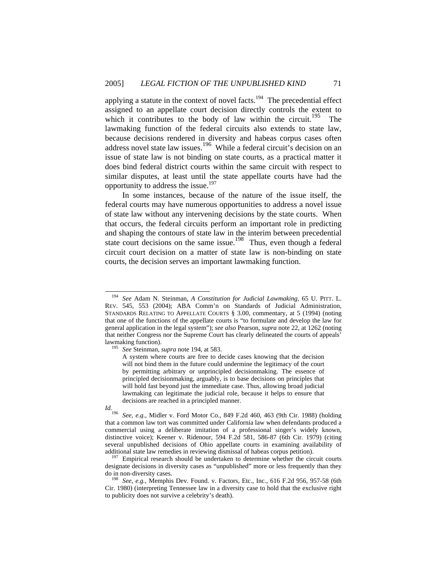applying a statute in the context of novel facts.<sup>194</sup> The precedential effect assigned to an appellate court decision directly controls the extent to which it contributes to the body of law within the circuit.<sup>195</sup> The lawmaking function of the federal circuits also extends to state law, because decisions rendered in diversity and habeas corpus cases often address novel state law issues.<sup>196</sup> While a federal circuit's decision on an issue of state law is not binding on state courts, as a practical matter it does bind federal district courts within the same circuit with respect to similar disputes, at least until the state appellate courts have had the opportunity to address the issue.<sup>197</sup>

In some instances, because of the nature of the issue itself, the federal courts may have numerous opportunities to address a novel issue of state law without any intervening decisions by the state courts. When that occurs, the federal circuits perform an important role in predicting and shaping the contours of state law in the interim between precedential state court decisions on the same issue.<sup>198</sup> Thus, even though a federal circuit court decision on a matter of state law is non-binding on state courts, the decision serves an important lawmaking function.

 <sup>194</sup> *See* Adam N. Steinman, *A Constitution for Judicial Lawmaking*, 65 U. PITT. L. REV. 545, 553 (2004); ABA Comm'n on Standards of Judicial Administration, STANDARDS RELATING TO APPELLATE COURTS § 3.00, commentary, at 5 (1994) (noting that one of the functions of the appellate courts is "to formulate and develop the law for general application in the legal system"); *see also* Pearson, *supra* note 22, at 1262 (noting that neither Congress nor the Supreme Court has clearly delineated the courts of appeals' lawmaking function). 195 *See* Steinman, *supra* note 194, at 583.

A system where courts are free to decide cases knowing that the decision will not bind them in the future could undermine the legitimacy of the court by permitting arbitrary or unprincipled decisionmaking. The essence of principled decisionmaking, arguably, is to base decisions on principles that will hold fast beyond just the immediate case. Thus, allowing broad judicial lawmaking can legitimate the judicial role, because it helps to ensure that decisions are reached in a principled manner.

*Id.* **1966** See, e.g., Midler v. Ford Motor Co., 849 F.2d 460, 463 (9th Cir. 1988) (holding that a common law tort was committed under California law when defendants produced a commercial using a deliberate imitation of a professional singer's widely known, distinctive voice); Keener v. Ridenour, 594 F.2d 581, 586-87 (6th Cir. 1979) (citing several unpublished decisions of Ohio appellate courts in examining availability of additional state law remedies in reviewing dismissal of habeas corpus petition). 197 Empirical research should be undertaken to determine whether the circuit courts

designate decisions in diversity cases as "unpublished" more or less frequently than they

<sup>&</sup>lt;sup>198</sup> See, e.g., Memphis Dev. Found. v. Factors, Etc., Inc., 616 F.2d 956, 957-58 (6th Cir. 1980) (interpreting Tennessee law in a diversity case to hold that the exclusive right to publicity does not survive a celebrity's death).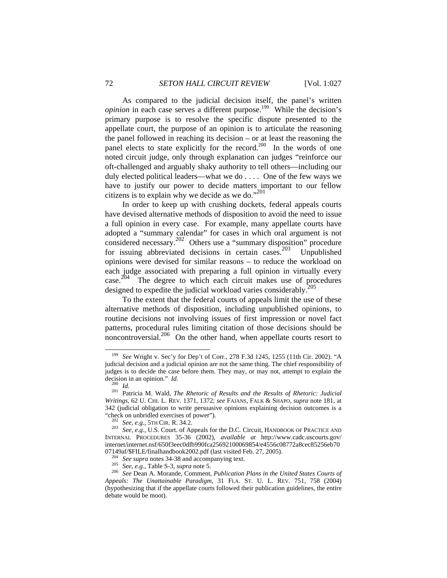As compared to the judicial decision itself, the panel's written *opinion* in each case serves a different purpose.<sup>199</sup> While the decision's primary purpose is to resolve the specific dispute presented to the appellate court, the purpose of an opinion is to articulate the reasoning the panel followed in reaching its decision – or at least the reasoning the panel elects to state explicitly for the record.<sup>200</sup> In the words of one noted circuit judge, only through explanation can judges "reinforce our oft-challenged and arguably shaky authority to tell others—including our duly elected political leaders—what we do . . . . One of the few ways we have to justify our power to decide matters important to our fellow citizens is to explain why we decide as we do." $201$ 

In order to keep up with crushing dockets, federal appeals courts have devised alternative methods of disposition to avoid the need to issue a full opinion in every case. For example, many appellate courts have adopted a "summary calendar" for cases in which oral argument is not considered necessary.202 Others use a "summary disposition" procedure for issuing abbreviated decisions in certain cases.203 Unpublished opinions were devised for similar reasons – to reduce the workload on each judge associated with preparing a full opinion in virtually every case.<sup>204</sup> The degree to which each circuit makes use of procedures designed to expedite the judicial workload varies considerably.<sup>2</sup>

To the extent that the federal courts of appeals limit the use of these alternative methods of disposition, including unpublished opinions, to routine decisions not involving issues of first impression or novel fact patterns, procedural rules limiting citation of those decisions should be noncontroversial.206 On the other hand, when appellate courts resort to

 <sup>199</sup> *See* Wright v. Sec'y for Dep't of Corr., 278 F.3d 1245, 1255 (11th Cir. 2002). "A judicial decision and a judicial opinion are not the same thing. The chief responsibility of judges is to decide the case before them. They may, or may not, attempt to explain the

decision in an opinion." *Id.*<br><sup>200</sup> *Id.* 201 Patricia M. Wald, *The Rhetoric of Results and the Results of Rhetoric: Judicial Writings*, 62 U. CHI. L. REV. 1371, 1372; *see* FAJANS, FALK & SHAPO, *supra* note 181, at 342 (judicial obligation to write persuasive opinions explaining decision outcomes is a

<sup>&</sup>quot;check on unbridled exercises of power"). 202 *See, e.g.*, 5TH CIR. R. 34.2. 203 *See, e.g.*, U.S. Court. of Appeals for the D.C. Circuit, HANDBOOK OF PRACTICE AND INTERNAL PROCEDURES 35-36 (2002), *available at* http://www.cadc.uscourts.gov/ internet/internet.nsf/650f3eec0dfb990fca25692100069854/e4556c08772a8cec85256eb70

<sup>07149</sup>af/\$FILE/finalhandbook2002.pdf (last visited Feb. 27, 2005).<br><sup>204</sup> *See supra* notes 34-38 and accompanying text.<br><sup>205</sup> *See, e.g.*, Table S-3, *supra* note 5.<br><sup>206</sup> *See* Dean A. Morande, Comment, *Publication Plans Appeals: The Unattainable Paradigm*, 31 FLA. ST. U. L. REV. 751, 758 (2004) (hypothesizing that if the appellate courts followed their publication guidelines, the entire debate would be moot).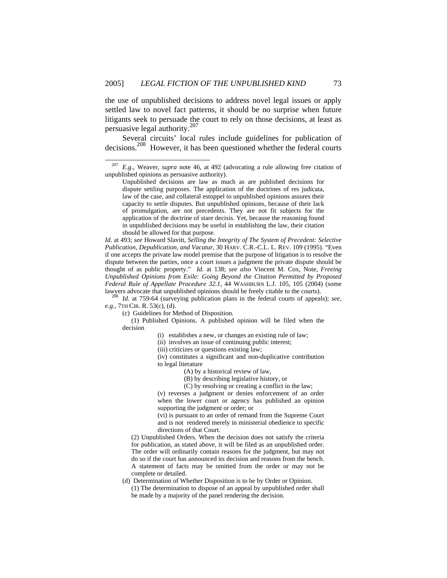the use of unpublished decisions to address novel legal issues or apply settled law to novel fact patterns, it should be no surprise when future litigants seek to persuade the court to rely on those decisions, at least as persuasive legal authority.207

Several circuits' local rules include guidelines for publication of decisions.208 However, it has been questioned whether the federal courts

*Id*. at 493; *see* Howard Slavitt, *Selling the Integrity of The System of Precedent: Selective Publication, Depublication, and Vacatur,* 30 HARV. C.R.-C.L. L. REV. 109 (1995). "Even if one accepts the private law model premise that the purpose of litigation is to resolve the dispute between the parties, once a court issues a judgment the private dispute should be thought of as public property." *Id.* at 138; *see also* Vincent M. Cox, Note, *Freeing Unpublished Opinions from Exile: Going Beyond the Citation Permitted by Proposed Federal Rule of Appellate Procedure 32.1,* 44 WASHBURN L.J. 105, 105 (2004) (some lawyers advocate that unpublished opinions should be freely citable to the courts).

<sup>208</sup> Id. at 759-64 (surveying publication plans in the federal courts of appeals); see, *e.g.*, 7TH CIR. R. 53(c), (d).

 (1) Published Opinions. A published opinion will be filed when the decision

(ii) involves an issue of continuing public interest;

(iii) criticizes or questions existing law;

(iv) constitutes a significant and non-duplicative contribution to legal literature

(A) by a historical review of law,

(B) by describing legislative history, or

(C) by resolving or creating a conflict in the law;

(v) reverses a judgment or denies enforcement of an order when the lower court or agency has published an opinion supporting the judgment or order; or

(vi) is pursuant to an order of remand from the Supreme Court and is not rendered merely in ministerial obedience to specific directions of that Court.

(2) Unpublished Orders. When the decision does not satisfy the criteria for publication, as stated above, it will be filed as an unpublished order. The order will ordinarily contain reasons for the judgment, but may not do so if the court has announced its decision and reasons from the bench. A statement of facts may be omitted from the order or may not be complete or detailed.

(d) Determination of Whether Disposition is to be by Order or Opinion. (1) The determination to dispose of an appeal by unpublished order shall be made by a majority of the panel rendering the decision.

*E.g., Weaver, supra* note 46, at 492 (advocating a rule allowing free citation of unpublished opinions as persuasive authority).

Unpublished decisions are law as much as are published decisions for dispute settling purposes. The application of the doctrines of res judicata, law of the case, and collateral estoppel to unpublished opinions assures their capacity to settle disputes. But unpublished opinions, because of their lack of promulgation, are not precedents. They are not fit subjects for the application of the doctrine of stare decisis. Yet, because the reasoning found in unpublished decisions may be useful in establishing the law, their citation should be allowed for that purpose.

<sup>(</sup>c) Guidelines for Method of Disposition.

 <sup>(</sup>i) establishes a new, or changes an existing rule of law;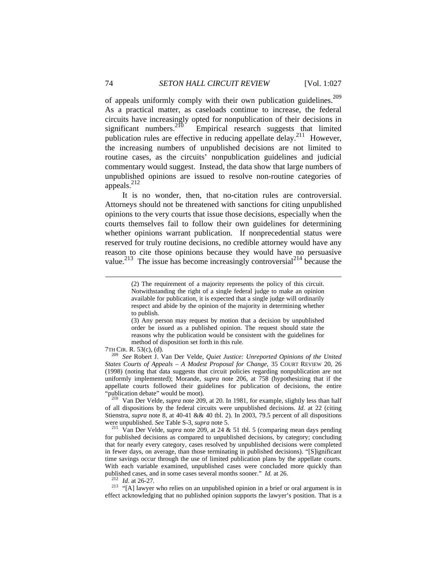of appeals uniformly comply with their own publication guidelines.<sup>209</sup> As a practical matter, as caseloads continue to increase, the federal circuits have increasingly opted for nonpublication of their decisions in significant numbers.<sup>210</sup> Empirical research suggests that limited significant numbers.<sup>210</sup> Empirical research suggests that limited publication rules are effective in reducing appellate delay.<sup>211</sup> However, the increasing numbers of unpublished decisions are not limited to routine cases, as the circuits' nonpublication guidelines and judicial commentary would suggest. Instead, the data show that large numbers of unpublished opinions are issued to resolve non-routine categories of appeals. $^{212}$ 

It is no wonder, then, that no-citation rules are controversial. Attorneys should not be threatened with sanctions for citing unpublished opinions to the very courts that issue those decisions, especially when the courts themselves fail to follow their own guidelines for determining whether opinions warrant publication. If nonprecedential status were reserved for truly routine decisions, no credible attorney would have any reason to cite those opinions because they would have no persuasive value.<sup>213</sup> The issue has become increasingly controversial<sup>214</sup> because the

7TH CIR. R. 53(c), (d). 209 *See* Robert J. Van Der Velde, *Quiet Justice: Unreported Opinions of the United States Courts of Appeals – A Modest Proposal for Change*, 35 COURT REVIEW 20, 26 (1998) (noting that data suggests that circuit policies regarding nonpublication are not uniformly implemented); Morande, *supra* note 206, at 758 (hypothesizing that if the appellate courts followed their guidelines for publication of decisions, the entire

Van Der Velde, *supra* note 209, at 20. In 1981, for example, slightly less than half of all dispositions by the federal circuits were unpublished decisions. *Id.* at 22 (citing Stienstra*, supra* note 8, at 40-41 && 40 tbl. 2). In 2003, 79.5 percent of all dispositions were unpublished. *See* Table S-3, *supra* note 5. <sup>211</sup> Van Der Velde, *supra* note 209, at 24 & 51 tbl. 5 (comparing mean days pending

for published decisions as compared to unpublished decisions, by category; concluding that for nearly every category, cases resolved by unpublished decisions were completed in fewer days, on average, than those terminating in published decisions). "[S]ignificant time savings occur through the use of limited publication plans by the appellate courts. With each variable examined, unpublished cases were concluded more quickly than published cases, and in some cases several months sooner."  $Id$  at 26.

<sup>212</sup> *Id.* at 26-27. <sup>213</sup> *Id.* at 26-27. <sup>213</sup> "[A] lawyer who relies on an unpublished opinion in a brief or oral argument is in effect acknowledging that no published opinion supports the lawyer's position. That is a

l

<sup>(2)</sup> The requirement of a majority represents the policy of this circuit. Notwithstanding the right of a single federal judge to make an opinion available for publication, it is expected that a single judge will ordinarily respect and abide by the opinion of the majority in determining whether to publish.

<sup>(3)</sup> Any person may request by motion that a decision by unpublished order be issued as a published opinion. The request should state the reasons why the publication would be consistent with the guidelines for method of disposition set forth in this rule.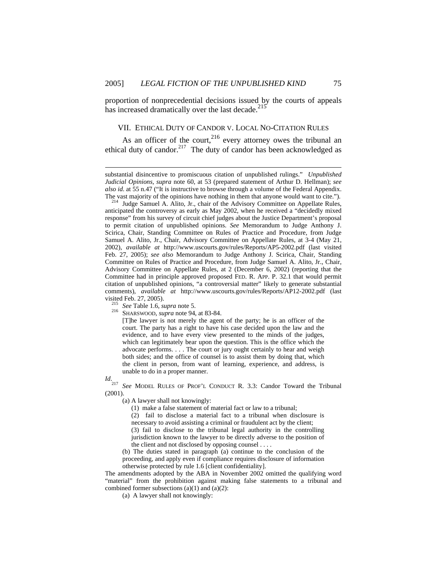proportion of nonprecedential decisions issued by the courts of appeals has increased dramatically over the last decade.<sup>215</sup>

#### VII. ETHICAL DUTY OF CANDOR V. LOCAL NO-CITATION RULES

As an officer of the court,  $216$  every attorney owes the tribunal an ethical duty of candor.<sup>217</sup> The duty of candor has been acknowledged as

[T]he lawyer is not merely the agent of the party; he is an officer of the court. The party has a right to have his case decided upon the law and the evidence, and to have every view presented to the minds of the judges, which can legitimately bear upon the question. This is the office which the advocate performs. . . . The court or jury ought certainly to hear and weigh both sides; and the office of counsel is to assist them by doing that, which the client in person, from want of learning, experience, and address, is unable to do in a proper manner.

*Id*.

l

<sup>217</sup> *See* MODEL RULES OF PROF'L CONDUCT R. 3.3: Candor Toward the Tribunal (2001).

(a) A lawyer shall not knowingly:

(1) make a false statement of material fact or law to a tribunal;

(2) fail to disclose a material fact to a tribunal when disclosure is necessary to avoid assisting a criminal or fraudulent act by the client;

(3) fail to disclose to the tribunal legal authority in the controlling jurisdiction known to the lawyer to be directly adverse to the position of the client and not disclosed by opposing counsel . . . .

(b) The duties stated in paragraph (a) continue to the conclusion of the proceeding, and apply even if compliance requires disclosure of information otherwise protected by rule 1.6 [client confidentiality].

The amendments adopted by the ABA in November 2002 omitted the qualifying word "material" from the prohibition against making false statements to a tribunal and combined former subsections  $(a)(1)$  and  $(a)(2)$ :

(a) A lawyer shall not knowingly:

substantial disincentive to promiscuous citation of unpublished rulings." *Unpublished Judicial Opinions, supra* note 60, at 53 (prepared statement of Arthur D. Hellman); *see also id*. at 55 n.47 ("It is instructive to browse through a volume of the Federal Appendix.

The vast majority of the opinions have nothing in them that anyone would want to cite."). 214 Judge Samuel A. Alito, Jr., chair of the Advisory Committee on Appellate Rules, anticipated the controversy as early as May 2002, when he received a "decidedly mixed response" from his survey of circuit chief judges about the Justice Department's proposal to permit citation of unpublished opinions. *See* Memorandum to Judge Anthony J. Scirica, Chair, Standing Committee on Rules of Practice and Procedure, from Judge Samuel A. Alito, Jr., Chair, Advisory Committee on Appellate Rules, at 3-4 (May 21, 2002), *available at* http://www.uscourts.gov/rules/Reports/AP5-2002.pdf (last visited Feb. 27, 2005); *see also* Memorandum to Judge Anthony J. Scirica, Chair, Standing Committee on Rules of Practice and Procedure, from Judge Samuel A. Alito, Jr., Chair, Advisory Committee on Appellate Rules, at 2 (December 6, 2002) (reporting that the Committee had in principle approved proposed FED. R. APP. P. 32.1 that would permit citation of unpublished opinions, "a controversial matter" likely to generate substantial comments), *available at* http://www.uscourts.gov/rules/Reports/AP12-2002.pdf (last visited Feb. 27, 2005). 215 *See* Table 1.6, *supra* note 5. 216 SHARSWOOD, *supra* note 94, at 83-84.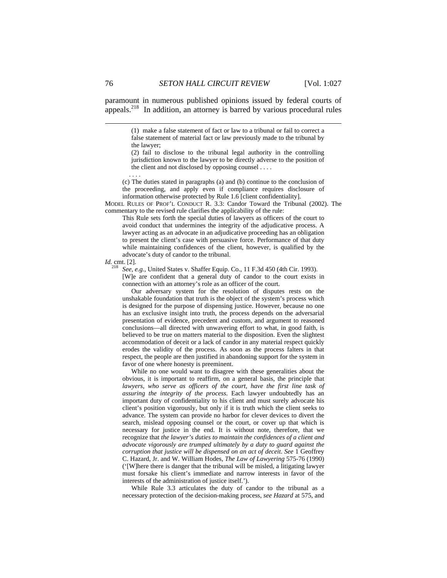paramount in numerous published opinions issued by federal courts of appeals. $218$  In addition, an attorney is barred by various procedural rules

> (1) make a false statement of fact or law to a tribunal or fail to correct a false statement of material fact or law previously made to the tribunal by the lawyer;

> (2) fail to disclose to the tribunal legal authority in the controlling jurisdiction known to the lawyer to be directly adverse to the position of the client and not disclosed by opposing counsel . . . .

(c) The duties stated in paragraphs (a) and (b) continue to the conclusion of the proceeding, and apply even if compliance requires disclosure of information otherwise protected by Rule 1.6 [client confidentiality].

MODEL RULES OF PROF'L CONDUCT R. 3.3: Candor Toward the Tribunal (2002). The commentary to the revised rule clarifies the applicability of the rule:

This Rule sets forth the special duties of lawyers as officers of the court to avoid conduct that undermines the integrity of the adjudicative process. A lawyer acting as an advocate in an adjudicative proceeding has an obligation to present the client's case with persuasive force. Performance of that duty while maintaining confidences of the client, however, is qualified by the advocate's duty of candor to the tribunal.

*Id.* cmt. [2].

. . . .

<sup>218</sup> See, e.g., United States v. Shaffer Equip. Co., 11 F.3d 450 (4th Cir. 1993). [W]e are confident that a general duty of candor to the court exists in connection with an attorney's role as an officer of the court.

 Our adversary system for the resolution of disputes rests on the unshakable foundation that truth is the object of the system's process which is designed for the purpose of dispensing justice. However, because no one has an exclusive insight into truth, the process depends on the adversarial presentation of evidence, precedent and custom, and argument to reasoned conclusions—all directed with unwavering effort to what, in good faith, is believed to be true on matters material to the disposition. Even the slightest accommodation of deceit or a lack of candor in any material respect quickly erodes the validity of the process. As soon as the process falters in that respect, the people are then justified in abandoning support for the system in favor of one where honesty is preeminent.

 While no one would want to disagree with these generalities about the obvious, it is important to reaffirm, on a general basis, the principle that lawyers, who serve as officers of the court, have the first line task of *assuring the integrity of the process*. Each lawyer undoubtedly has an important duty of confidentiality to his client and must surely advocate his client's position vigorously, but only if it is truth which the client seeks to advance. The system can provide no harbor for clever devices to divert the search, mislead opposing counsel or the court, or cover up that which is necessary for justice in the end. It is without note, therefore, that we recognize that *the lawyer's duties to maintain the confidences of a client and advocate vigorously are trumped ultimately by a duty to guard against the corruption that justice will be dispensed on an act of deceit*. *See* 1 Geoffrey C. Hazard, Jr. and W. William Hodes, *The Law of Lawyering* 575-76 (1990) ('[W]here there is danger that the tribunal will be misled, a litigating lawyer must forsake his client's immediate and narrow interests in favor of the interests of the administration of justice itself.').

 While Rule 3.3 articulates the duty of candor to the tribunal as a necessary protection of the decision-making process, *see Hazard* at 575, and

l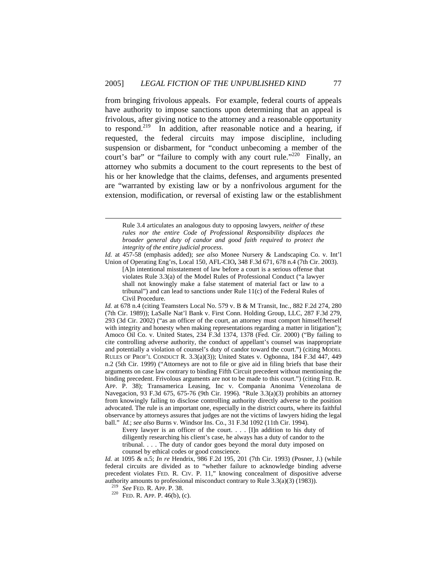from bringing frivolous appeals. For example, federal courts of appeals have authority to impose sanctions upon determining that an appeal is frivolous, after giving notice to the attorney and a reasonable opportunity to respond.<sup>219</sup> In addition, after reasonable notice and a hearing, if requested, the federal circuits may impose discipline, including suspension or disbarment, for "conduct unbecoming a member of the court's bar" or "failure to comply with any court rule."<sup>220</sup> Finally, an attorney who submits a document to the court represents to the best of his or her knowledge that the claims, defenses, and arguments presented are "warranted by existing law or by a nonfrivolous argument for the extension, modification, or reversal of existing law or the establishment

*Id.* at 457-58 (emphasis added); *see also* Monee Nursery & Landscaping Co. v. Int'l Union of Operating Eng'rs, Local 150, AFL-CIO**,** 348 F.3d 671, 678 n.4 (7th Cir. 2003).

[A]n intentional misstatement of law before a court is a serious offense that violates Rule 3.3(a) of the Model Rules of Professional Conduct ("a lawyer shall not knowingly make a false statement of material fact or law to a tribunal") and can lead to sanctions under Rule 11(c) of the Federal Rules of Civil Procedure.

*Id.* at 678 n.4 (citing Teamsters Local No. 579 v. B & M Transit, Inc., 882 F.2d 274, 280 (7th Cir. 1989)); LaSalle Nat'l Bank v. First Conn. Holding Group, LLC, 287 F.3d 279, 293 (3d Cir. 2002) ("as an officer of the court, an attorney must comport himself/herself with integrity and honesty when making representations regarding a matter in litigation"); Amoco Oil Co. v. United States, 234 F.3d 1374, 1378 (Fed. Cir. 2000) ("By failing to cite controlling adverse authority, the conduct of appellant's counsel was inappropriate and potentially a violation of counsel's duty of candor toward the court.") (citing MODEL RULES OF PROF'L CONDUCT R. 3.3(a)(3)); United States v. Ogbonna, 184 F.3d 447, 449 n.2 (5th Cir. 1999) ("Attorneys are not to file or give aid in filing briefs that base their arguments on case law contrary to binding Fifth Circuit precedent without mentioning the binding precedent. Frivolous arguments are not to be made to this court.") (citing FED. R. APP. P. 38); Transamerica Leasing, Inc v. Compania Anonima Venezolana de Navegacion, 93 F.3d 675, 675-76 (9th Cir. 1996). "Rule 3.3(a)(3) prohibits an attorney from knowingly failing to disclose controlling authority directly adverse to the position advocated. The rule is an important one, especially in the district courts, where its faithful observance by attorneys assures that judges are not the victims of lawyers hiding the legal ball." *Id.*; *see also* Burns v. Windsor Ins. Co., 31 F.3d 1092 (11th Cir. 1994).

Every lawyer is an officer of the court. . . . [I]n addition to his duty of diligently researching his client's case, he always has a duty of candor to the tribunal. . . . The duty of candor goes beyond the moral duty imposed on counsel by ethical codes or good conscience.

*Id.* at 1095 & n.5; *In re* Hendrix, 986 F.2d 195, 201 (7th Cir. 1993) (Posner, J.) (while federal circuits are divided as to "whether failure to acknowledge binding adverse precedent violates FED. R. CIV. P. 11," knowing concealment of dispositive adverse authority amounts to professional misconduct contrary to Rule 3.3(a)(3) (1983)).<br><sup>219</sup> *See* FED. R. APP. P. 38.<br><sup>220</sup> FED. R. APP. P. 46(b), (c).

 $\overline{a}$ 

Rule 3.4 articulates an analogous duty to opposing lawyers, *neither of these rules nor the entire Code of Professional Responsibility displaces the broader general duty of candor and good faith required to protect the integrity of the entire judicial process*.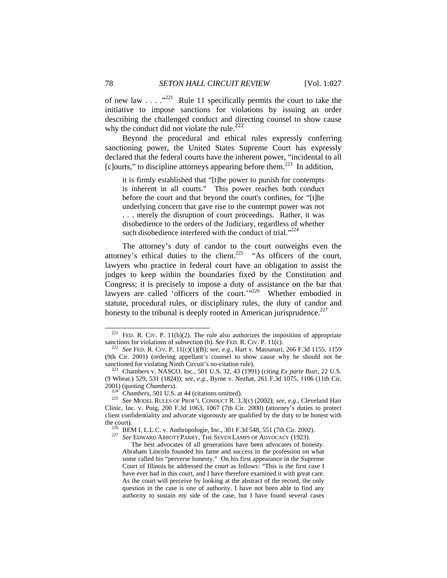of new law  $\ldots$   $\cdot$   $\cdot$   $\cdot$  Rule 11 specifically permits the court to take the initiative to impose sanctions for violations by issuing an order describing the challenged conduct and directing counsel to show cause why the conduct did not violate the rule. $^{222}$ 

Beyond the procedural and ethical rules expressly conferring sanctioning power, the United States Supreme Court has expressly declared that the federal courts have the inherent power, "incidental to all [c]ourts," to discipline attorneys appearing before them.<sup>223</sup> In addition,

it is firmly established that "[t]he power to punish for contempts is inherent in all courts." This power reaches both conduct before the court and that beyond the court's confines, for "[t]he underlying concern that gave rise to the contempt power was not . . . merely the disruption of court proceedings. Rather, it was disobedience to the orders of the Judiciary, regardless of whether such disobedience interfered with the conduct of trial." $224$ 

The attorney's duty of candor to the court outweighs even the attorney's ethical duties to the client.<sup>225</sup> "As officers of the court, lawyers who practice in federal court have an obligation to assist the judges to keep within the boundaries fixed by the Constitution and Congress; it is precisely to impose a duty of assistance on the bar that lawyers are called 'officers of the court."<sup>226</sup> Whether embodied in statute, procedural rules, or disciplinary rules, the duty of candor and honesty to the tribunal is deeply rooted in American jurisprudence. $227$ 

<sup>&</sup>lt;sup>221</sup> FED. R. CIV. P. 11(b)(2). The rule also authorizes the imposition of appropriate sanctions for violations of subsection (b). *See* FED. R. CIV. P. 11(c).

sanctions for violations of subsection (b). *See* FED. R. CIV. P. 11(c). 222 *See* FED. R. CIV. P. 11(c)(1)(B); *see, e.g.*, Hart v. Massanari*,* 266 F.3d 1155, 1159 (9th Cir. 2001) (ordering appellant's counsel to show cause why he should not be sanctioned for violating Ninth Circuit's no-citation rule).<br><sup>223</sup> Chambers v. NASCO, Inc., 501 U.S. 32, 43 (1991) (citing *Ex parte* Burr, 22 U.S.

<sup>(9</sup> Wheat.) 529, 531 (1824)); *see, e.g.*, Byrne v. Nezhat, 261 F.3d 1075, 1106 (11th Cir. 2001) (quoting *Chambers*).

<sup>2001) (</sup>quoting *Chambers*). 224 *Chambers*, 501 U.S. at 44 (citations omitted). 225 *See* MODEL RULES OF PROF'L CONDUCT R. 3.3(c) (2002); *see, e.g.*, Cleveland Hair Clinic, Inc. v. Puig, 200 F.3d 1063, 1067 (7th Cir. 2000) (attorney's duties to protect client confidentiality and advocate vigorously are qualified by the duty to be honest with the court). 226 BEM I, L.L.C. v. Anthropologie, Inc., 301 F.3d 548, 551 (7th Cir. 2002). 227 *See* EDWARD ABBOTT PARRY, THE SEVEN LAMPS OF ADVOCACY (1923).

The best advocates of all generations have been advocates of honesty. Abraham Lincoln founded his fame and success in the profession on what some called his "perverse honesty." On his first appearance in the Supreme Court of Illinois he addressed the court as follows: "This is the first case I have ever had in this court, and I have therefore examined it with great care. As the court will perceive by looking at the abstract of the record, the only question in the case is one of authority. I have not been able to find any authority to sustain my side of the case, but I have found several cases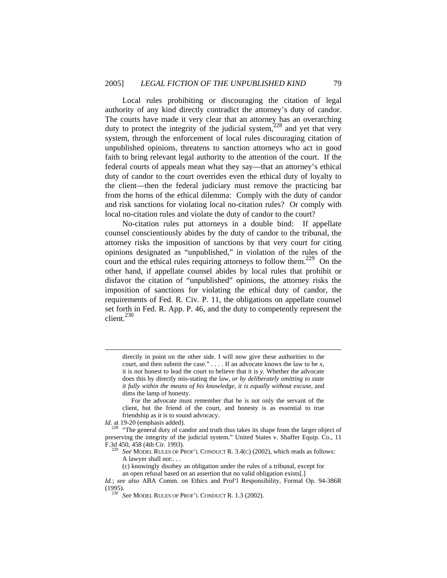Local rules prohibiting or discouraging the citation of legal authority of any kind directly contradict the attorney's duty of candor. The courts have made it very clear that an attorney has an overarching duty to protect the integrity of the judicial system,  $228$  and yet that very system, through the enforcement of local rules discouraging citation of unpublished opinions, threatens to sanction attorneys who act in good faith to bring relevant legal authority to the attention of the court. If the federal courts of appeals mean what they say—that an attorney's ethical duty of candor to the court overrides even the ethical duty of loyalty to the client—then the federal judiciary must remove the practicing bar from the horns of the ethical dilemma: Comply with the duty of candor and risk sanctions for violating local no-citation rules? Or comply with local no-citation rules and violate the duty of candor to the court?

No-citation rules put attorneys in a double bind: If appellate counsel conscientiously abides by the duty of candor to the tribunal, the attorney risks the imposition of sanctions by that very court for citing opinions designated as "unpublished," in violation of the rules of the court and the ethical rules requiring attorneys to follow them.<sup>229</sup> On the other hand, if appellate counsel abides by local rules that prohibit or disfavor the citation of "unpublished" opinions, the attorney risks the imposition of sanctions for violating the ethical duty of candor, the requirements of Fed. R. Civ. P. 11, the obligations on appellate counsel set forth in Fed. R. App. P. 46, and the duty to competently represent the client.<sup>230</sup>

directly in point on the other side. I will now give these authorities to the court, and then submit the case." . . . . If an advocate knows the law to be *x,* it is not honest to lead the court to believe that it is *y.* Whether the advocate does this by directly mis-stating the law, *or by deliberately omitting to state it fully within the means of his knowledge, it is equally without excuse,* and dims the lamp of honesty*.*

 For the advocate must remember that he is not only the servant of the client, but the friend of the court, and honesty is as essential to true friendship as it is to sound advocacy.

*Id.* at 19-20 (emphasis added).

 $\overline{a}$ 

<sup>228</sup> "The general duty of candor and truth thus takes its shape from the larger object of preserving the integrity of the judicial system." United States v. Shaffer Equip. Co., 11 F.3d 450, 458 (4th Cir. 1993). 229 *See* MODEL RULES OF PROF'L CONDUCT R. 3.4(C) (2002), which reads as follows:

A lawyer shall not:. . .

(c) knowingly disobey an obligation under the rules of a tribunal, except for an open refusal based on an assertion that no valid obligation exists[.]

*Id.*; *see also* ABA Comm. on Ethics and Prof'l Responsibility, Formal Op. 94-386R (1995). 230 *See* MODEL RULES OF PROF'L CONDUCT R. 1.3 (2002).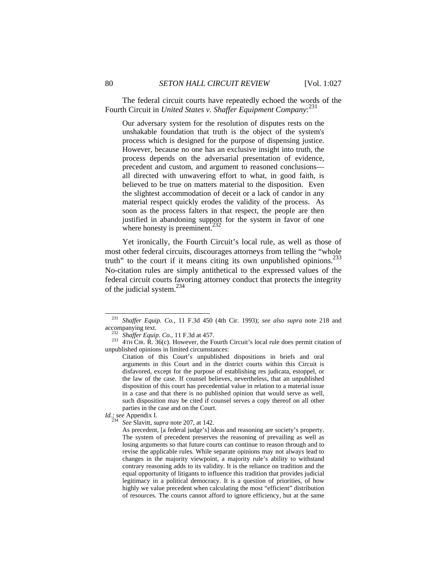The federal circuit courts have repeatedly echoed the words of the Fourth Circuit in *United States v. Shaffer Equipment Company*: 231

Our adversary system for the resolution of disputes rests on the unshakable foundation that truth is the object of the system's process which is designed for the purpose of dispensing justice. However, because no one has an exclusive insight into truth, the process depends on the adversarial presentation of evidence, precedent and custom, and argument to reasoned conclusions all directed with unwavering effort to what, in good faith, is believed to be true on matters material to the disposition. Even the slightest accommodation of deceit or a lack of candor in any material respect quickly erodes the validity of the process. As soon as the process falters in that respect, the people are then justified in abandoning support for the system in favor of one where honesty is preeminent.<sup>2</sup>

Yet ironically, the Fourth Circuit's local rule, as well as those of most other federal circuits, discourages attorneys from telling the "whole truth" to the court if it means citing its own unpublished opinions. $^{233}$ No-citation rules are simply antithetical to the expressed values of the federal circuit courts favoring attorney conduct that protects the integrity of the judicial system.234

<sup>&</sup>lt;sup>231</sup> Shaffer Equip. Co., 11 F.3d 450 (4th Cir. 1993); *see also supra* note 218 and accompanying text.<br><sup>232</sup> Shaffer Equip. Co., 11 F.3d at 457.

 $233$   $4TH$  CIR. R.  $36(c)$ . However, the Fourth Circuit's local rule does permit citation of unpublished opinions in limited circumstances:

Citation of this Court's unpublished dispositions in briefs and oral arguments in this Court and in the district courts within this Circuit is disfavored, except for the purpose of establishing res judicata, estoppel, or the law of the case. If counsel believes, nevertheless, that an unpublished disposition of this court has precedential value in relation to a material issue in a case and that there is no published opinion that would serve as well, such disposition may be cited if counsel serves a copy thereof on all other parties in the case and on the Court.

*Id.; see* Appendix I. <sup>234</sup> *See* Slavitt, *supra* note 207, at 142.

As precedent, [a federal judge's] ideas and reasoning are society's property. The system of precedent preserves the reasoning of prevailing as well as losing arguments so that future courts can continue to reason through and to revise the applicable rules. While separate opinions may not always lead to changes in the majority viewpoint, a majority rule's ability to withstand contrary reasoning adds to its validity. It is the reliance on tradition and the equal opportunity of litigants to influence this tradition that provides judicial legitimacy in a political democracy. It is a question of priorities, of how highly we value precedent when calculating the most "efficient" distribution of resources. The courts cannot afford to ignore efficiency, but at the same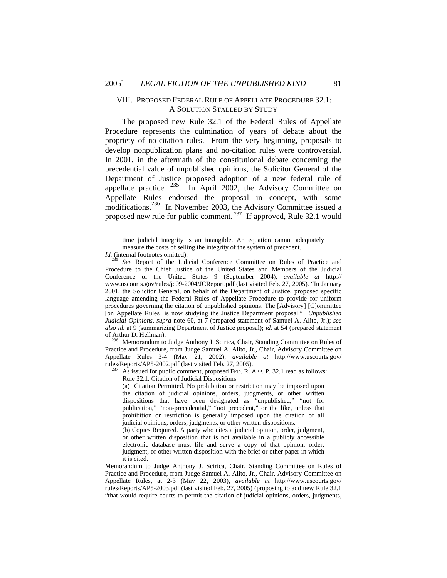# VIII. PROPOSED FEDERAL RULE OF APPELLATE PROCEDURE 32.1: A SOLUTION STALLED BY STUDY

The proposed new Rule 32.1 of the Federal Rules of Appellate Procedure represents the culmination of years of debate about the propriety of no-citation rules. From the very beginning, proposals to develop nonpublication plans and no-citation rules were controversial. In 2001, in the aftermath of the constitutional debate concerning the precedential value of unpublished opinions, the Solicitor General of the Department of Justice proposed adoption of a new federal rule of appellate practice.  $^{235}$  In April 2002, the Advisory Committee on Appellate Rules endorsed the proposal in concept, with some modifications.<sup>236</sup> In November 2003, the Advisory Committee issued a proposed new rule for public comment. 237 If approved, Rule 32.1 would

l

Practice and Procedure, from Judge Samuel A. Alito, Jr., Chair, Advisory Committee on Appellate Rules 3-4 (May 21, 2002), *available at* http://www.uscourts.gov/ rules/Reports/AP5-2002.pdf (last visited Feb. 27, 2005).<br><sup>237</sup> As issued for public comment, proposed FED. R. APP. P. 32.1 read as follows:

Rule 32.1. Citation of Judicial Dispositions

(b) Copies Required. A party who cites a judicial opinion, order, judgment, or other written disposition that is not available in a publicly accessible electronic database must file and serve a copy of that opinion, order, judgment, or other written disposition with the brief or other paper in which it is cited.

Memorandum to Judge Anthony J. Scirica, Chair, Standing Committee on Rules of Practice and Procedure, from Judge Samuel A. Alito, Jr., Chair, Advisory Committee on Appellate Rules, at 2-3 (May 22, 2003), *available at* http://www.uscourts.gov/ rules/Reports/AP5-2003.pdf (last visited Feb. 27, 2005) (proposing to add new Rule 32.1 "that would require courts to permit the citation of judicial opinions, orders, judgments,

time judicial integrity is an intangible. An equation cannot adequately measure the costs of selling the integrity of the system of precedent.

*Id.* (internal footnotes omitted).

See Report of the Judicial Conference Committee on Rules of Practice and Procedure to the Chief Justice of the United States and Members of the Judicial Conference of the United States 9 (September 2004), *available at* http:// www.uscourts.gov/rules/jc09-2004/JCReport.pdf (last visited Feb. 27, 2005). "In January 2001, the Solicitor General, on behalf of the Department of Justice, proposed specific language amending the Federal Rules of Appellate Procedure to provide for uniform procedures governing the citation of unpublished opinions. The [Advisory] [C]ommittee [on Appellate Rules] is now studying the Justice Department proposal." *Unpublished Judicial Opinions*, *supra* note 60, at 7 (prepared statement of Samuel A. Alito, Jr.); *see also id.* at 9 (summarizing Department of Justice proposal); *id.* at 54 (prepared statement of Arthur D. Hellman).<br><sup>236</sup> Memorandum to Judge Anthony J. Scirica, Chair, Standing Committee on Rules of

<sup>(</sup>a) Citation Permitted. No prohibition or restriction may be imposed upon the citation of judicial opinions, orders, judgments, or other written dispositions that have been designated as "unpublished," "not for publication," "non-precedential," "not precedent," or the like, unless that prohibition or restriction is generally imposed upon the citation of all judicial opinions, orders, judgments, or other written dispositions.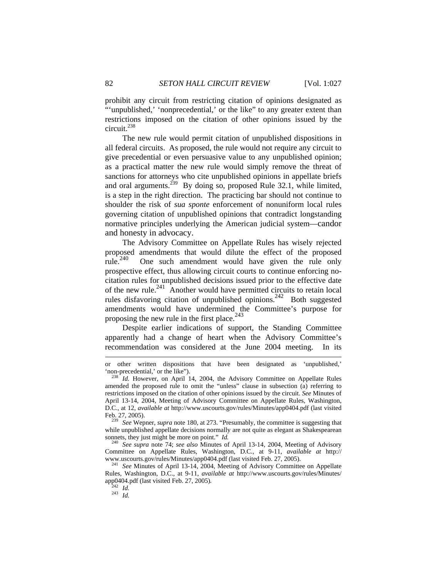prohibit any circuit from restricting citation of opinions designated as "'unpublished,' 'nonprecedential,' or the like" to any greater extent than restrictions imposed on the citation of other opinions issued by the circuit.238

The new rule would permit citation of unpublished dispositions in all federal circuits. As proposed, the rule would not require any circuit to give precedential or even persuasive value to any unpublished opinion; as a practical matter the new rule would simply remove the threat of sanctions for attorneys who cite unpublished opinions in appellate briefs and oral arguments.<sup> $239$ </sup> By doing so, proposed Rule 32.1, while limited, is a step in the right direction. The practicing bar should not continue to shoulder the risk of *sua sponte* enforcement of nonuniform local rules governing citation of unpublished opinions that contradict longstanding normative principles underlying the American judicial system—candor and honesty in advocacy.

The Advisory Committee on Appellate Rules has wisely rejected proposed amendments that would dilute the effect of the proposed rule.<sup>240</sup> One such amendment would have given the rule only One such amendment would have given the rule only prospective effect, thus allowing circuit courts to continue enforcing nocitation rules for unpublished decisions issued prior to the effective date of the new rule.<sup>241</sup> Another would have permitted circuits to retain local rules disfavoring citation of unpublished opinions.<sup>242</sup> Both suggested amendments would have undermined the Committee's purpose for proposing the new rule in the first place. $243$ 

Despite earlier indications of support, the Standing Committee apparently had a change of heart when the Advisory Committee's recommendation was considered at the June 2004 meeting. In its

 $\overline{a}$ 

or other written dispositions that have been designated as 'unpublished,' 'non-precedential,' or the like"). 238 *Id.* However, on April 14, 2004, the Advisory Committee on Appellate Rules

amended the proposed rule to omit the "unless" clause in subsection (a) referring to restrictions imposed on the citation of other opinions issued by the circuit. *See* Minutes of April 13-14, 2004, Meeting of Advisory Committee on Appellate Rules, Washington, D.C., at 12, *available at* http://www.uscourts.gov/rules/Minutes/app0404.pdf (last visited Feb. 27, 2005). 239 *See* Wepner, *supra* note 180, at 273. "Presumably, the committee is suggesting that

while unpublished appellate decisions normally are not quite as elegant as Shakespearean sonnets, they just might be more on point." *Id.* <sup>240</sup> See *supra* note 74; *see also* Minutes of April 13-14, 2004, Meeting of Advisory

Committee on Appellate Rules, Washington, D.C., at 9-11, *available at* http:// www.uscourts.gov/rules/Minutes/app0404.pdf (last visited Feb. 27, 2005). 241 *See* Minutes of April 13-14, 2004, Meeting of Advisory Committee on Appellate

Rules, Washington, D.C., at 9-11, *available at* http://www.uscourts.gov/rules/Minutes/ app0404.pdf (last visited Feb. 27, 2005)*.* <sup>242</sup> *Id.* <sup>243</sup> *Id.*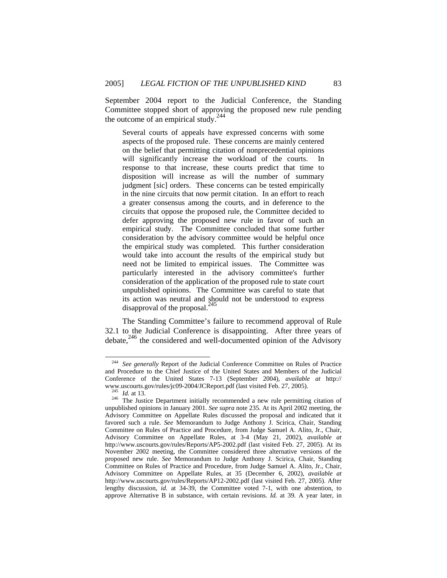September 2004 report to the Judicial Conference, the Standing Committee stopped short of approving the proposed new rule pending the outcome of an empirical study.<sup>244</sup>

Several courts of appeals have expressed concerns with some aspects of the proposed rule. These concerns are mainly centered on the belief that permitting citation of nonprecedential opinions will significantly increase the workload of the courts. In response to that increase, these courts predict that time to disposition will increase as will the number of summary judgment [sic] orders. These concerns can be tested empirically in the nine circuits that now permit citation. In an effort to reach a greater consensus among the courts, and in deference to the circuits that oppose the proposed rule, the Committee decided to defer approving the proposed new rule in favor of such an empirical study. The Committee concluded that some further consideration by the advisory committee would be helpful once the empirical study was completed. This further consideration would take into account the results of the empirical study but need not be limited to empirical issues. The Committee was particularly interested in the advisory committee's further consideration of the application of the proposed rule to state court unpublished opinions. The Committee was careful to state that its action was neutral and should not be understood to express disapproval of the proposal.<sup>245</sup>

The Standing Committee's failure to recommend approval of Rule 32.1 to the Judicial Conference is disappointing. After three years of debate,<sup>246</sup> the considered and well-documented opinion of the Advisory

 <sup>244</sup> *See generally* Report of the Judicial Conference Committee on Rules of Practice and Procedure to the Chief Justice of the United States and Members of the Judicial Conference of the United States 7-13 (September 2004), *available at* http://

<sup>&</sup>lt;sup>245</sup> *Id.* at 13. *Id.* at 13. **Department** initially recommended a new rule permitting citation of <sup>246</sup> The Justice Department initially recommended a new rule permitting citation of unpublished opinions in January 2001. *See supra* note 235. At its April 2002 meeting, the Advisory Committee on Appellate Rules discussed the proposal and indicated that it favored such a rule. *See* Memorandum to Judge Anthony J. Scirica, Chair, Standing Committee on Rules of Practice and Procedure, from Judge Samuel A. Alito, Jr., Chair, Advisory Committee on Appellate Rules, at 3-4 (May 21, 2002), *available at* http://www.uscourts.gov/rules/Reports/AP5-2002.pdf (last visited Feb. 27, 2005). At its November 2002 meeting, the Committee considered three alternative versions of the proposed new rule. *See* Memorandum to Judge Anthony J. Scirica, Chair, Standing Committee on Rules of Practice and Procedure, from Judge Samuel A. Alito, Jr., Chair, Advisory Committee on Appellate Rules, at 35 (December 6, 2002), *available at*  http://www.uscourts.gov/rules/Reports/AP12-2002.pdf (last visited Feb. 27, 2005). After lengthy discussion, *id.* at 34-39, the Committee voted 7-1, with one abstention, to approve Alternative B in substance, with certain revisions. *Id.* at 39. A year later, in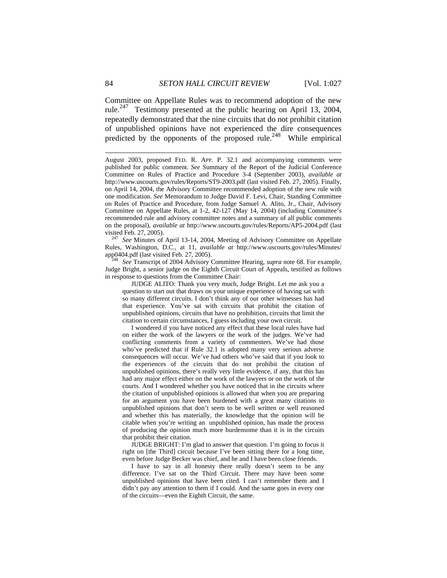Committee on Appellate Rules was to recommend adoption of the new rule.<sup>247</sup> Testimony presented at the public hearing on April 13, 2004, repeatedly demonstrated that the nine circuits that do not prohibit citation of unpublished opinions have not experienced the dire consequences predicted by the opponents of the proposed rule.<sup>248</sup> While empirical

visited Feb. 27, 2005). 247 *See* Minutes of April 13-14, 2004, Meeting of Advisory Committee on Appellate Rules, Washington, D.C., at 11, *available at* http://www.uscourts.gov/rules/Minutes/<br>app0404.pdf (last visited Feb. 27, 2005).

See Transcript of 2004 Advisory Committee Hearing, *supra* note 68. For example, Judge Bright, a senior judge on the Eighth Circuit Court of Appeals, testified as follows in response to questions from the Committee Chair:

 JUDGE ALITO: Thank you very much, Judge Bright. Let me ask you a question to start out that draws on your unique experience of having sat with so many different circuits. I don't think any of our other witnesses has had that experience. You've sat with circuits that prohibit the citation of unpublished opinions, circuits that have no prohibition, circuits that limit the citation to certain circumstances, I guess including your own circuit.

 I wondered if you have noticed any effect that these local rules have had on either the work of the lawyers or the work of the judges. We've had conflicting comments from a variety of commenters. We've had those who've predicted that if Rule 32.1 is adopted many very serious adverse consequences will occur. We've had others who've said that if you look to the experiences of the circuits that do not prohibit the citation of unpublished opinions, there's really very little evidence, if any, that this has had any major effect either on the work of the lawyers or on the work of the courts. And I wondered whether you have noticed that in the circuits where the citation of unpublished opinions is allowed that when you are preparing for an argument you have been burdened with a great many citations to unpublished opinions that don't seem to be well written or well reasoned and whether this has materially, the knowledge that the opinion will be citable when you're writing an unpublished opinion, has made the process of producing the opinion much more burdensome than it is in the circuits that prohibit their citation.

 JUDGE BRIGHT: I'm glad to answer that question. I'm going to focus it right on [the Third] circuit because I've been sitting there for a long time, even before Judge Becker was chief, and he and I have been close friends.

 I have to say in all honesty there really doesn't seem to be any difference. I've sat on the Third Circuit. There may have been some unpublished opinions that have been cited. I can't remember them and I didn't pay any attention to them if I could. And the same goes in every one of the circuits—even the Eighth Circuit, the same.

 $\overline{a}$ 

August 2003, proposed FED. R. APP. P. 32.1 and accompanying comments were published for public comment. *See* Summary of the Report of the Judicial Conference Committee on Rules of Practice and Procedure 3-4 (September 2003), *available at* http://www.uscourts.gov/rules/Reports/ST9-2003.pdf (last visited Feb. 27, 2005). Finally, on April 14, 2004, the Advisory Committee recommended adoption of the new rule with one modification. *See* Memorandum to Judge David F. Levi, Chair, Standing Committee on Rules of Practice and Procedure, from Judge Samuel A. Alito, Jr., Chair, Advisory Committee on Appellate Rules, at 1-2, 42-127 (May 14, 2004) (including Committee's recommended rule and advisory committee notes and a summary of all public comments on the proposal), *available at* http://www.uscourts.gov/rules/Reports/AP5-2004.pdf (last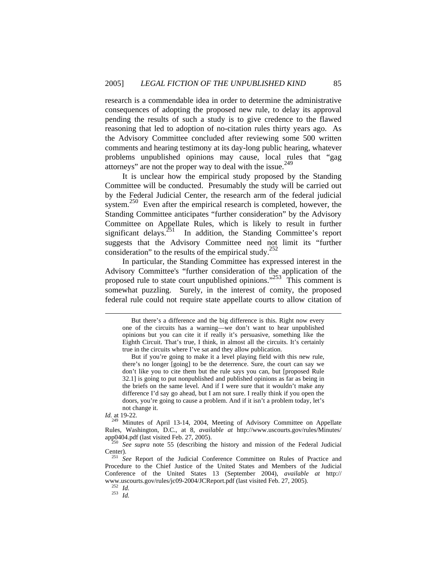research is a commendable idea in order to determine the administrative consequences of adopting the proposed new rule, to delay its approval pending the results of such a study is to give credence to the flawed reasoning that led to adoption of no-citation rules thirty years ago. As the Advisory Committee concluded after reviewing some 500 written comments and hearing testimony at its day-long public hearing, whatever problems unpublished opinions may cause, local rules that "gag attorneys" are not the proper way to deal with the issue.249

It is unclear how the empirical study proposed by the Standing Committee will be conducted. Presumably the study will be carried out by the Federal Judicial Center, the research arm of the federal judicial system.<sup>250</sup> Even after the empirical research is completed, however, the Standing Committee anticipates "further consideration" by the Advisory Committee on Appellate Rules, which is likely to result in further significant delays.<sup>251</sup> In addition, the Standing Committee's report In addition, the Standing Committee's report suggests that the Advisory Committee need not limit its "further consideration" to the results of the empirical study.<sup>252</sup>

In particular, the Standing Committee has expressed interest in the Advisory Committee's "further consideration of the application of the proposed rule to state court unpublished opinions."<sup>253</sup> This comment is somewhat puzzling. Surely, in the interest of comity, the proposed federal rule could not require state appellate courts to allow citation of

*Id.* at 19-22.

 $\overline{a}$ 

But there's a difference and the big difference is this. Right now every one of the circuits has a warning—we don't want to hear unpublished opinions but you can cite it if really it's persuasive, something like the Eighth Circuit. That's true, I think, in almost all the circuits. It's certainly true in the circuits where I've sat and they allow publication.

But if you're going to make it a level playing field with this new rule, there's no longer [going] to be the deterrence. Sure, the court can say we don't like you to cite them but the rule says you can, but [proposed Rule 32.1] is going to put nonpublished and published opinions as far as being in the briefs on the same level. And if I were sure that it wouldn't make any difference I'd say go ahead, but I am not sure. I really think if you open the doors, you're going to cause a problem. And if it isn't a problem today, let's not change it.

<sup>&</sup>lt;sup>249</sup> Minutes of April 13-14, 2004, Meeting of Advisory Committee on Appellate Rules, Washington, D.C., at 8, *available at* http://www.uscourts.gov/rules/Minutes/ app0404.pdf (last visited Feb. 27, 2005). 250 *See supra* note 55 (describing the history and mission of the Federal Judicial

Center).<br><sup>251</sup> See Report of the Judicial Conference Committee on Rules of Practice and *Mombers* of the Judicial Procedure to the Chief Justice of the United States and Members of the Judicial Conference of the United States 13 (September 2004), *available at* http:// www.uscourts.gov/rules/jc09-2004/JCReport.pdf (last visited Feb. 27, 2005). 252 *Id.* <sup>253</sup> *Id.*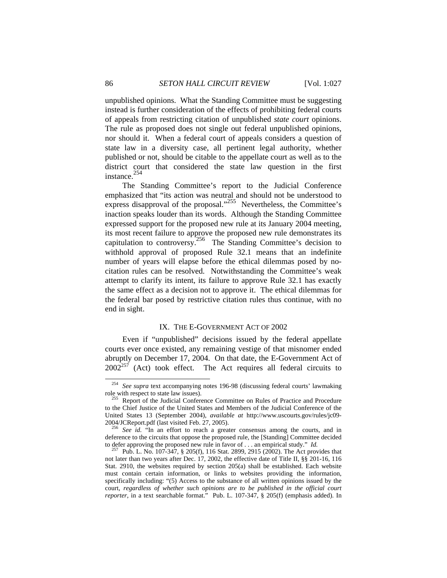unpublished opinions. What the Standing Committee must be suggesting instead is further consideration of the effects of prohibiting federal courts of appeals from restricting citation of unpublished *state court* opinions. The rule as proposed does not single out federal unpublished opinions, nor should it. When a federal court of appeals considers a question of state law in a diversity case, all pertinent legal authority, whether published or not, should be citable to the appellate court as well as to the district court that considered the state law question in the first instance.<sup>254</sup>

The Standing Committee's report to the Judicial Conference emphasized that "its action was neutral and should not be understood to express disapproval of the proposal."<sup>255</sup> Nevertheless, the Committee's inaction speaks louder than its words. Although the Standing Committee expressed support for the proposed new rule at its January 2004 meeting, its most recent failure to approve the proposed new rule demonstrates its capitulation to controversy.<sup>256</sup> The Standing Committee's decision to withhold approval of proposed Rule 32.1 means that an indefinite number of years will elapse before the ethical dilemmas posed by nocitation rules can be resolved. Notwithstanding the Committee's weak attempt to clarify its intent, its failure to approve Rule 32.1 has exactly the same effect as a decision not to approve it. The ethical dilemmas for the federal bar posed by restrictive citation rules thus continue, with no end in sight.

#### IX. THE E-GOVERNMENT ACT OF 2002

Even if "unpublished" decisions issued by the federal appellate courts ever once existed, any remaining vestige of that misnomer ended abruptly on December 17, 2004. On that date, the E-Government Act of  $2002^{257}$  (Act) took effect. The Act requires all federal circuits to

 <sup>254</sup> *See supra* text accompanying notes 196-98 (discussing federal courts' lawmaking

role with respect to state law issues). 255 Report of the Judicial Conference Committee on Rules of Practice and Procedure to the Chief Justice of the United States and Members of the Judicial Conference of the United States 13 (September 2004), *available at* http://www.uscourts.gov/rules/jc09- 2004/JCReport.pdf (last visited Feb. 27, 2005). 256 *See id.* "In an effort to reach a greater consensus among the courts, and in

deference to the circuits that oppose the proposed rule, the [Standing] Committee decided to defer approving the proposed new rule in favor of . . . an empirical study." *Id.* <sup>257</sup> Pub. L. No. 107-347, § 205(f), 116 Stat. 2899, 2915 (2002). The Act provides that

not later than two years after Dec. 17, 2002, the effective date of Title II, §§ 201-16, 116 Stat. 2910, the websites required by section 205(a) shall be established. Each website must contain certain information, or links to websites providing the information, specifically including: "(5) Access to the substance of all written opinions issued by the court, *regardless of whether such opinions are to be published in the official court reporter*, in a text searchable format." Pub. L. 107-347, § 205(f) (emphasis added). In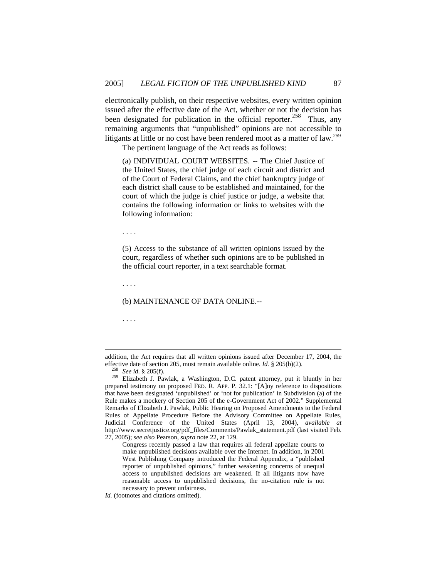electronically publish, on their respective websites, every written opinion issued after the effective date of the Act, whether or not the decision has been designated for publication in the official reporter.<sup>258</sup> Thus, any remaining arguments that "unpublished" opinions are not accessible to litigants at little or no cost have been rendered moot as a matter of  $law$ <sup>259</sup>

The pertinent language of the Act reads as follows:

(a) INDIVIDUAL COURT WEBSITES. -- The Chief Justice of the United States, the chief judge of each circuit and district and of the Court of Federal Claims, and the chief bankruptcy judge of each district shall cause to be established and maintained, for the court of which the judge is chief justice or judge, a website that contains the following information or links to websites with the following information:

. . . .

(5) Access to the substance of all written opinions issued by the court, regardless of whether such opinions are to be published in the official court reporter, in a text searchable format.

. . . .

### (b) MAINTENANCE OF DATA ONLINE.--

. . . .

 $\overline{a}$ 

Congress recently passed a law that requires all federal appellate courts to make unpublished decisions available over the Internet. In addition, in 2001 West Publishing Company introduced the Federal Appendix, a "published reporter of unpublished opinions," further weakening concerns of unequal access to unpublished decisions are weakened. If all litigants now have reasonable access to unpublished decisions, the no-citation rule is not necessary to prevent unfairness.

addition, the Act requires that all written opinions issued after December 17, 2004, the effective date of section 205, must remain available online. *Id.* § 205(b)(2).<br><sup>258</sup> *See id.* § 205(f).<br><sup>259</sup> Elizabeth J. Pawlak, a Washington, D.C. patent attorney, put it bluntly in her

prepared testimony on proposed FED. R. APP. P. 32.1: "[A]ny reference to dispositions that have been designated 'unpublished' or 'not for publication' in Subdivision (a) of the Rule makes a mockery of Section 205 of the e-Government Act of 2002." Supplemental Remarks of Elizabeth J. Pawlak, Public Hearing on Proposed Amendments to the Federal Rules of Appellate Procedure Before the Advisory Committee on Appellate Rules, Judicial Conference of the United States (April 13, 2004), *available at* http://www.secretjustice.org/pdf\_files/Comments/Pawlak\_statement.pdf (last visited Feb. 27, 2005); *see also* Pearson, *supra* note 22, at 129.

*Id.* (footnotes and citations omitted).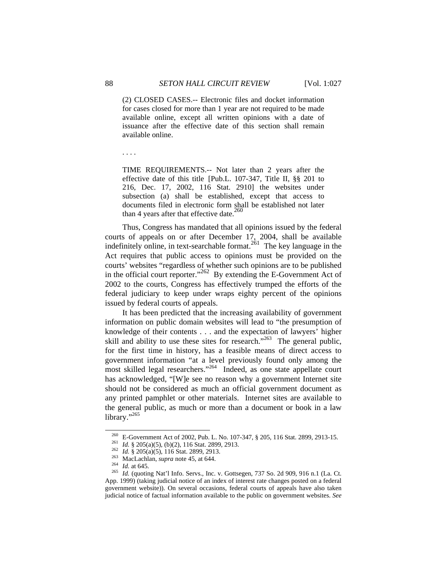(2) CLOSED CASES.-- Electronic files and docket information for cases closed for more than 1 year are not required to be made available online, except all written opinions with a date of issuance after the effective date of this section shall remain available online.

. . . .

TIME REQUIREMENTS.-- Not later than 2 years after the effective date of this title [Pub.L. 107-347, Title II, §§ 201 to 216, Dec. 17, 2002, 116 Stat. 2910] the websites under subsection (a) shall be established, except that access to documents filed in electronic form shall be established not later than 4 years after that effective date. $260$ 

Thus, Congress has mandated that all opinions issued by the federal courts of appeals on or after December 17, 2004, shall be available indefinitely online, in text-searchable format.<sup>261</sup> The key language in the Act requires that public access to opinions must be provided on the courts' websites "regardless of whether such opinions are to be published in the official court reporter."<sup>262</sup> By extending the E-Government Act of 2002 to the courts, Congress has effectively trumped the efforts of the federal judiciary to keep under wraps eighty percent of the opinions issued by federal courts of appeals.

It has been predicted that the increasing availability of government information on public domain websites will lead to "the presumption of knowledge of their contents . . . and the expectation of lawyers' higher skill and ability to use these sites for research."<sup>263</sup> The general public, for the first time in history, has a feasible means of direct access to government information "at a level previously found only among the most skilled legal researchers."264 Indeed, as one state appellate court has acknowledged, "[W]e see no reason why a government Internet site should not be considered as much an official government document as any printed pamphlet or other materials. Internet sites are available to the general public, as much or more than a document or book in a law library."<sup>265</sup>

<sup>&</sup>lt;sup>260</sup> E-Government Act of 2002, Pub. L. No. 107-347, § 205, 116 Stat. 2899, 2913-15.<br><sup>261</sup> *Id.* § 205(a)(5), (b)(2), 116 Stat. 2899, 2913.<br><sup>262</sup> *Id.* § 205(a)(5), 116 Stat. 2899, 2913.<br><sup>263</sup> MacLachlan, *supra* note 45, App. 1999) (taking judicial notice of an index of interest rate changes posted on a federal government website)). On several occasions, federal courts of appeals have also taken judicial notice of factual information available to the public on government websites. *See*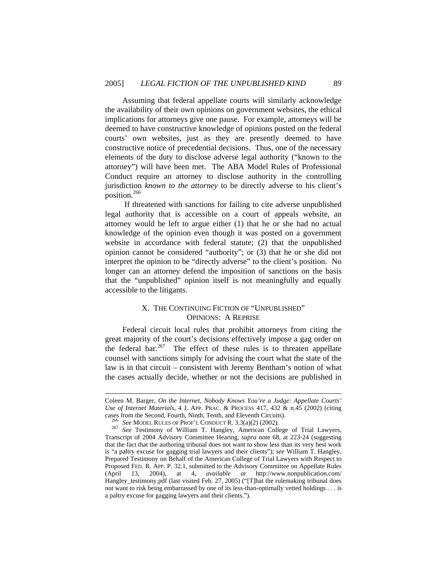Assuming that federal appellate courts will similarly acknowledge the availability of their own opinions on government websites, the ethical implications for attorneys give one pause. For example, attorneys will be deemed to have constructive knowledge of opinions posted on the federal courts' own websites, just as they are presently deemed to have constructive notice of precedential decisions. Thus, one of the necessary elements of the duty to disclose adverse legal authority ("known to the attorney") will have been met. The ABA Model Rules of Professional Conduct require an attorney to disclose authority in the controlling jurisdiction *known to the attorney* to be directly adverse to his client's position.266

 If threatened with sanctions for failing to cite adverse unpublished legal authority that is accessible on a court of appeals website, an attorney would be left to argue either (1) that he or she had no actual knowledge of the opinion even though it was posted on a government website in accordance with federal statute; (2) that the unpublished opinion cannot be considered "authority"; or (3) that he or she did not interpret the opinion to be "directly adverse" to the client's position. No longer can an attorney defend the imposition of sanctions on the basis that the "unpublished" opinion itself is not meaningfully and equally accessible to the litigants.

# X. THE CONTINUING FICTION OF "UNPUBLISHED" OPINIONS: A REPRISE

Federal circuit local rules that prohibit attorneys from citing the great majority of the court's decisions effectively impose a gag order on the federal bar.<sup>267</sup> The effect of these rules is to threaten appellate counsel with sanctions simply for advising the court what the state of the law is in that circuit – consistent with Jeremy Bentham's notion of what the cases actually decide, whether or not the decisions are published in

 $\overline{a}$ 

Coleen M. Barger, *On the Internet, Nobody Knows You're a Judge: Appellate Courts' Use of Internet Materials*, 4 J. APP. PRAC. & PROCESS 417, 432 & n.45 (2002) (citing

cases from the Second, Fourth, Ninth, Tenth, and Eleventh Circuits). 266 *See* MODEL RULES OF PROF'L CONDUCT R. 3.3(a)(2) (2002). 267 *See* Testimony of William T. Hangley, American College of Trial Lawyers, Transcript of 2004 Advisory Committee Hearing, *supra* note 68, at 223-24 (suggesting that the fact that the authoring tribunal does not want to show less than its very best work is "a paltry excuse for gagging trial lawyers and their clients"); *see* William T. Hangley, Prepared Testimony on Behalf of the American College of Trial Lawyers with Respect to Proposed FED. R. APP. P. 32.1, submitted to the Advisory Committee on Appellate Rules (April 13, 2004), at 4, *available at* http://www.nonpublication.com/ Hangley\_testimony.pdf (last visited Feb. 27, 2005) ("[T]hat the rulemaking tribunal does not want to risk being embarrassed by one of its less-than-optimally vetted holdings . . . is a paltry excuse for gagging lawyers and their clients.").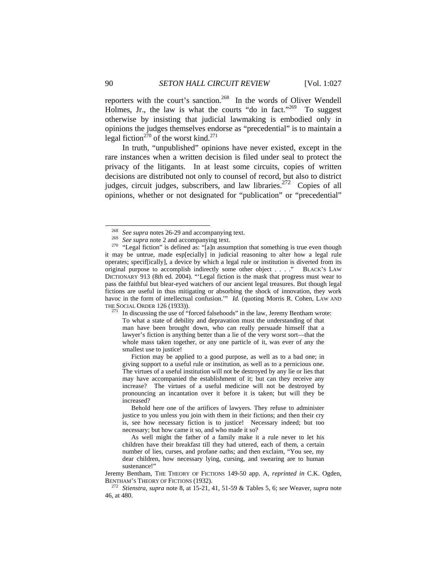reporters with the court's sanction.<sup>268</sup> In the words of Oliver Wendell Holmes, Jr., the law is what the courts "do in fact."<sup>269</sup> To suggest otherwise by insisting that judicial lawmaking is embodied only in opinions the judges themselves endorse as "precedential" is to maintain a legal fiction<sup>270</sup> of the worst kind.<sup>271</sup>

In truth, "unpublished" opinions have never existed, except in the rare instances when a written decision is filed under seal to protect the privacy of the litigants. In at least some circuits, copies of written decisions are distributed not only to counsel of record, but also to district judges, circuit judges, subscribers, and law libraries.<sup>272</sup> Copies of all opinions, whether or not designated for "publication" or "precedential"

 Fiction may be applied to a good purpose, as well as to a bad one; in giving support to a useful rule or institution, as well as to a pernicious one. The virtues of a useful institution will not be destroyed by any lie or lies that may have accompanied the establishment of it; but can they receive any increase? The virtues of a useful medicine will not be destroyed by pronouncing an incantation over it before it is taken; but will they be increased?

<sup>&</sup>lt;sup>268</sup> See supra notes 26-29 and accompanying text.<br><sup>269</sup> See supra note 2 and accompanying text.<br><sup>270</sup> "Legal fiction" is defined as: "[a]n assumption that something is true even though it may be untrue, made esp[ecially] in judicial reasoning to alter how a legal rule operates; specif[ically], a device by which a legal rule or institution is diverted from its original purpose to accomplish indirectly some other object . . . ." BLACK'S LAW DICTIONARY 913 (8th ed. 2004). "'Legal fiction is the mask that progress must wear to pass the faithful but blear-eyed watchers of our ancient legal treasures. But though legal fictions are useful in thus mitigating or absorbing the shock of innovation, they work havoc in the form of intellectual confusion.'" *Id.* (quoting Morris R. Cohen, LAW AND

THE SOCIAL ORDER 126 (1933)). <sup>271</sup> In discussing the use of "forced falsehoods" in the law, Jeremy Bentham wrote: To what a state of debility and depravation must the understanding of that man have been brought down, who can really persuade himself that a lawyer's fiction is anything better than a lie of the very worst sort—that the whole mass taken together, or any one particle of it, was ever of any the smallest use to justice!

Behold here one of the artifices of lawyers. They refuse to administer justice to you unless you join with them in their fictions; and then their cry is, see how necessary fiction is to justice! Necessary indeed; but too necessary; but how came it so, and who made it so?

As well might the father of a family make it a rule never to let his children have their breakfast till they had uttered, each of them, a certain number of lies, curses, and profane oaths; and then exclaim, "You see, my dear children, how necessary lying, cursing, and swearing are to human sustenance!"

Jeremy Bentham, THE THEORY OF FICTIONS 149-50 app. A, *reprinted in* C.K. Ogden, BENTHAM'S THEORY OF FICTIONS (1932). 272 *Stienstra*, *supra* note 8, at 15-21, 41, 51-59 & Tables 5, 6; *see* Weaver, *supra* note

<sup>46,</sup> at 480.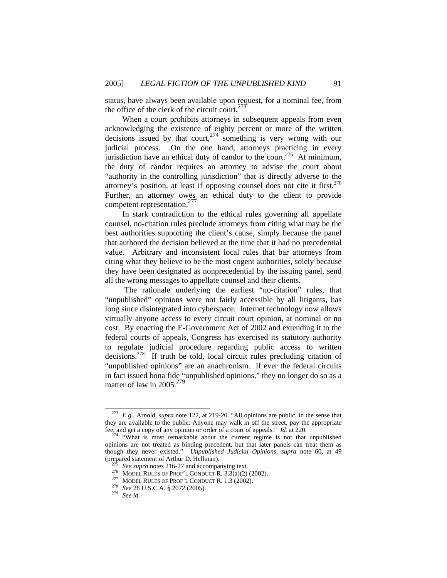status, have always been available upon request, for a nominal fee, from the office of the clerk of the circuit court. $273$ 

When a court prohibits attorneys in subsequent appeals from even acknowledging the existence of eighty percent or more of the written decisions issued by that court,  $274$  something is very wrong with our judicial process. On the one hand, attorneys practicing in every jurisdiction have an ethical duty of candor to the court.<sup>275</sup> At minimum, the duty of candor requires an attorney to advise the court about "authority in the controlling jurisdiction" that is directly adverse to the attorney's position, at least if opposing counsel does not cite it first.<sup>276</sup> Further, an attorney owes an ethical duty to the client to provide competent representation.277

In stark contradiction to the ethical rules governing all appellate counsel, no-citation rules preclude attorneys from citing what may be the best authorities supporting the client's cause, simply because the panel that authored the decision believed at the time that it had no precedential value. Arbitrary and inconsistent local rules that bar attorneys from citing what they believe to be the most cogent authorities, solely because they have been designated as nonprecedential by the issuing panel, send all the wrong messages to appellate counsel and their clients.

 The rationale underlying the earliest "no-citation" rules, that "unpublished" opinions were not fairly accessible by all litigants, has long since disintegrated into cyberspace. Internet technology now allows virtually anyone access to every circuit court opinion, at nominal or no cost. By enacting the E-Government Act of 2002 and extending it to the federal courts of appeals, Congress has exercised its statutory authority to regulate judicial procedure regarding public access to written decisions.278 If truth be told, local circuit rules precluding citation of "unpublished opinions" are an anachronism. If ever the federal circuits in fact issued bona fide "unpublished opinions," they no longer do so as a matter of law in 2005.<sup>279</sup>

E.g., Arnold, *supra* note 122, at 219-20. "All opinions are public, in the sense that they are available to the public. Anyone may walk in off the street, pay the appropriate fee, and get a copy of any opinion or order of a court of appeals."  $Id$  at 220.

<sup>&</sup>lt;sup>274</sup> "What is most remarkable about the current regime is not that unpublished opinions are not treated as binding precedent, but that later panels can treat them as though they never existed." *Unpublished Judicial Opinions, supra* note 60, at 49

<sup>&</sup>lt;sup>275</sup> See supra notes 216-27 and accompanying text.<br><sup>276</sup> MODEL RULES OF PROF'L CONDUCT R. 3.3(a)(2) (2002).<br><sup>277</sup> MODEL RULES OF PROF'L CONDUCT R. 1.3 (2002).<br><sup>278</sup> See 28 U.S.C.A. § 2072 (2005).<br><sup>279</sup> See id.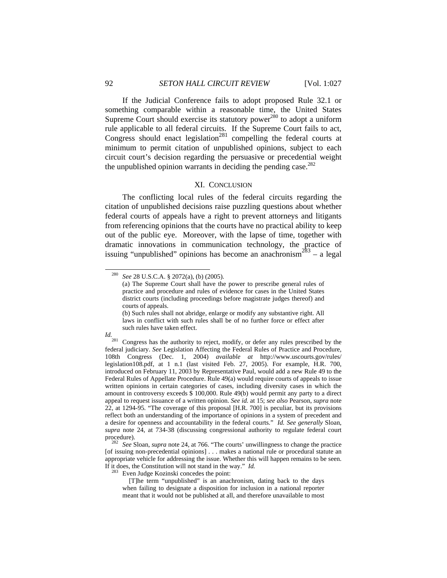If the Judicial Conference fails to adopt proposed Rule 32.1 or something comparable within a reasonable time, the United States Supreme Court should exercise its statutory power<sup>280</sup> to adopt a uniform rule applicable to all federal circuits. If the Supreme Court fails to act, Congress should enact legislation<sup>281</sup> compelling the federal courts at minimum to permit citation of unpublished opinions, subject to each circuit court's decision regarding the persuasive or precedential weight the unpublished opinion warrants in deciding the pending case.<sup>282</sup>

#### XI. CONCLUSION

The conflicting local rules of the federal circuits regarding the citation of unpublished decisions raise puzzling questions about whether federal courts of appeals have a right to prevent attorneys and litigants from referencing opinions that the courts have no practical ability to keep out of the public eye. Moreover, with the lapse of time, together with dramatic innovations in communication technology, the practice of issuing "unpublished" opinions has become an anachronism<sup>283</sup> – a legal

<sup>(</sup>b) Such rules shall not abridge, enlarge or modify any substantive right. All laws in conflict with such rules shall be of no further force or effect after such rules have taken effect.



*Id.*<br><sup>281</sup> Congress has the authority to reject, modify, or defer any rules prescribed by the<br><sup>281</sup> Congress has the authority to reject, modify, or defer any rules of Practice and Procedure, federal judiciary. *See* Legislation Affecting the Federal Rules of Practice and Procedure, 108th Congress (Dec. 1, 2004) *available at* http://www.uscourts.gov/rules/ legislation108.pdf, at 1 n.1 (last visited Feb. 27, 2005). For example, H.R. 700, introduced on February 11, 2003 by Representative Paul, would add a new Rule 49 to the Federal Rules of Appellate Procedure. Rule 49(a) would require courts of appeals to issue written opinions in certain categories of cases, including diversity cases in which the amount in controversy exceeds \$ 100,000. Rule 49(b) would permit any party to a direct appeal to request issuance of a written opinion. *See id.* at 15; *see also* Pearson, *supra* note 22, at 1294-95. "The coverage of this proposal [H.R. 700] is peculiar, but its provisions reflect both an understanding of the importance of opinions in a system of precedent and a desire for openness and accountability in the federal courts." *Id. See generally* Sloan, *supra* note 24, at 734-38 (discussing congressional authority to regulate federal court procedure). 282 *See* Sloan, *supra* note 24, at 766. "The courts' unwillingness to change the practice

<sup>283</sup> Even Judge Kozinski concedes the point:

 [T]he term "unpublished" is an anachronism, dating back to the days when failing to designate a disposition for inclusion in a national reporter meant that it would not be published at all, and therefore unavailable to most

 <sup>280</sup> *See* 28 U.S.C.A. § 2072(a), (b) (2005).

<sup>(</sup>a) The Supreme Court shall have the power to prescribe general rules of practice and procedure and rules of evidence for cases in the United States district courts (including proceedings before magistrate judges thereof) and courts of appeals.

<sup>[</sup>of issuing non-precedential opinions] . . . makes a national rule or procedural statute an appropriate vehicle for addressing the issue. Whether this will happen remains to be seen. If it does, the Constitution will not stand in the way."  $Id$ .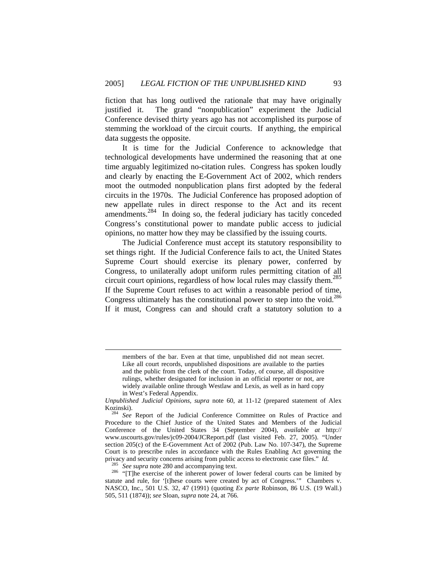fiction that has long outlived the rationale that may have originally justified it. The grand "nonpublication" experiment the Judicial Conference devised thirty years ago has not accomplished its purpose of stemming the workload of the circuit courts. If anything, the empirical data suggests the opposite.

It is time for the Judicial Conference to acknowledge that technological developments have undermined the reasoning that at one time arguably legitimized no-citation rules. Congress has spoken loudly and clearly by enacting the E-Government Act of 2002, which renders moot the outmoded nonpublication plans first adopted by the federal circuits in the 1970s. The Judicial Conference has proposed adoption of new appellate rules in direct response to the Act and its recent amendments.284 In doing so, the federal judiciary has tacitly conceded Congress's constitutional power to mandate public access to judicial opinions, no matter how they may be classified by the issuing courts.

The Judicial Conference must accept its statutory responsibility to set things right. If the Judicial Conference fails to act, the United States Supreme Court should exercise its plenary power, conferred by Congress, to unilaterally adopt uniform rules permitting citation of all circuit court opinions, regardless of how local rules may classify them.<sup>285</sup> If the Supreme Court refuses to act within a reasonable period of time, Congress ultimately has the constitutional power to step into the void.<sup>286</sup> If it must, Congress can and should craft a statutory solution to a

 $\overline{a}$ 

members of the bar. Even at that time, unpublished did not mean secret. Like all court records, unpublished dispositions are available to the parties and the public from the clerk of the court. Today, of course, all dispositive rulings, whether designated for inclusion in an official reporter or not, are widely available online through Westlaw and Lexis, as well as in hard copy in West's Federal Appendix.

*Unpublished Judicial Opinions, supra* note 60, at 11-12 (prepared statement of Alex Kozinski). 284 *See* Report of the Judicial Conference Committee on Rules of Practice and

Procedure to the Chief Justice of the United States and Members of the Judicial Conference of the United States 34 (September 2004), *available at* http:// www.uscourts.gov/rules/jc09-2004/JCReport.pdf (last visited Feb. 27, 2005). "Under section 205(c) of the E-Government Act of 2002 (Pub. Law No. 107-347), the Supreme Court is to prescribe rules in accordance with the Rules Enabling Act governing the privacy and security concerns arising from public access to electronic case files." *Id.*<br><sup>285</sup> See supra note 280 and accompanying text.<br><sup>286</sup> "[T]he exercise of the inherent power of lower federal courts can be limited b

statute and rule, for '[t]hese courts were created by act of Congress.'" Chambers v. NASCO, Inc., 501 U.S. 32, 47 (1991) (quoting *Ex parte* Robinson, 86 U.S. (19 Wall.) 505, 511 (1874)); *see* Sloan, *supra* note 24, at 766.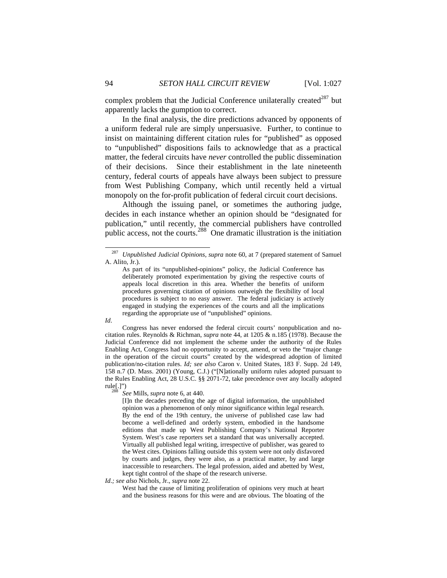complex problem that the Judicial Conference unilaterally created<sup>287</sup> but apparently lacks the gumption to correct.

In the final analysis, the dire predictions advanced by opponents of a uniform federal rule are simply unpersuasive. Further, to continue to insist on maintaining different citation rules for "published" as opposed to "unpublished" dispositions fails to acknowledge that as a practical matter, the federal circuits have *never* controlled the public dissemination of their decisions. Since their establishment in the late nineteenth century, federal courts of appeals have always been subject to pressure from West Publishing Company, which until recently held a virtual monopoly on the for-profit publication of federal circuit court decisions.

Although the issuing panel, or sometimes the authoring judge, decides in each instance whether an opinion should be "designated for publication," until recently, the commercial publishers have controlled public access, not the courts.<sup>288</sup> One dramatic illustration is the initiation

As part of its "unpublished-opinions" policy, the Judicial Conference has deliberately promoted experimentation by giving the respective courts of appeals local discretion in this area. Whether the benefits of uniform procedures governing citation of opinions outweigh the flexibility of local procedures is subject to no easy answer. The federal judiciary is actively engaged in studying the experiences of the courts and all the implications regarding the appropriate use of "unpublished" opinions.



Congress has never endorsed the federal circuit courts' nonpublication and nocitation rules. Reynolds & Richman, *supra* note 44, at 1205 & n.185 (1978). Because the Judicial Conference did not implement the scheme under the authority of the Rules Enabling Act, Congress had no opportunity to accept, amend, or veto the "major change in the operation of the circuit courts" created by the widespread adoption of limited publication/no-citation rules. *Id; see also* Caron v. United States, 183 F. Supp. 2d 149, 158 n.7 (D. Mass. 2001) (Young, C.J.) ("[N]ationally uniform rules adopted pursuant to the Rules Enabling Act, 28 U.S.C. §§ 2071-72, take precedence over any locally adopted rule[.]") 288 *See* Mills, *supra* note 6, at 440.

[I]n the decades preceding the age of digital information, the unpublished opinion was a phenomenon of only minor significance within legal research. By the end of the 19th century, the universe of published case law had become a well-defined and orderly system, embodied in the handsome editions that made up West Publishing Company's National Reporter System. West's case reporters set a standard that was universally accepted. Virtually all published legal writing, irrespective of publisher, was geared to the West cites. Opinions falling outside this system were not only disfavored by courts and judges, they were also, as a practical matter, by and large inaccessible to researchers. The legal profession, aided and abetted by West, kept tight control of the shape of the research universe.

#### *Id*.*; see also* Nichols, Jr., *supra* note 22.

West had the cause of limiting proliferation of opinions very much at heart and the business reasons for this were and are obvious. The bloating of the

 <sup>287</sup> *Unpublished Judicial Opinions, supra* note 60, at 7 (prepared statement of Samuel A. Alito, Jr.).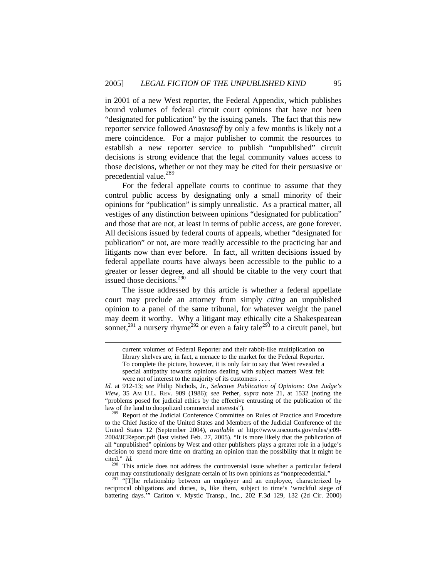in 2001 of a new West reporter, the Federal Appendix, which publishes bound volumes of federal circuit court opinions that have not been "designated for publication" by the issuing panels. The fact that this new reporter service followed *Anastasoff* by only a few months is likely not a mere coincidence. For a major publisher to commit the resources to establish a new reporter service to publish "unpublished" circuit decisions is strong evidence that the legal community values access to those decisions, whether or not they may be cited for their persuasive or precedential value.<sup>289</sup>

For the federal appellate courts to continue to assume that they control public access by designating only a small minority of their opinions for "publication" is simply unrealistic. As a practical matter, all vestiges of any distinction between opinions "designated for publication" and those that are not, at least in terms of public access, are gone forever. All decisions issued by federal courts of appeals, whether "designated for publication" or not, are more readily accessible to the practicing bar and litigants now than ever before. In fact, all written decisions issued by federal appellate courts have always been accessible to the public to a greater or lesser degree, and all should be citable to the very court that issued those decisions.<sup>290</sup>

The issue addressed by this article is whether a federal appellate court may preclude an attorney from simply *citing* an unpublished opinion to a panel of the same tribunal, for whatever weight the panel may deem it worthy. Why a litigant may ethically cite a Shakespearean sonnet,<sup>291</sup> a nursery rhyme<sup>292</sup> or even a fairy tale<sup>293</sup> to a circuit panel, but

l

cited." *Id.* <sup>290</sup> This article does not address the controversial issue whether a particular federal court may constitutionally designate certain of its own opinions as "nonprecedential."

 $291$  "[T]he relationship between an employer and an employee, characterized by reciprocal obligations and duties, is, like them, subject to time's 'wrackful siege of battering days.'" Carlton v. Mystic Transp., Inc., 202 F.3d 129, 132 (2d Cir. 2000)

current volumes of Federal Reporter and their rabbit-like multiplication on library shelves are, in fact, a menace to the market for the Federal Reporter. To complete the picture, however, it is only fair to say that West revealed a special antipathy towards opinions dealing with subject matters West felt were not of interest to the majority of its customers . . . .

*Id.* at 912-13; *see* Philip Nichols, Jr., *Selective Publication of Opinions: One Judge's View,* 35 AM U.L. REV. 909 (1986); *see* Pether, *supra* note 21, at 1532 (noting the "problems posed for judicial ethics by the effective entrusting of the publication of the law of the land to duopolized commercial interests"). 289 Report of the Judicial Conference Committee on Rules of Practice and Procedure

to the Chief Justice of the United States and Members of the Judicial Conference of the United States 12 (September 2004), *available at* http://www.uscourts.gov/rules/jc09- 2004/JCReport.pdf (last visited Feb. 27, 2005). "It is more likely that the publication of all "unpublished" opinions by West and other publishers plays a greater role in a judge's decision to spend more time on drafting an opinion than the possibility that it might be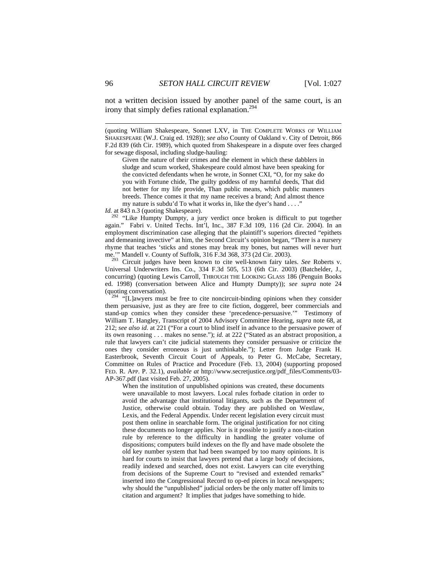not a written decision issued by another panel of the same court, is an irony that simply defies rational explanation.<sup>294</sup>

(quoting William Shakespeare, Sonnet LXV, in THE COMPLETE WORKS OF WILLIAM SHAKESPEARE (W.J. Craig ed. 1928)); *see also* County of Oakland v. City of Detroit, 866 F.2d 839 (6th Cir. 1989), which quoted from Shakespeare in a dispute over fees charged for sewage disposal, including sludge-hauling:

Given the nature of their crimes and the element in which these dabblers in sludge and scum worked, Shakespeare could almost have been speaking for the convicted defendants when he wrote, in Sonnet CXI, "O, for my sake do you with Fortune chide, The guilty goddess of my harmful deeds, That did not better for my life provide, Than public means, which public manners breeds. Thence comes it that my name receives a brand; And almost thence my nature is subdu'd To what it works in, like the dyer's hand . . . . "

*Id.* at 843 n.3 (quoting Shakespeare).

<sup>292</sup> "Like Humpty Dumpty, a jury verdict once broken is difficult to put together again." Fabri v. United Techs. Int'l, Inc., 387 F.3d 109, 116 (2d Cir. 2004). In an employment discrimination case alleging that the plaintiff's superiors directed "epithets and demeaning invective" at him, the Second Circuit's opinion began, "There is a nursery rhyme that teaches 'sticks and stones may break my bones, but names will never hurt me.'" Mandell v. County of Suffolk, 316 F.3d 368, 373 (2d Cir. 2003).<br><sup>293</sup> Circuit judges have been known to cite well-known fairy tales. *See* Roberts v.

Universal Underwriters Ins. Co., 334 F.3d 505, 513 (6th Cir. 2003) (Batchelder, J., concurring) (quoting Lewis Carroll, THROUGH THE LOOKING GLASS 186 (Penguin Books ed. 1998) (conversation between Alice and Humpty Dumpty)); *see supra* note 24 (quoting conversation).  $294$  "[L]awyers must be free to cite noncircuit-binding opinions when they consider

them persuasive, just as they are free to cite fiction, doggerel, beer commercials and stand-up comics when they consider these 'precedence-persuasive.'" Testimony of William T. Hangley, Transcript of 2004 Advisory Committee Hearing, *supra* note 68, at 212; *see also id*. at 221 ("For a court to blind itself in advance to the persuasive power of its own reasoning . . . makes no sense."); *id.* at 222 ("Stated as an abstract proposition, a rule that lawyers can't cite judicial statements they consider persuasive or criticize the ones they consider erroneous is just unthinkable."); Letter from Judge Frank H. Easterbrook, Seventh Circuit Court of Appeals, to Peter G. McCabe, Secretary, Committee on Rules of Practice and Procedure (Feb. 13, 2004) (supporting proposed FED. R. APP. P. 32.1), *available at* http://www.secretjustice.org/pdf\_files/Comments/03- AP-367.pdf (last visited Feb. 27, 2005).

When the institution of unpublished opinions was created, these documents were unavailable to most lawyers. Local rules forbade citation in order to avoid the advantage that institutional litigants, such as the Department of Justice, otherwise could obtain. Today they are published on Westlaw, Lexis, and the Federal Appendix. Under recent legislation every circuit must post them online in searchable form. The original justification for not citing these documents no longer applies. Nor is it possible to justify a non-citation rule by reference to the difficulty in handling the greater volume of dispositions; computers build indexes on the fly and have made obsolete the old key number system that had been swamped by too many opinions. It is hard for courts to insist that lawyers pretend that a large body of decisions, readily indexed and searched, does not exist. Lawyers can cite everything from decisions of the Supreme Court to "revised and extended remarks" inserted into the Congressional Record to op-ed pieces in local newspapers; why should the "unpublished" judicial orders be the only matter off limits to citation and argument? It implies that judges have something to hide.

l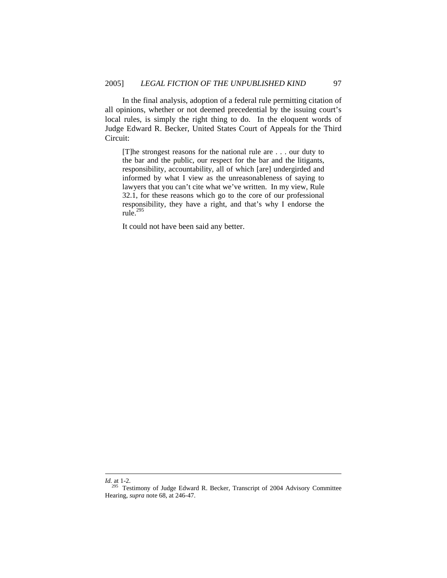In the final analysis, adoption of a federal rule permitting citation of all opinions, whether or not deemed precedential by the issuing court's local rules, is simply the right thing to do. In the eloquent words of Judge Edward R. Becker, United States Court of Appeals for the Third Circuit:

[T]he strongest reasons for the national rule are . . . our duty to the bar and the public, our respect for the bar and the litigants, responsibility, accountability, all of which [are] undergirded and informed by what I view as the unreasonableness of saying to lawyers that you can't cite what we've written. In my view, Rule 32.1, for these reasons which go to the core of our professional responsibility, they have a right, and that's why I endorse the rule. $^{1295}$ 

It could not have been said any better.

l

*Id.* at 1-2.

<sup>&</sup>lt;sup>295</sup> Testimony of Judge Edward R. Becker, Transcript of 2004 Advisory Committee Hearing, *supra* note 68, at 246-47.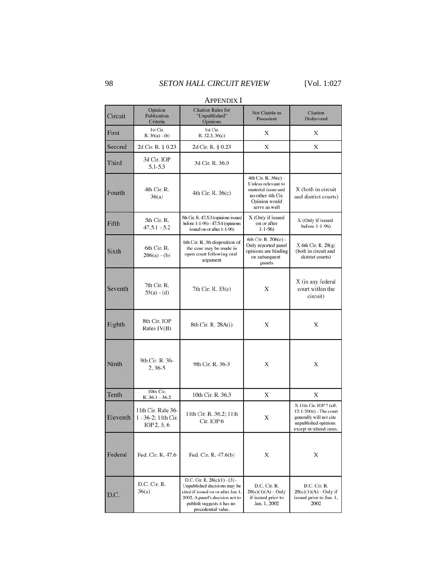| APPENDIA 1   |                                                          |                                                                                                                                                                                               |                                                                                                                        |                                                                                                                                  |
|--------------|----------------------------------------------------------|-----------------------------------------------------------------------------------------------------------------------------------------------------------------------------------------------|------------------------------------------------------------------------------------------------------------------------|----------------------------------------------------------------------------------------------------------------------------------|
| Circuit      | Opinion<br>Publication<br>Criteria                       | <b>Citation Rules for</b><br>"Unpublished"<br>Opinions                                                                                                                                        | Not Citable as<br>Precedent                                                                                            | Citation<br>Disfavored                                                                                                           |
| First        | 1st Cir.<br>$R. 36(a) - (b)$                             | 1st Cir.<br>R. 32.3, 36(c)                                                                                                                                                                    | X                                                                                                                      | X                                                                                                                                |
| Second       | 2d Cir. R. § 0.23                                        | 2d Cir. R. § 0.23                                                                                                                                                                             | X                                                                                                                      | X                                                                                                                                |
| Third        | 3d Cir. IOP<br>$5.1 - 5.3$                               | 3d Cir. R. 36.0                                                                                                                                                                               |                                                                                                                        |                                                                                                                                  |
| Fourth       | 4th Cir. R.<br>36(a)                                     | 4th Cir. R. $36(c)$                                                                                                                                                                           | 4th Cir. R. 36(c) -<br>Unless relevant to<br>material issue and<br>no other 4th Cir.<br>Opinion would<br>serve as well | X (both in circuit<br>and district courts)                                                                                       |
| Fifth        | 5th Cir. R.<br>$47.5.1 - 5.2$                            | 5th Cir. R. 47.5.3 (opinions issued<br>before 1-1-96) - 47.5.4 (opinions<br>issued on or after 1-1-96)                                                                                        | X (Only if issued<br>on or after<br>$1 - 1 - 96$                                                                       | X (Only if issued<br>before $1-1-96$ )                                                                                           |
| <b>Sixth</b> | 6th Cir. R.<br>$206(a) - (b)$                            | 6th Cir. R. 36-disposition of<br>the case may be made in<br>open court following oral<br>argument                                                                                             | 6th Cir. R. 206(c) -<br>Only reported panel<br>opinions are binding<br>on subsequent<br>panels                         | $X$ 6th Cir. R. $28(g)$<br>(both in circuit and<br>district courts)                                                              |
| Seventh      | 7th Cir. R.<br>$53(a) - (d)$                             | 7th Cir. R. 53(e)                                                                                                                                                                             | X                                                                                                                      | X (in any federal<br>court within the<br>circuit)                                                                                |
| Eighth       | 8th Cir. IOP<br>Rules $IV(B)$                            | 8th Cir. R. 28A(i)                                                                                                                                                                            | X                                                                                                                      | X                                                                                                                                |
| Ninth        | 9th Cir. R. 36-<br>$2, 36-5$                             | 9th Cir. R. 36-3                                                                                                                                                                              | Х                                                                                                                      | X                                                                                                                                |
| Tenth        | 10th Cir.<br>$R.36.1 - 36.2$                             | 10th Cir. R. 36.3                                                                                                                                                                             | X                                                                                                                      | X                                                                                                                                |
| Eleventh     | 11th Cir. Rule 36-<br>1 - 36-2; 11th Cir.<br>IOP 2, 5, 6 | 11th Cir. R. 36.2; 11th<br>Cir. IOP 6                                                                                                                                                         | X                                                                                                                      | X 11th Cir. IOP 7 (eff.<br>12-1-2004) - The court<br>generally will not cite<br>unpublished opinions<br>except in related cases. |
| Federal      | Fed. Cir. R. 47.6                                        | Fed. Cir. R. 47.6(b)                                                                                                                                                                          | Х                                                                                                                      | X                                                                                                                                |
| D.C.         | D.C. Cir. R.<br>36(a)                                    | D.C. Cir. R. $28(c)(1) - (3) -$<br>Unpublished decisions may be<br>cited if issued on or after Jan 1,<br>2002. A panel's decision not to<br>publish suggests it has no<br>precedential value. | D.C. Cir. R.<br>$28(c)(1)(A) - Only$<br>if issued prior to<br>Jan. 1, 2002                                             | D.C. Cir. R.<br>$28(c)(1)(A) - Only if$<br>issued prior to Jan. 1,<br>2002                                                       |

## APPENDIX I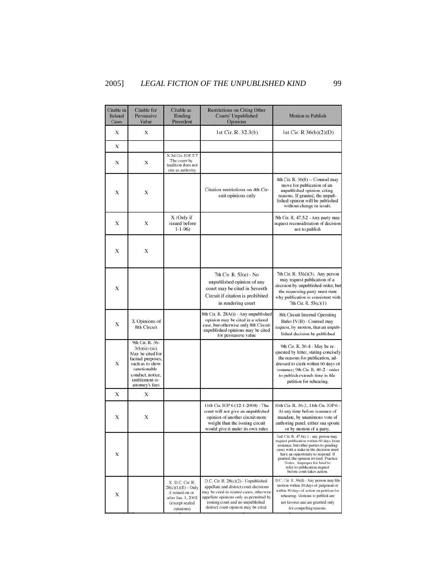| Citable in<br><b>Related</b><br>Cases | Citable for<br>Persuasive<br>Value                                                                                                                                       | Citable as<br>Binding<br>Precedent                                                                             | <b>Restrictions on Citing Other</b><br><b>Courts' Unpublished</b><br>Opinions                                                                                                                                                                    | <b>Motion to Publish</b>                                                                                                                                                                                                                                                                                                                              |
|---------------------------------------|--------------------------------------------------------------------------------------------------------------------------------------------------------------------------|----------------------------------------------------------------------------------------------------------------|--------------------------------------------------------------------------------------------------------------------------------------------------------------------------------------------------------------------------------------------------|-------------------------------------------------------------------------------------------------------------------------------------------------------------------------------------------------------------------------------------------------------------------------------------------------------------------------------------------------------|
| X                                     | X                                                                                                                                                                        |                                                                                                                | 1st Cir. R. 32.3(b)                                                                                                                                                                                                                              | 1st Cir. R 36(b)(2)(D)                                                                                                                                                                                                                                                                                                                                |
| X                                     |                                                                                                                                                                          |                                                                                                                |                                                                                                                                                                                                                                                  |                                                                                                                                                                                                                                                                                                                                                       |
| X                                     | X                                                                                                                                                                        | X 3d Cir. IOP 5.7<br>The court by<br>tradition does not<br>cite as authority                                   |                                                                                                                                                                                                                                                  |                                                                                                                                                                                                                                                                                                                                                       |
| X                                     | X                                                                                                                                                                        |                                                                                                                | Citation restrictions on 4th Cir-<br>cuit opinions only                                                                                                                                                                                          | 4th Cir. R. 36(b) -- Counsel may<br>move for publication of an<br>unpublished opinion, citing<br>reasons. If granted, the unpub-<br>lished opinion will be published<br>without change in result.                                                                                                                                                     |
| X                                     | X                                                                                                                                                                        | X (Only if<br>issued before<br>$1 - 1 - 96$                                                                    |                                                                                                                                                                                                                                                  | 5th Cir. R. 47.5.2 - Any party may<br>request reconsideration of decision<br>not to publish                                                                                                                                                                                                                                                           |
| X                                     | X                                                                                                                                                                        |                                                                                                                |                                                                                                                                                                                                                                                  |                                                                                                                                                                                                                                                                                                                                                       |
| X                                     |                                                                                                                                                                          |                                                                                                                | 7th Cir. R. 53(e) - No<br>unpublished opinion of any<br>court may be cited in Seventh<br>Circuit if citation is prohibited<br>in rendering court                                                                                                 | 7th Cir. R. 53(d)(3). Any person<br>may request publication of a<br>decision by unpublished order, but<br>the requesting party must state<br>why publication is consistent with<br>7th Cir. R. 53(c)(1)                                                                                                                                               |
| X                                     | X Opinions of<br><b>8th Circuit</b>                                                                                                                                      |                                                                                                                | 8th Cir. R. 28A(i) - Any unpublished<br>opinion may be cited in a related<br>case, but otherwise only 8th Circuit<br>unpublished opinions may be cited<br>for persuasive value                                                                   | 8th Circuit Internal Operating<br>Rules IV(B) - Counsel may<br>request, by motion, that an unpub-<br>lished decision be published                                                                                                                                                                                                                     |
| X                                     | 9th Cir. R. 36-<br>$3(b)(ii)-(iii)$<br>May be cited for<br>factual purposes,<br>such as to show<br>sanctionable<br>conduct, notice,<br>entitlement to<br>attorney's fees |                                                                                                                |                                                                                                                                                                                                                                                  | 9th Cir. R. 36-4 - May be re-<br>quested by letter, stating concisely<br>the reasons for publication, ad-<br>dressed to clerk within 60 days of<br>issuance; 9th Cir. R. 40-2 - order<br>to publish extends time to file<br>petition for rehearing.                                                                                                   |
| X                                     | X                                                                                                                                                                        |                                                                                                                |                                                                                                                                                                                                                                                  |                                                                                                                                                                                                                                                                                                                                                       |
| X                                     | X                                                                                                                                                                        |                                                                                                                | 11th Cir. IOP 6 (12-1-2004) - The<br>court will not give an unpublished<br>opinion of another circuit more<br>weight than the issuing circuit<br>would give it under its own rules                                                               | 11th Cir. R. 36-3, 11th Cir. IOP 6<br>At any time before issuance of<br>mandate, by unanimous vote of<br>authoring panel, either sua sponte<br>or by motion of a party.                                                                                                                                                                               |
| X                                     |                                                                                                                                                                          |                                                                                                                |                                                                                                                                                                                                                                                  | Fed. Cir. R. $47.6(c)$ - any person may<br>request publication within 60 days from<br>issuance, but other parties to pending<br>cases with a stake in the decision must<br>have an opportunity to respond. If<br>granted, the opinion revised. Practice<br>Notes: Improper for brief to<br>refer to publication request<br>before court takes action. |
| X                                     |                                                                                                                                                                          | X D.C. Cir. R.<br>$28(c)(1)(B) - Only$<br>if issued on or<br>after Jan. 1, 2002<br>(except sealed<br>opinions) | D.C. Cir. R. 28(c)(2) - Unpublished<br>appellate and district court decisions<br>may be cited in related cases; otherwise<br>appellate opinions only as permitted by<br>issuing court and no unpublished<br>district court opinion may be cited. | D.C. Cir. R. 36(d) - Any person may file<br>motion within 30 days of judgment or<br>within 30 days of action on petition for<br>rehearing. Motions to publish are<br>not favored and are granted only<br>for compelling reasons.                                                                                                                      |